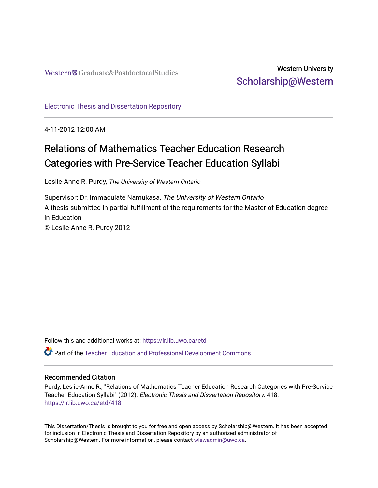## Western University [Scholarship@Western](https://ir.lib.uwo.ca/)

[Electronic Thesis and Dissertation Repository](https://ir.lib.uwo.ca/etd)

4-11-2012 12:00 AM

# Relations of Mathematics Teacher Education Research Categories with Pre-Service Teacher Education Syllabi

Leslie-Anne R. Purdy, The University of Western Ontario

Supervisor: Dr. Immaculate Namukasa, The University of Western Ontario A thesis submitted in partial fulfillment of the requirements for the Master of Education degree in Education © Leslie-Anne R. Purdy 2012

Follow this and additional works at: [https://ir.lib.uwo.ca/etd](https://ir.lib.uwo.ca/etd?utm_source=ir.lib.uwo.ca%2Fetd%2F418&utm_medium=PDF&utm_campaign=PDFCoverPages) 

Part of the [Teacher Education and Professional Development Commons](http://network.bepress.com/hgg/discipline/803?utm_source=ir.lib.uwo.ca%2Fetd%2F418&utm_medium=PDF&utm_campaign=PDFCoverPages) 

#### Recommended Citation

Purdy, Leslie-Anne R., "Relations of Mathematics Teacher Education Research Categories with Pre-Service Teacher Education Syllabi" (2012). Electronic Thesis and Dissertation Repository. 418. [https://ir.lib.uwo.ca/etd/418](https://ir.lib.uwo.ca/etd/418?utm_source=ir.lib.uwo.ca%2Fetd%2F418&utm_medium=PDF&utm_campaign=PDFCoverPages) 

This Dissertation/Thesis is brought to you for free and open access by Scholarship@Western. It has been accepted for inclusion in Electronic Thesis and Dissertation Repository by an authorized administrator of Scholarship@Western. For more information, please contact [wlswadmin@uwo.ca.](mailto:wlswadmin@uwo.ca)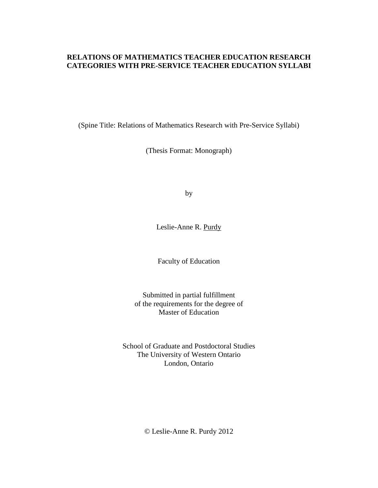## **RELATIONS OF MATHEMATICS TEACHER EDUCATION RESEARCH CATEGORIES WITH PRE-SERVICE TEACHER EDUCATION SYLLABI**

(Spine Title: Relations of Mathematics Research with Pre-Service Syllabi)

(Thesis Format: Monograph)

by

Leslie-Anne R. Purdy

Faculty of Education

Submitted in partial fulfillment of the requirements for the degree of Master of Education

School of Graduate and Postdoctoral Studies The University of Western Ontario London, Ontario

© Leslie-Anne R. Purdy 2012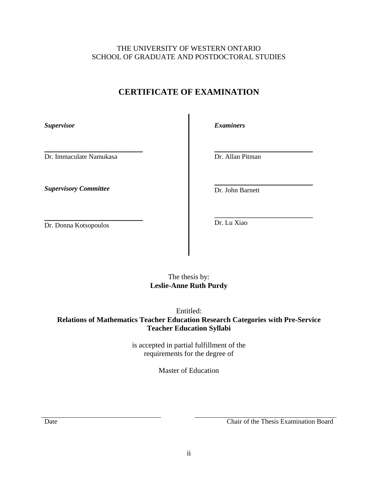## **CERTIFICATE OF EXAMINATION**

<span id="page-2-0"></span>*Supervisor*

\_\_\_\_\_\_\_\_\_\_\_\_\_\_\_\_\_\_\_\_\_\_\_\_\_\_\_\_\_ Dr. Immaculate Namukasa

*Supervisory Committee*

*Examiners*

\_\_\_\_\_\_\_\_\_\_\_\_\_\_\_\_\_\_\_\_\_\_\_\_\_\_\_\_\_ Dr. Allan Pitman

\_\_\_\_\_\_\_\_\_\_\_\_\_\_\_\_\_\_\_\_\_\_\_\_\_\_\_\_\_ Dr. John Barnett

\_\_\_\_\_\_\_\_\_\_\_\_\_\_\_\_\_\_\_\_\_\_\_\_\_\_\_\_\_ Dr. Donna Kotsopoulos

\_\_\_\_\_\_\_\_\_\_\_\_\_\_\_\_\_\_\_\_\_\_\_\_\_\_\_\_\_ Dr. Lu Xiao

## The thesis by: **Leslie-Anne Ruth Purdy**

Entitled:

**Relations of Mathematics Teacher Education Research Categories with Pre-Service Teacher Education Syllabi**

> is accepted in partial fulfillment of the requirements for the degree of

> > Master of Education

Date Chair of the Thesis Examination Board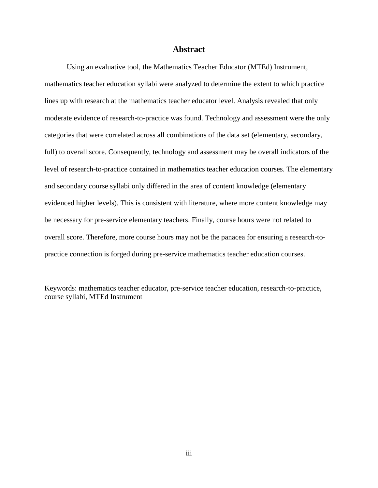#### **Abstract**

<span id="page-3-0"></span>Using an evaluative tool, the Mathematics Teacher Educator (MTEd) Instrument, mathematics teacher education syllabi were analyzed to determine the extent to which practice lines up with research at the mathematics teacher educator level. Analysis revealed that only moderate evidence of research-to-practice was found. Technology and assessment were the only categories that were correlated across all combinations of the data set (elementary, secondary, full) to overall score. Consequently, technology and assessment may be overall indicators of the level of research-to-practice contained in mathematics teacher education courses. The elementary and secondary course syllabi only differed in the area of content knowledge (elementary evidenced higher levels). This is consistent with literature, where more content knowledge may be necessary for pre-service elementary teachers. Finally, course hours were not related to overall score. Therefore, more course hours may not be the panacea for ensuring a research-topractice connection is forged during pre-service mathematics teacher education courses.

Keywords: mathematics teacher educator, pre-service teacher education, research-to-practice, course syllabi, MTEd Instrument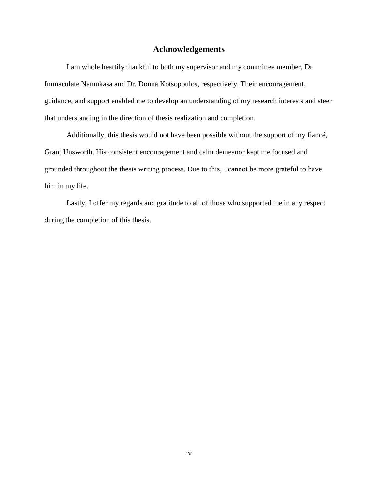## **Acknowledgements**

<span id="page-4-0"></span>I am whole heartily thankful to both my supervisor and my committee member, Dr. Immaculate Namukasa and Dr. Donna Kotsopoulos, respectively. Their encouragement, guidance, and support enabled me to develop an understanding of my research interests and steer that understanding in the direction of thesis realization and completion.

Additionally, this thesis would not have been possible without the support of my fiancé, Grant Unsworth. His consistent encouragement and calm demeanor kept me focused and grounded throughout the thesis writing process. Due to this, I cannot be more grateful to have him in my life.

Lastly, I offer my regards and gratitude to all of those who supported me in any respect during the completion of this thesis.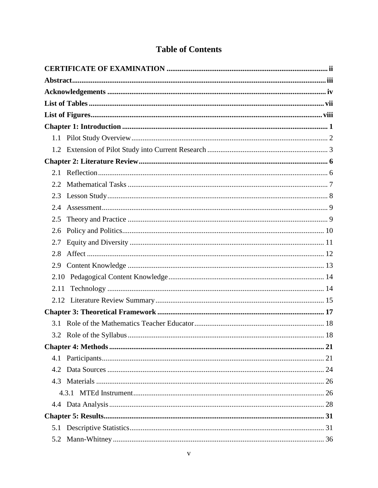## **Table of Contents**

| 2.4  |  |
|------|--|
| 2.5  |  |
| 2.6  |  |
| 2.7  |  |
| 2.8  |  |
|      |  |
|      |  |
| 2.11 |  |
|      |  |
|      |  |
|      |  |
|      |  |
|      |  |
|      |  |
| 4.2  |  |
|      |  |
|      |  |
|      |  |
|      |  |
|      |  |
| 5.2  |  |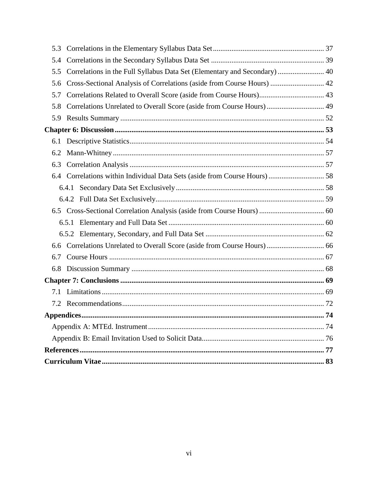| 5.3 |                                                                           |  |
|-----|---------------------------------------------------------------------------|--|
| 5.4 |                                                                           |  |
| 5.5 | Correlations in the Full Syllabus Data Set (Elementary and Secondary)  40 |  |
| 5.6 | Cross-Sectional Analysis of Correlations (aside from Course Hours)  42    |  |
| 5.7 |                                                                           |  |
| 5.8 | Correlations Unrelated to Overall Score (aside from Course Hours) 49      |  |
| 5.9 |                                                                           |  |
|     |                                                                           |  |
| 6.1 |                                                                           |  |
| 6.2 |                                                                           |  |
| 6.3 |                                                                           |  |
|     |                                                                           |  |
|     |                                                                           |  |
|     |                                                                           |  |
|     |                                                                           |  |
|     |                                                                           |  |
|     |                                                                           |  |
| 6.6 |                                                                           |  |
| 6.7 |                                                                           |  |
| 6.8 |                                                                           |  |
|     |                                                                           |  |
| 7.1 |                                                                           |  |
| 7.2 |                                                                           |  |
|     |                                                                           |  |
|     |                                                                           |  |
|     |                                                                           |  |
|     |                                                                           |  |
|     |                                                                           |  |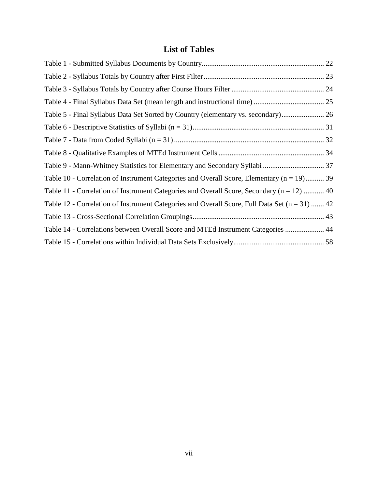## **List of Tables**

<span id="page-7-0"></span>

| Table 5 - Final Syllabus Data Set Sorted by Country (elementary vs. secondary) 26              |  |
|------------------------------------------------------------------------------------------------|--|
|                                                                                                |  |
|                                                                                                |  |
|                                                                                                |  |
| Table 9 - Mann-Whitney Statistics for Elementary and Secondary Syllabi  37                     |  |
| Table 10 - Correlation of Instrument Categories and Overall Score, Elementary ( $n = 19$ ) 39  |  |
| Table 11 - Correlation of Instrument Categories and Overall Score, Secondary $(n = 12)$ 40     |  |
| Table 12 - Correlation of Instrument Categories and Overall Score, Full Data Set $(n = 31)$ 42 |  |
|                                                                                                |  |
| Table 14 - Correlations between Overall Score and MTEd Instrument Categories  44               |  |
|                                                                                                |  |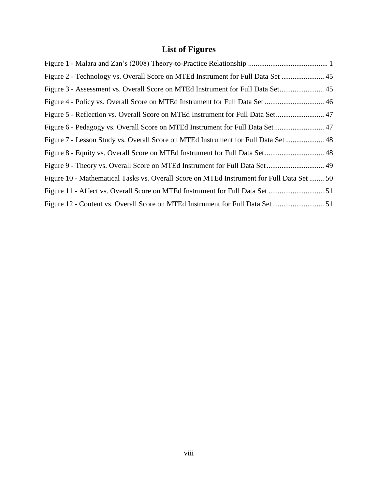# **List of Figures**

<span id="page-8-0"></span>

| Figure 2 - Technology vs. Overall Score on MTEd Instrument for Full Data Set  45          |  |
|-------------------------------------------------------------------------------------------|--|
| Figure 3 - Assessment vs. Overall Score on MTEd Instrument for Full Data Set 45           |  |
|                                                                                           |  |
|                                                                                           |  |
| Figure 6 - Pedagogy vs. Overall Score on MTEd Instrument for Full Data Set 47             |  |
| Figure 7 - Lesson Study vs. Overall Score on MTEd Instrument for Full Data Set 48         |  |
|                                                                                           |  |
| Figure 9 - Theory vs. Overall Score on MTEd Instrument for Full Data Set 49               |  |
| Figure 10 - Mathematical Tasks vs. Overall Score on MTEd Instrument for Full Data Set  50 |  |
|                                                                                           |  |
|                                                                                           |  |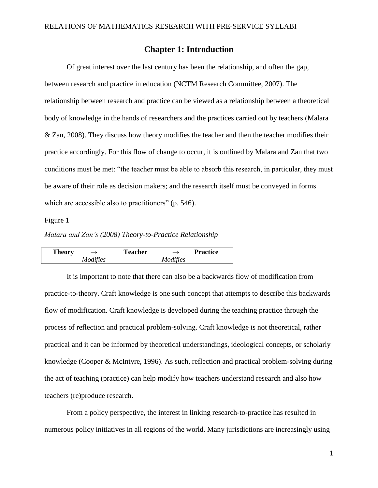## **Chapter 1: Introduction**

<span id="page-9-0"></span>Of great interest over the last century has been the relationship, and often the gap, between research and practice in education (NCTM Research Committee, 2007). The relationship between research and practice can be viewed as a relationship between a theoretical body of knowledge in the hands of researchers and the practices carried out by teachers (Malara & Zan, 2008). They discuss how theory modifies the teacher and then the teacher modifies their practice accordingly. For this flow of change to occur, it is outlined by Malara and Zan that two conditions must be met: "the teacher must be able to absorb this research, in particular, they must be aware of their role as decision makers; and the research itself must be conveyed in forms which are accessible also to practitioners" (p. 546).

### <span id="page-9-1"></span>Figure 1

*Malara and Zan's (2008) Theory-to-Practice Relationship*

| <b>Theory</b> |          | <b>Teacher</b> |          | <b>Practice</b> |
|---------------|----------|----------------|----------|-----------------|
|               | Modifies |                | Modifies |                 |

It is important to note that there can also be a backwards flow of modification from practice-to-theory. Craft knowledge is one such concept that attempts to describe this backwards flow of modification. Craft knowledge is developed during the teaching practice through the process of reflection and practical problem-solving. Craft knowledge is not theoretical, rather practical and it can be informed by theoretical understandings, ideological concepts, or scholarly knowledge (Cooper & McIntyre, 1996). As such, reflection and practical problem-solving during the act of teaching (practice) can help modify how teachers understand research and also how teachers (re)produce research.

From a policy perspective, the interest in linking research-to-practice has resulted in numerous policy initiatives in all regions of the world. Many jurisdictions are increasingly using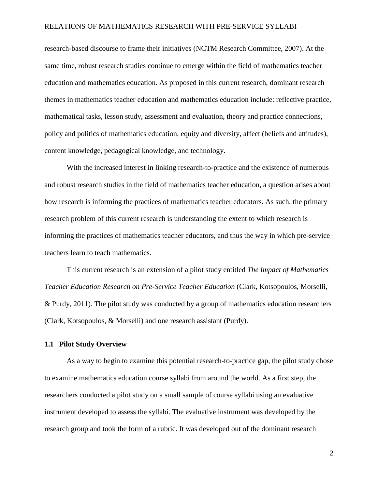research-based discourse to frame their initiatives (NCTM Research Committee, 2007). At the same time, robust research studies continue to emerge within the field of mathematics teacher education and mathematics education. As proposed in this current research, dominant research themes in mathematics teacher education and mathematics education include: reflective practice, mathematical tasks, lesson study, assessment and evaluation, theory and practice connections, policy and politics of mathematics education, equity and diversity, affect (beliefs and attitudes), content knowledge, pedagogical knowledge, and technology.

With the increased interest in linking research-to-practice and the existence of numerous and robust research studies in the field of mathematics teacher education, a question arises about how research is informing the practices of mathematics teacher educators. As such, the primary research problem of this current research is understanding the extent to which research is informing the practices of mathematics teacher educators, and thus the way in which pre-service teachers learn to teach mathematics.

This current research is an extension of a pilot study entitled *The Impact of Mathematics Teacher Education Research on Pre-Service Teacher Education* (Clark, Kotsopoulos, Morselli, & Purdy, 2011). The pilot study was conducted by a group of mathematics education researchers (Clark, Kotsopoulos, & Morselli) and one research assistant (Purdy).

#### <span id="page-10-0"></span>**1.1 Pilot Study Overview**

As a way to begin to examine this potential research-to-practice gap, the pilot study chose to examine mathematics education course syllabi from around the world. As a first step, the researchers conducted a pilot study on a small sample of course syllabi using an evaluative instrument developed to assess the syllabi. The evaluative instrument was developed by the research group and took the form of a rubric. It was developed out of the dominant research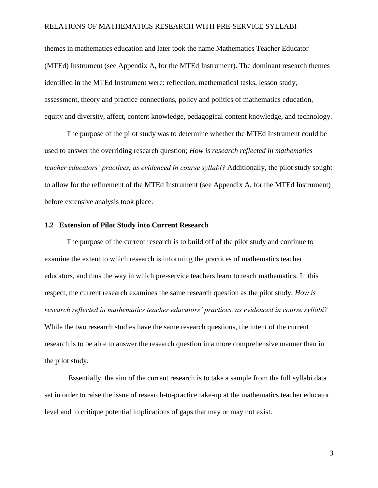themes in mathematics education and later took the name Mathematics Teacher Educator (MTEd) Instrument (see Appendix A, for the MTEd Instrument). The dominant research themes identified in the MTEd Instrument were: reflection, mathematical tasks, lesson study, assessment, theory and practice connections, policy and politics of mathematics education, equity and diversity, affect, content knowledge, pedagogical content knowledge, and technology.

The purpose of the pilot study was to determine whether the MTEd Instrument could be used to answer the overriding research question; *How is research reflected in mathematics teacher educators' practices, as evidenced in course syllabi?* Additionally, the pilot study sought to allow for the refinement of the MTEd Instrument (see Appendix A, for the MTEd Instrument) before extensive analysis took place.

#### <span id="page-11-0"></span>**1.2 Extension of Pilot Study into Current Research**

The purpose of the current research is to build off of the pilot study and continue to examine the extent to which research is informing the practices of mathematics teacher educators, and thus the way in which pre-service teachers learn to teach mathematics. In this respect, the current research examines the same research question as the pilot study; *How is research reflected in mathematics teacher educators' practices, as evidenced in course syllabi?* While the two research studies have the same research questions, the intent of the current research is to be able to answer the research question in a more comprehensive manner than in the pilot study.

Essentially, the aim of the current research is to take a sample from the full syllabi data set in order to raise the issue of research-to-practice take-up at the mathematics teacher educator level and to critique potential implications of gaps that may or may not exist.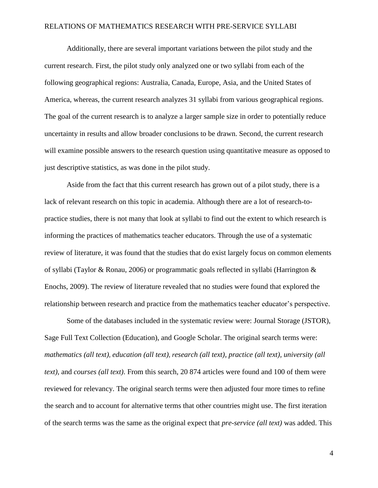Additionally, there are several important variations between the pilot study and the current research. First, the pilot study only analyzed one or two syllabi from each of the following geographical regions: Australia, Canada, Europe, Asia, and the United States of America, whereas, the current research analyzes 31 syllabi from various geographical regions. The goal of the current research is to analyze a larger sample size in order to potentially reduce uncertainty in results and allow broader conclusions to be drawn. Second, the current research will examine possible answers to the research question using quantitative measure as opposed to just descriptive statistics, as was done in the pilot study.

Aside from the fact that this current research has grown out of a pilot study, there is a lack of relevant research on this topic in academia. Although there are a lot of research-topractice studies, there is not many that look at syllabi to find out the extent to which research is informing the practices of mathematics teacher educators. Through the use of a systematic review of literature, it was found that the studies that do exist largely focus on common elements of syllabi (Taylor & Ronau, 2006) or programmatic goals reflected in syllabi (Harrington & Enochs, 2009). The review of literature revealed that no studies were found that explored the relationship between research and practice from the mathematics teacher educator's perspective.

Some of the databases included in the systematic review were: Journal Storage (JSTOR), Sage Full Text Collection (Education), and Google Scholar. The original search terms were: *mathematics (all text), education (all text), research (all text), practice (all text), university (all text),* and *courses (all text)*. From this search, 20 874 articles were found and 100 of them were reviewed for relevancy. The original search terms were then adjusted four more times to refine the search and to account for alternative terms that other countries might use. The first iteration of the search terms was the same as the original expect that *pre-service (all text)* was added. This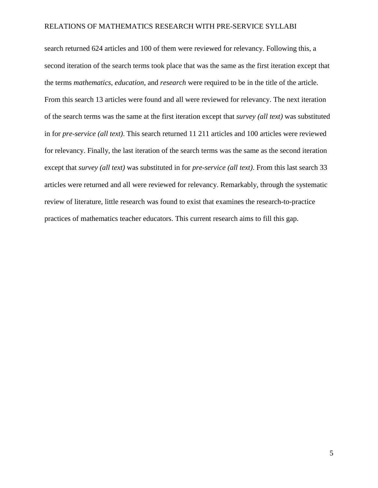search returned 624 articles and 100 of them were reviewed for relevancy. Following this, a second iteration of the search terms took place that was the same as the first iteration except that the terms *mathematics*, *education*, and *research* were required to be in the title of the article. From this search 13 articles were found and all were reviewed for relevancy. The next iteration of the search terms was the same at the first iteration except that *survey (all text)* was substituted in for *pre-service (all text)*. This search returned 11 211 articles and 100 articles were reviewed for relevancy. Finally, the last iteration of the search terms was the same as the second iteration except that *survey (all text)* was substituted in for *pre-service (all text)*. From this last search 33 articles were returned and all were reviewed for relevancy. Remarkably, through the systematic review of literature, little research was found to exist that examines the research-to-practice practices of mathematics teacher educators. This current research aims to fill this gap.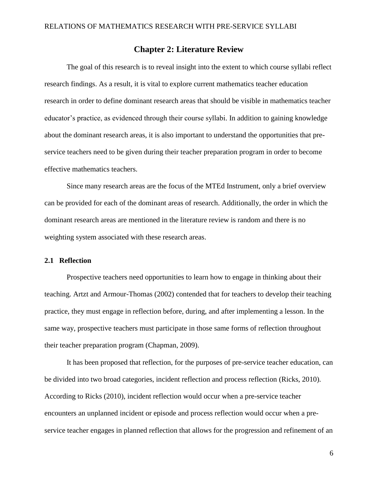## **Chapter 2: Literature Review**

<span id="page-14-0"></span>The goal of this research is to reveal insight into the extent to which course syllabi reflect research findings. As a result, it is vital to explore current mathematics teacher education research in order to define dominant research areas that should be visible in mathematics teacher educator's practice, as evidenced through their course syllabi. In addition to gaining knowledge about the dominant research areas, it is also important to understand the opportunities that preservice teachers need to be given during their teacher preparation program in order to become effective mathematics teachers.

Since many research areas are the focus of the MTEd Instrument, only a brief overview can be provided for each of the dominant areas of research. Additionally, the order in which the dominant research areas are mentioned in the literature review is random and there is no weighting system associated with these research areas.

#### <span id="page-14-1"></span>**2.1 Reflection**

Prospective teachers need opportunities to learn how to engage in thinking about their teaching. Artzt and Armour-Thomas (2002) contended that for teachers to develop their teaching practice, they must engage in reflection before, during, and after implementing a lesson. In the same way, prospective teachers must participate in those same forms of reflection throughout their teacher preparation program (Chapman, 2009).

It has been proposed that reflection, for the purposes of pre-service teacher education, can be divided into two broad categories, incident reflection and process reflection (Ricks, 2010). According to Ricks (2010), incident reflection would occur when a pre-service teacher encounters an unplanned incident or episode and process reflection would occur when a preservice teacher engages in planned reflection that allows for the progression and refinement of an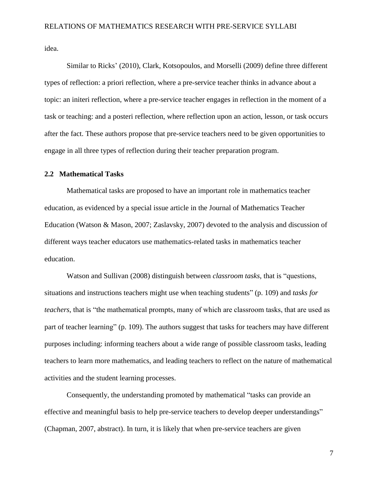idea.

Similar to Ricks' (2010), Clark, Kotsopoulos, and Morselli (2009) define three different types of reflection: a priori reflection, where a pre-service teacher thinks in advance about a topic: an initeri reflection, where a pre-service teacher engages in reflection in the moment of a task or teaching: and a posteri reflection, where reflection upon an action, lesson, or task occurs after the fact. These authors propose that pre-service teachers need to be given opportunities to engage in all three types of reflection during their teacher preparation program.

#### <span id="page-15-0"></span>**2.2 Mathematical Tasks**

Mathematical tasks are proposed to have an important role in mathematics teacher education, as evidenced by a special issue article in the Journal of Mathematics Teacher Education (Watson & Mason, 2007; Zaslavsky, 2007) devoted to the analysis and discussion of different ways teacher educators use mathematics-related tasks in mathematics teacher education.

Watson and Sullivan (2008) distinguish between *classroom tasks*, that is "questions, situations and instructions teachers might use when teaching students" (p. 109) and *tasks for teachers*, that is "the mathematical prompts, many of which are classroom tasks, that are used as part of teacher learning" (p. 109). The authors suggest that tasks for teachers may have different purposes including: informing teachers about a wide range of possible classroom tasks, leading teachers to learn more mathematics, and leading teachers to reflect on the nature of mathematical activities and the student learning processes.

Consequently, the understanding promoted by mathematical "tasks can provide an effective and meaningful basis to help pre-service teachers to develop deeper understandings" (Chapman, 2007, abstract). In turn, it is likely that when pre-service teachers are given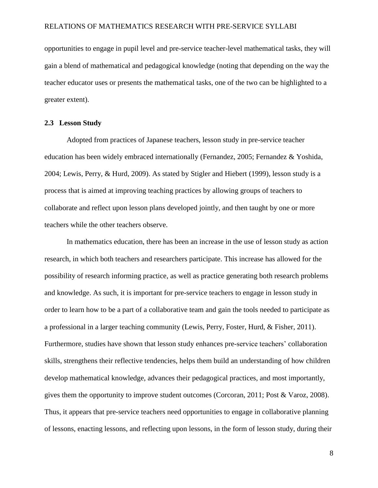opportunities to engage in pupil level and pre-service teacher-level mathematical tasks, they will gain a blend of mathematical and pedagogical knowledge (noting that depending on the way the teacher educator uses or presents the mathematical tasks, one of the two can be highlighted to a greater extent).

#### <span id="page-16-0"></span>**2.3 Lesson Study**

Adopted from practices of Japanese teachers, lesson study in pre-service teacher education has been widely embraced internationally (Fernandez, 2005; Fernandez & Yoshida, 2004; Lewis, Perry, & Hurd, 2009). As stated by Stigler and Hiebert (1999), lesson study is a process that is aimed at improving teaching practices by allowing groups of teachers to collaborate and reflect upon lesson plans developed jointly, and then taught by one or more teachers while the other teachers observe.

In mathematics education, there has been an increase in the use of lesson study as action research, in which both teachers and researchers participate. This increase has allowed for the possibility of research informing practice, as well as practice generating both research problems and knowledge. As such, it is important for pre-service teachers to engage in lesson study in order to learn how to be a part of a collaborative team and gain the tools needed to participate as a professional in a larger teaching community (Lewis, Perry, Foster, Hurd, & Fisher, 2011). Furthermore, studies have shown that lesson study enhances pre-service teachers' collaboration skills, strengthens their reflective tendencies, helps them build an understanding of how children develop mathematical knowledge, advances their pedagogical practices, and most importantly, gives them the opportunity to improve student outcomes (Corcoran, 2011; Post & Varoz, 2008). Thus, it appears that pre-service teachers need opportunities to engage in collaborative planning of lessons, enacting lessons, and reflecting upon lessons, in the form of lesson study, during their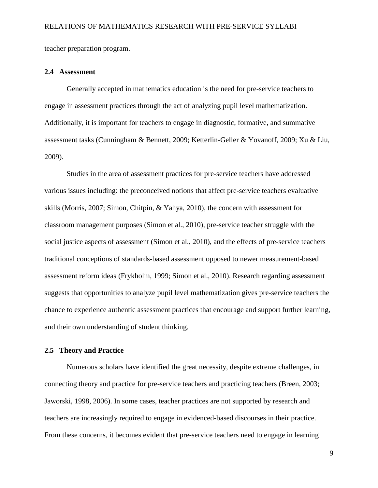teacher preparation program.

#### <span id="page-17-0"></span>**2.4 Assessment**

Generally accepted in mathematics education is the need for pre-service teachers to engage in assessment practices through the act of analyzing pupil level mathematization. Additionally, it is important for teachers to engage in diagnostic, formative, and summative assessment tasks (Cunningham & Bennett, 2009; Ketterlin-Geller & Yovanoff, 2009; Xu & Liu, 2009).

Studies in the area of assessment practices for pre-service teachers have addressed various issues including: the preconceived notions that affect pre-service teachers evaluative skills (Morris, 2007; Simon, Chitpin, & Yahya, 2010), the concern with assessment for classroom management purposes (Simon et al., 2010), pre-service teacher struggle with the social justice aspects of assessment (Simon et al., 2010), and the effects of pre-service teachers traditional conceptions of standards-based assessment opposed to newer measurement-based assessment reform ideas (Frykholm, 1999; Simon et al., 2010). Research regarding assessment suggests that opportunities to analyze pupil level mathematization gives pre-service teachers the chance to experience authentic assessment practices that encourage and support further learning, and their own understanding of student thinking.

#### <span id="page-17-1"></span>**2.5 Theory and Practice**

Numerous scholars have identified the great necessity, despite extreme challenges, in connecting theory and practice for pre-service teachers and practicing teachers (Breen, 2003; Jaworski, 1998, 2006). In some cases, teacher practices are not supported by research and teachers are increasingly required to engage in evidenced-based discourses in their practice. From these concerns, it becomes evident that pre-service teachers need to engage in learning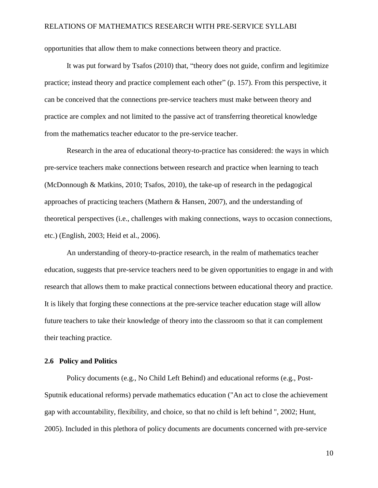opportunities that allow them to make connections between theory and practice.

It was put forward by Tsafos (2010) that, "theory does not guide, confirm and legitimize practice; instead theory and practice complement each other" (p. 157). From this perspective, it can be conceived that the connections pre-service teachers must make between theory and practice are complex and not limited to the passive act of transferring theoretical knowledge from the mathematics teacher educator to the pre-service teacher.

Research in the area of educational theory-to-practice has considered: the ways in which pre-service teachers make connections between research and practice when learning to teach (McDonnough & Matkins, 2010; Tsafos, 2010), the take-up of research in the pedagogical approaches of practicing teachers (Mathern & Hansen, 2007), and the understanding of theoretical perspectives (i.e., challenges with making connections, ways to occasion connections, etc.) (English, 2003; Heid et al., 2006).

An understanding of theory-to-practice research, in the realm of mathematics teacher education, suggests that pre-service teachers need to be given opportunities to engage in and with research that allows them to make practical connections between educational theory and practice. It is likely that forging these connections at the pre-service teacher education stage will allow future teachers to take their knowledge of theory into the classroom so that it can complement their teaching practice.

#### <span id="page-18-0"></span>**2.6 Policy and Politics**

Policy documents (e.g., No Child Left Behind) and educational reforms (e.g., Post-Sputnik educational reforms) pervade mathematics education ("An act to close the achievement gap with accountability, flexibility, and choice, so that no child is left behind ", 2002; Hunt, 2005). Included in this plethora of policy documents are documents concerned with pre-service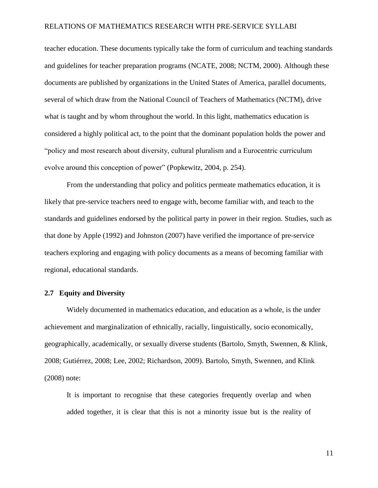teacher education. These documents typically take the form of curriculum and teaching standards and guidelines for teacher preparation programs (NCATE, 2008; NCTM, 2000). Although these documents are published by organizations in the United States of America, parallel documents, several of which draw from the National Council of Teachers of Mathematics (NCTM), drive what is taught and by whom throughout the world. In this light, mathematics education is considered a highly political act, to the point that the dominant population holds the power and "policy and most research about diversity, cultural pluralism and a Eurocentric curriculum evolve around this conception of power" (Popkewitz, 2004, p. 254).

From the understanding that policy and politics permeate mathematics education, it is likely that pre-service teachers need to engage with, become familiar with, and teach to the standards and guidelines endorsed by the political party in power in their region. Studies, such as that done by Apple (1992) and Johnston (2007) have verified the importance of pre-service teachers exploring and engaging with policy documents as a means of becoming familiar with regional, educational standards.

#### <span id="page-19-0"></span>**2.7 Equity and Diversity**

Widely documented in mathematics education, and education as a whole, is the under achievement and marginalization of ethnically, racially, linguistically, socio economically, geographically, academically, or sexually diverse students (Bartolo, Smyth, Swennen, & Klink, 2008; Gutiérrez, 2008; Lee, 2002; Richardson, 2009). Bartolo, Smyth, Swennen, and Klink (2008) note:

It is important to recognise that these categories frequently overlap and when added together, it is clear that this is not a minority issue but is the reality of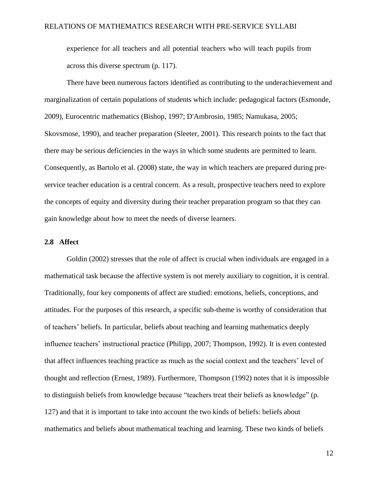experience for all teachers and all potential teachers who will teach pupils from across this diverse spectrum (p. 117).

There have been numerous factors identified as contributing to the underachievement and marginalization of certain populations of students which include: pedagogical factors (Esmonde, 2009), Eurocentric mathematics (Bishop, 1997; D'Ambrosio, 1985; Namukasa, 2005; Skovsmose, 1990), and teacher preparation (Sleeter, 2001). This research points to the fact that there may be serious deficiencies in the ways in which some students are permitted to learn. Consequently, as Bartolo et al. (2008) state, the way in which teachers are prepared during preservice teacher education is a central concern. As a result, prospective teachers need to explore the concepts of equity and diversity during their teacher preparation program so that they can gain knowledge about how to meet the needs of diverse learners.

#### <span id="page-20-0"></span>**2.8 Affect**

Goldin (2002) stresses that the role of affect is crucial when individuals are engaged in a mathematical task because the affective system is not merely auxiliary to cognition, it is central. Traditionally, four key components of affect are studied: emotions, beliefs, conceptions, and attitudes. For the purposes of this research, a specific sub-theme is worthy of consideration that of teachers' beliefs. In particular, beliefs about teaching and learning mathematics deeply influence teachers' instructional practice (Philipp, 2007; Thompson, 1992). It is even contested that affect influences teaching practice as much as the social context and the teachers' level of thought and reflection (Ernest, 1989). Furthermore, Thompson (1992) notes that it is impossible to distinguish beliefs from knowledge because "teachers treat their beliefs as knowledge" (p. 127) and that it is important to take into account the two kinds of beliefs: beliefs about mathematics and beliefs about mathematical teaching and learning. These two kinds of beliefs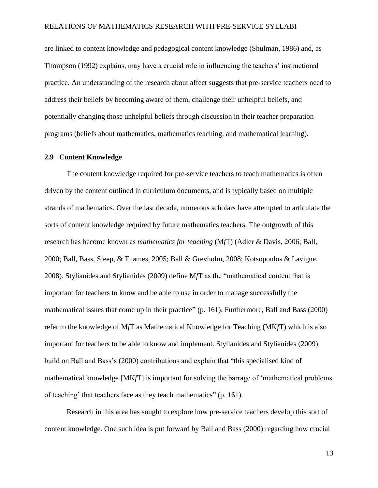are linked to content knowledge and pedagogical content knowledge (Shulman, 1986) and, as Thompson (1992) explains, may have a crucial role in influencing the teachers' instructional practice. An understanding of the research about affect suggests that pre-service teachers need to address their beliefs by becoming aware of them, challenge their unhelpful beliefs, and potentially changing those unhelpful beliefs through discussion in their teacher preparation programs (beliefs about mathematics, mathematics teaching, and mathematical learning).

#### <span id="page-21-0"></span>**2.9 Content Knowledge**

The content knowledge required for pre-service teachers to teach mathematics is often driven by the content outlined in curriculum documents, and is typically based on multiple strands of mathematics. Over the last decade, numerous scholars have attempted to articulate the sorts of content knowledge required by future mathematics teachers. The outgrowth of this research has become known as *mathematics for teaching* (M*f*T) (Adler & Davis, 2006; Ball, 2000; Ball, Bass, Sleep, & Thames, 2005; Ball & Grevholm, 2008; Kotsopoulos & Lavigne, 2008). Stylianides and Stylianides (2009) define M*f*T as the "mathematical content that is important for teachers to know and be able to use in order to manage successfully the mathematical issues that come up in their practice" (p. 161). Furthermore, Ball and Bass (2000) refer to the knowledge of M*f*T as Mathematical Knowledge for Teaching (MK*f*T) which is also important for teachers to be able to know and implement. Stylianides and Stylianides (2009) build on Ball and Bass's (2000) contributions and explain that "this specialised kind of mathematical knowledge [MK*f*T] is important for solving the barrage of 'mathematical problems of teaching' that teachers face as they teach mathematics" (p. 161).

Research in this area has sought to explore how pre-service teachers develop this sort of content knowledge. One such idea is put forward by Ball and Bass (2000) regarding how crucial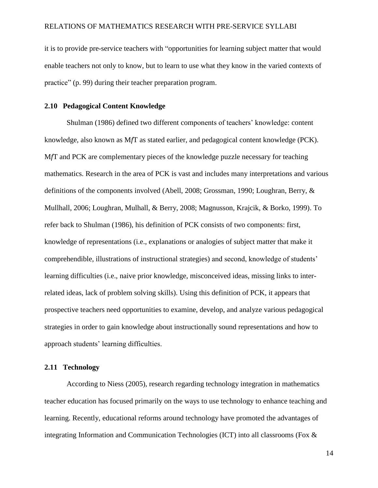it is to provide pre-service teachers with "opportunities for learning subject matter that would enable teachers not only to know, but to learn to use what they know in the varied contexts of practice" (p. 99) during their teacher preparation program.

#### <span id="page-22-0"></span>**2.10 Pedagogical Content Knowledge**

Shulman (1986) defined two different components of teachers' knowledge: content knowledge, also known as M*f*T as stated earlier, and pedagogical content knowledge (PCK). M*f*T and PCK are complementary pieces of the knowledge puzzle necessary for teaching mathematics. Research in the area of PCK is vast and includes many interpretations and various definitions of the components involved (Abell, 2008; Grossman, 1990; Loughran, Berry, & Mullhall, 2006; Loughran, Mulhall, & Berry, 2008; Magnusson, Krajcik, & Borko, 1999). To refer back to Shulman (1986), his definition of PCK consists of two components: first, knowledge of representations (i.e., explanations or analogies of subject matter that make it comprehendible, illustrations of instructional strategies) and second, knowledge of students' learning difficulties (i.e., naive prior knowledge, misconceived ideas, missing links to interrelated ideas, lack of problem solving skills). Using this definition of PCK, it appears that prospective teachers need opportunities to examine, develop, and analyze various pedagogical strategies in order to gain knowledge about instructionally sound representations and how to approach students' learning difficulties.

#### <span id="page-22-1"></span>**2.11 Technology**

According to Niess (2005), research regarding technology integration in mathematics teacher education has focused primarily on the ways to use technology to enhance teaching and learning. Recently, educational reforms around technology have promoted the advantages of integrating Information and Communication Technologies (ICT) into all classrooms (Fox &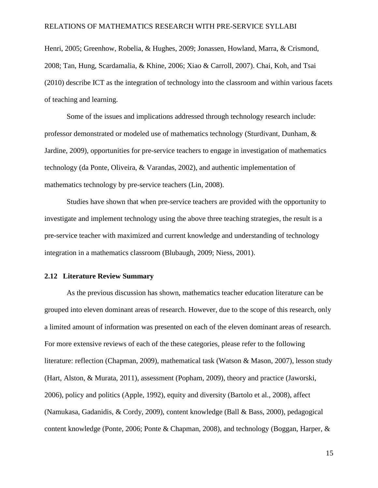Henri, 2005; Greenhow, Robelia, & Hughes, 2009; Jonassen, Howland, Marra, & Crismond, 2008; Tan, Hung, Scardamalia, & Khine, 2006; Xiao & Carroll, 2007). Chai, Koh, and Tsai (2010) describe ICT as the integration of technology into the classroom and within various facets of teaching and learning.

Some of the issues and implications addressed through technology research include: professor demonstrated or modeled use of mathematics technology (Sturdivant, Dunham, & Jardine, 2009), opportunities for pre-service teachers to engage in investigation of mathematics technology (da Ponte, Oliveira, & Varandas, 2002), and authentic implementation of mathematics technology by pre-service teachers (Lin, 2008).

Studies have shown that when pre-service teachers are provided with the opportunity to investigate and implement technology using the above three teaching strategies, the result is a pre-service teacher with maximized and current knowledge and understanding of technology integration in a mathematics classroom (Blubaugh, 2009; Niess, 2001).

#### <span id="page-23-0"></span>**2.12 Literature Review Summary**

As the previous discussion has shown, mathematics teacher education literature can be grouped into eleven dominant areas of research. However, due to the scope of this research, only a limited amount of information was presented on each of the eleven dominant areas of research. For more extensive reviews of each of the these categories, please refer to the following literature: reflection (Chapman, 2009), mathematical task (Watson & Mason, 2007), lesson study (Hart, Alston, & Murata, 2011), assessment (Popham, 2009), theory and practice (Jaworski, 2006), policy and politics (Apple, 1992), equity and diversity (Bartolo et al., 2008), affect (Namukasa, Gadanidis, & Cordy, 2009), content knowledge (Ball & Bass, 2000), pedagogical content knowledge (Ponte, 2006; Ponte & Chapman, 2008), and technology (Boggan, Harper, &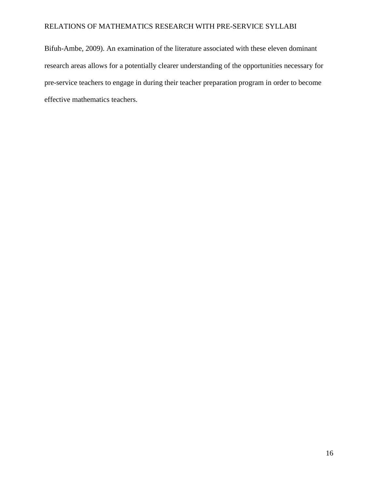Bifuh-Ambe, 2009). An examination of the literature associated with these eleven dominant research areas allows for a potentially clearer understanding of the opportunities necessary for pre-service teachers to engage in during their teacher preparation program in order to become effective mathematics teachers.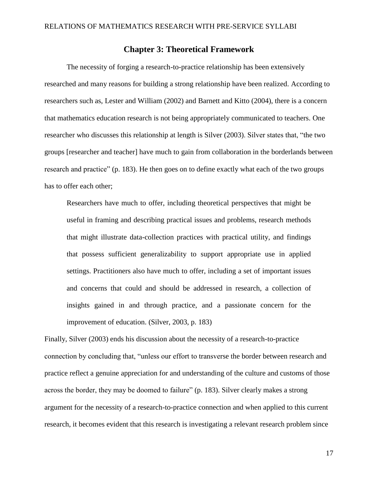## **Chapter 3: Theoretical Framework**

<span id="page-25-0"></span>The necessity of forging a research-to-practice relationship has been extensively researched and many reasons for building a strong relationship have been realized. According to researchers such as, Lester and William (2002) and Barnett and Kitto (2004), there is a concern that mathematics education research is not being appropriately communicated to teachers. One researcher who discusses this relationship at length is Silver (2003). Silver states that, "the two groups [researcher and teacher] have much to gain from collaboration in the borderlands between research and practice" (p. 183). He then goes on to define exactly what each of the two groups has to offer each other;

Researchers have much to offer, including theoretical perspectives that might be useful in framing and describing practical issues and problems, research methods that might illustrate data-collection practices with practical utility, and findings that possess sufficient generalizability to support appropriate use in applied settings. Practitioners also have much to offer, including a set of important issues and concerns that could and should be addressed in research, a collection of insights gained in and through practice, and a passionate concern for the improvement of education. (Silver, 2003, p. 183)

Finally, Silver (2003) ends his discussion about the necessity of a research-to-practice connection by concluding that, "unless our effort to transverse the border between research and practice reflect a genuine appreciation for and understanding of the culture and customs of those across the border, they may be doomed to failure" (p. 183). Silver clearly makes a strong argument for the necessity of a research-to-practice connection and when applied to this current research, it becomes evident that this research is investigating a relevant research problem since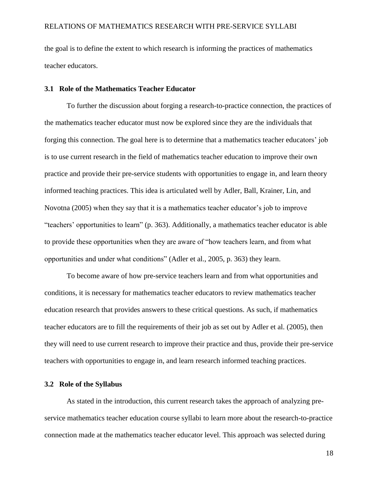the goal is to define the extent to which research is informing the practices of mathematics teacher educators.

#### <span id="page-26-0"></span>**3.1 Role of the Mathematics Teacher Educator**

To further the discussion about forging a research-to-practice connection, the practices of the mathematics teacher educator must now be explored since they are the individuals that forging this connection. The goal here is to determine that a mathematics teacher educators' job is to use current research in the field of mathematics teacher education to improve their own practice and provide their pre-service students with opportunities to engage in, and learn theory informed teaching practices. This idea is articulated well by Adler, Ball, Krainer, Lin, and Novotna (2005) when they say that it is a mathematics teacher educator's job to improve "teachers' opportunities to learn" (p. 363). Additionally, a mathematics teacher educator is able to provide these opportunities when they are aware of "how teachers learn, and from what opportunities and under what conditions" (Adler et al., 2005, p. 363) they learn.

To become aware of how pre-service teachers learn and from what opportunities and conditions, it is necessary for mathematics teacher educators to review mathematics teacher education research that provides answers to these critical questions. As such, if mathematics teacher educators are to fill the requirements of their job as set out by Adler et al. (2005), then they will need to use current research to improve their practice and thus, provide their pre-service teachers with opportunities to engage in, and learn research informed teaching practices.

#### <span id="page-26-1"></span>**3.2 Role of the Syllabus**

As stated in the introduction, this current research takes the approach of analyzing preservice mathematics teacher education course syllabi to learn more about the research-to-practice connection made at the mathematics teacher educator level. This approach was selected during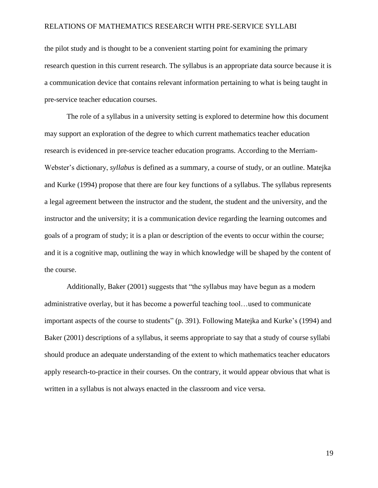the pilot study and is thought to be a convenient starting point for examining the primary research question in this current research. The syllabus is an appropriate data source because it is a communication device that contains relevant information pertaining to what is being taught in pre-service teacher education courses.

The role of a syllabus in a university setting is explored to determine how this document may support an exploration of the degree to which current mathematics teacher education research is evidenced in pre-service teacher education programs. According to the Merriam-Webster's dictionary, *syllabus* is defined as a summary, a course of study, or an outline. Matejka and Kurke (1994) propose that there are four key functions of a syllabus. The syllabus represents a legal agreement between the instructor and the student, the student and the university, and the instructor and the university; it is a communication device regarding the learning outcomes and goals of a program of study; it is a plan or description of the events to occur within the course; and it is a cognitive map, outlining the way in which knowledge will be shaped by the content of the course.

Additionally, Baker (2001) suggests that "the syllabus may have begun as a modern administrative overlay, but it has become a powerful teaching tool…used to communicate important aspects of the course to students" (p. 391). Following Matejka and Kurke's (1994) and Baker (2001) descriptions of a syllabus, it seems appropriate to say that a study of course syllabi should produce an adequate understanding of the extent to which mathematics teacher educators apply research-to-practice in their courses. On the contrary, it would appear obvious that what is written in a syllabus is not always enacted in the classroom and vice versa.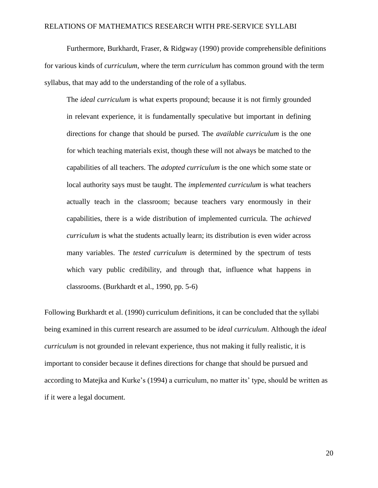Furthermore, Burkhardt, Fraser, & Ridgway (1990) provide comprehensible definitions for various kinds of *curriculum*, where the term *curriculum* has common ground with the term syllabus, that may add to the understanding of the role of a syllabus.

The *ideal curriculum* is what experts propound; because it is not firmly grounded in relevant experience, it is fundamentally speculative but important in defining directions for change that should be pursed. The *available curriculum* is the one for which teaching materials exist, though these will not always be matched to the capabilities of all teachers. The *adopted curriculum* is the one which some state or local authority says must be taught. The *implemented curriculum* is what teachers actually teach in the classroom; because teachers vary enormously in their capabilities, there is a wide distribution of implemented curricula. The *achieved curriculum* is what the students actually learn; its distribution is even wider across many variables. The *tested curriculum* is determined by the spectrum of tests which vary public credibility, and through that, influence what happens in classrooms. (Burkhardt et al., 1990, pp. 5-6)

Following Burkhardt et al. (1990) curriculum definitions, it can be concluded that the syllabi being examined in this current research are assumed to be *ideal curriculum*. Although the *ideal curriculum* is not grounded in relevant experience, thus not making it fully realistic, it is important to consider because it defines directions for change that should be pursued and according to Matejka and Kurke's (1994) a curriculum, no matter its' type, should be written as if it were a legal document.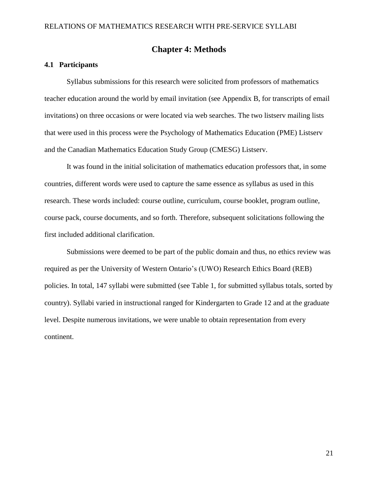## **Chapter 4: Methods**

#### <span id="page-29-1"></span><span id="page-29-0"></span>**4.1 Participants**

Syllabus submissions for this research were solicited from professors of mathematics teacher education around the world by email invitation (see Appendix B, for transcripts of email invitations) on three occasions or were located via web searches. The two listserv mailing lists that were used in this process were the Psychology of Mathematics Education (PME) Listserv and the Canadian Mathematics Education Study Group (CMESG) Listserv.

It was found in the initial solicitation of mathematics education professors that, in some countries, different words were used to capture the same essence as syllabus as used in this research. These words included: course outline, curriculum, course booklet, program outline, course pack, course documents, and so forth. Therefore, subsequent solicitations following the first included additional clarification.

Submissions were deemed to be part of the public domain and thus, no ethics review was required as per the University of Western Ontario's (UWO) Research Ethics Board (REB) policies. In total, 147 syllabi were submitted (see Table 1, for submitted syllabus totals, sorted by country). Syllabi varied in instructional ranged for Kindergarten to Grade 12 and at the graduate level. Despite numerous invitations, we were unable to obtain representation from every continent.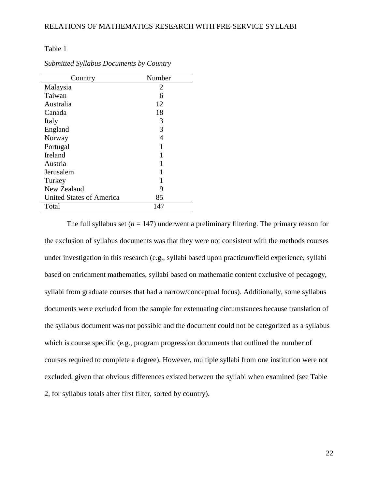<span id="page-30-0"></span>Table 1

| Country                  | Number |
|--------------------------|--------|
| Malaysia                 | 2      |
| Taiwan                   | 6      |
| Australia                | 12     |
| Canada                   | 18     |
| Italy                    | 3      |
| England                  | 3      |
| Norway                   | 4      |
| Portugal                 |        |
| Ireland                  |        |
| Austria                  |        |
| Jerusalem                |        |
| Turkey                   |        |
| New Zealand              | 9      |
| United States of America | 85     |
| Total                    | 147    |

*Submitted Syllabus Documents by Country*

The full syllabus set  $(n = 147)$  underwent a preliminary filtering. The primary reason for the exclusion of syllabus documents was that they were not consistent with the methods courses under investigation in this research (e.g., syllabi based upon practicum/field experience, syllabi based on enrichment mathematics, syllabi based on mathematic content exclusive of pedagogy, syllabi from graduate courses that had a narrow/conceptual focus). Additionally, some syllabus documents were excluded from the sample for extenuating circumstances because translation of the syllabus document was not possible and the document could not be categorized as a syllabus which is course specific (e.g., program progression documents that outlined the number of courses required to complete a degree). However, multiple syllabi from one institution were not excluded, given that obvious differences existed between the syllabi when examined (see Table 2, for syllabus totals after first filter, sorted by country).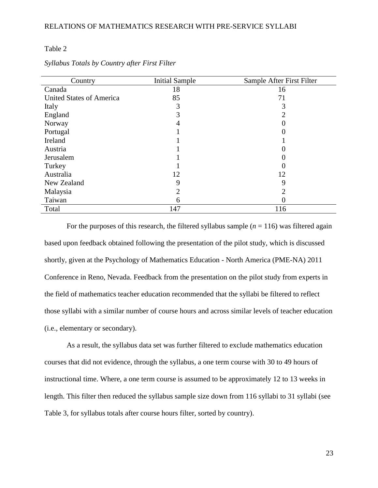### <span id="page-31-0"></span>Table 2

| Country                         | <b>Initial Sample</b> | Sample After First Filter |
|---------------------------------|-----------------------|---------------------------|
| Canada                          | 18                    | 16                        |
| <b>United States of America</b> | 85                    | 71                        |
| Italy                           | 3                     |                           |
| England                         | 3                     |                           |
| Norway                          | 4                     |                           |
| Portugal                        |                       |                           |
| Ireland                         |                       |                           |
| Austria                         |                       |                           |
| Jerusalem                       |                       |                           |
| Turkey                          |                       |                           |
| Australia                       | 12                    | 12                        |
| New Zealand                     | 9                     | 9                         |
| Malaysia                        | 2                     |                           |
| Taiwan                          | 6                     |                           |
| Total                           | 147                   | 116                       |

*Syllabus Totals by Country after First Filter*

For the purposes of this research, the filtered syllabus sample  $(n = 116)$  was filtered again based upon feedback obtained following the presentation of the pilot study, which is discussed shortly, given at the Psychology of Mathematics Education - North America (PME-NA) 2011 Conference in Reno, Nevada. Feedback from the presentation on the pilot study from experts in the field of mathematics teacher education recommended that the syllabi be filtered to reflect those syllabi with a similar number of course hours and across similar levels of teacher education (i.e., elementary or secondary).

As a result, the syllabus data set was further filtered to exclude mathematics education courses that did not evidence, through the syllabus, a one term course with 30 to 49 hours of instructional time. Where, a one term course is assumed to be approximately 12 to 13 weeks in length. This filter then reduced the syllabus sample size down from 116 syllabi to 31 syllabi (see Table 3, for syllabus totals after course hours filter, sorted by country).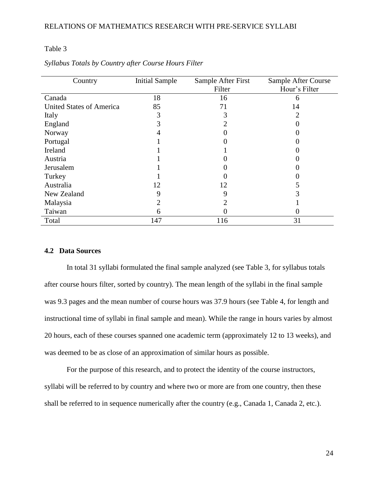### <span id="page-32-1"></span>Table 3

| Country                         | <b>Initial Sample</b> | Sample After First | Sample After Course |
|---------------------------------|-----------------------|--------------------|---------------------|
|                                 |                       | Filter             | Hour's Filter       |
| Canada                          | 18                    | 16                 | h                   |
| <b>United States of America</b> | 85                    | 71                 | 14                  |
| Italy                           |                       |                    |                     |
| England                         |                       |                    |                     |
| Norway                          |                       |                    |                     |
| Portugal                        |                       |                    |                     |
| Ireland                         |                       |                    |                     |
| Austria                         |                       |                    |                     |
| Jerusalem                       |                       |                    |                     |
| Turkey                          |                       |                    |                     |
| Australia                       | 12                    | 12                 |                     |
| New Zealand                     | 9                     | 9                  |                     |
| Malaysia                        |                       | 2                  |                     |
| Taiwan                          | 6                     | 0                  |                     |
| Total                           | 147                   | 116                | 31                  |

*Syllabus Totals by Country after Course Hours Filter*

## <span id="page-32-0"></span>**4.2 Data Sources**

In total 31 syllabi formulated the final sample analyzed (see Table 3, for syllabus totals after course hours filter, sorted by country). The mean length of the syllabi in the final sample was 9.3 pages and the mean number of course hours was 37.9 hours (see Table 4, for length and instructional time of syllabi in final sample and mean). While the range in hours varies by almost 20 hours, each of these courses spanned one academic term (approximately 12 to 13 weeks), and was deemed to be as close of an approximation of similar hours as possible.

For the purpose of this research, and to protect the identity of the course instructors, syllabi will be referred to by country and where two or more are from one country, then these shall be referred to in sequence numerically after the country (e.g., Canada 1, Canada 2, etc.).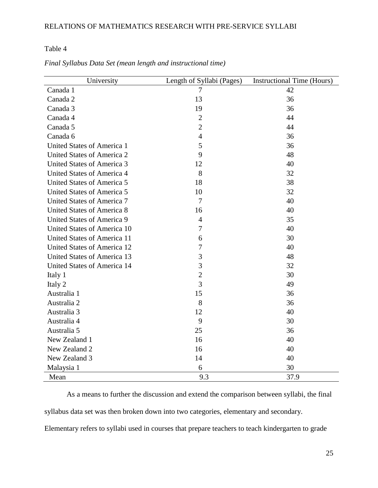<span id="page-33-0"></span>Table 4

| University                         | Length of Syllabi (Pages) | <b>Instructional Time (Hours)</b> |  |
|------------------------------------|---------------------------|-----------------------------------|--|
| Canada 1                           | 7                         | 42                                |  |
| Canada 2                           | 13                        | 36                                |  |
| Canada 3                           | 19                        | 36                                |  |
| Canada 4                           | $\overline{2}$            | 44                                |  |
| Canada 5                           | $\overline{2}$            | 44                                |  |
| Canada 6                           | $\overline{4}$            | 36                                |  |
| <b>United States of America 1</b>  | 5                         | 36                                |  |
| <b>United States of America 2</b>  | 9                         | 48                                |  |
| <b>United States of America 3</b>  | 12                        | 40                                |  |
| United States of America 4         | 8                         | 32                                |  |
| United States of America 5         | 18                        | 38                                |  |
| <b>United States of America 5</b>  | 10                        | 32                                |  |
| <b>United States of America 7</b>  | $\overline{7}$            | 40                                |  |
| <b>United States of America 8</b>  | 16                        | 40                                |  |
| United States of America 9         | $\overline{4}$            | 35                                |  |
| United States of America 10        | $\overline{7}$            | 40                                |  |
| United States of America 11        | 6                         | 30                                |  |
| <b>United States of America 12</b> | 7                         | 40                                |  |
| <b>United States of America 13</b> | 3                         | 48                                |  |
| United States of America 14        | 3                         | 32                                |  |
| Italy 1                            | $\overline{2}$            | 30                                |  |
| Italy 2                            | 3                         | 49                                |  |
| Australia 1                        | 15                        | 36                                |  |
| Australia 2                        | 8                         | 36                                |  |
| Australia 3                        | 12                        | 40                                |  |
| Australia 4                        | 9                         | 30                                |  |
| Australia 5                        | 25                        | 36                                |  |
| New Zealand 1                      | 16                        | 40                                |  |
| New Zealand 2                      | 16                        | 40                                |  |
| New Zealand 3                      | 14                        | 40                                |  |
| Malaysia 1                         | 6                         | 30                                |  |
| Mean                               | 9.3                       | 37.9                              |  |

*Final Syllabus Data Set (mean length and instructional time)*

As a means to further the discussion and extend the comparison between syllabi, the final syllabus data set was then broken down into two categories, elementary and secondary. Elementary refers to syllabi used in courses that prepare teachers to teach kindergarten to grade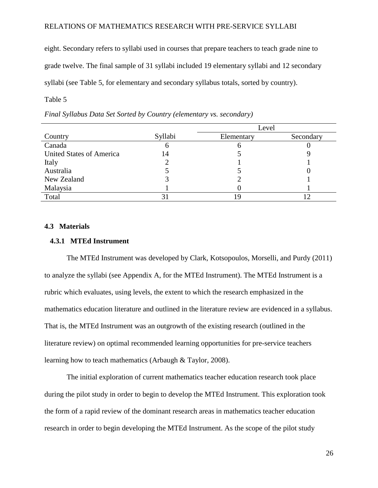eight. Secondary refers to syllabi used in courses that prepare teachers to teach grade nine to grade twelve. The final sample of 31 syllabi included 19 elementary syllabi and 12 secondary syllabi (see Table 5, for elementary and secondary syllabus totals, sorted by country).

<span id="page-34-2"></span>Table  $5$ 

|                                 |              | Level      |           |
|---------------------------------|--------------|------------|-----------|
| Country                         | Syllabi      | Elementary | Secondary |
| Canada                          | <sub>0</sub> | O          |           |
| <b>United States of America</b> | 14           |            |           |
| Italy                           |              |            |           |
| Australia                       |              |            |           |
| New Zealand                     |              |            |           |
| Malaysia                        |              |            |           |
| Total                           |              |            |           |

*Final Syllabus Data Set Sorted by Country (elementary vs. secondary)*

#### <span id="page-34-0"></span>**4.3 Materials**

#### <span id="page-34-1"></span> **4.3.1 MTEd Instrument**

The MTEd Instrument was developed by Clark, Kotsopoulos, Morselli, and Purdy (2011) to analyze the syllabi (see Appendix A, for the MTEd Instrument). The MTEd Instrument is a rubric which evaluates, using levels, the extent to which the research emphasized in the mathematics education literature and outlined in the literature review are evidenced in a syllabus. That is, the MTEd Instrument was an outgrowth of the existing research (outlined in the literature review) on optimal recommended learning opportunities for pre-service teachers learning how to teach mathematics (Arbaugh & Taylor, 2008).

The initial exploration of current mathematics teacher education research took place during the pilot study in order to begin to develop the MTEd Instrument. This exploration took the form of a rapid review of the dominant research areas in mathematics teacher education research in order to begin developing the MTEd Instrument. As the scope of the pilot study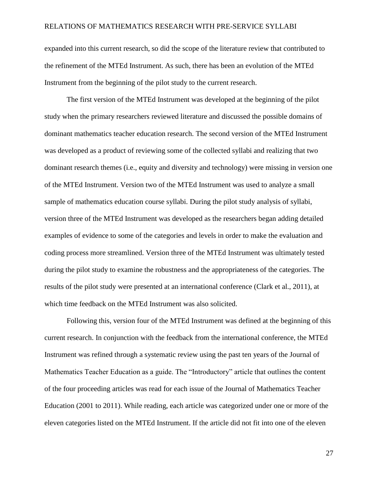expanded into this current research, so did the scope of the literature review that contributed to the refinement of the MTEd Instrument. As such, there has been an evolution of the MTEd Instrument from the beginning of the pilot study to the current research.

The first version of the MTEd Instrument was developed at the beginning of the pilot study when the primary researchers reviewed literature and discussed the possible domains of dominant mathematics teacher education research. The second version of the MTEd Instrument was developed as a product of reviewing some of the collected syllabi and realizing that two dominant research themes (i.e., equity and diversity and technology) were missing in version one of the MTEd Instrument. Version two of the MTEd Instrument was used to analyze a small sample of mathematics education course syllabi. During the pilot study analysis of syllabi, version three of the MTEd Instrument was developed as the researchers began adding detailed examples of evidence to some of the categories and levels in order to make the evaluation and coding process more streamlined. Version three of the MTEd Instrument was ultimately tested during the pilot study to examine the robustness and the appropriateness of the categories. The results of the pilot study were presented at an international conference (Clark et al., 2011), at which time feedback on the MTEd Instrument was also solicited.

Following this, version four of the MTEd Instrument was defined at the beginning of this current research. In conjunction with the feedback from the international conference, the MTEd Instrument was refined through a systematic review using the past ten years of the Journal of Mathematics Teacher Education as a guide. The "Introductory" article that outlines the content of the four proceeding articles was read for each issue of the Journal of Mathematics Teacher Education (2001 to 2011). While reading, each article was categorized under one or more of the eleven categories listed on the MTEd Instrument. If the article did not fit into one of the eleven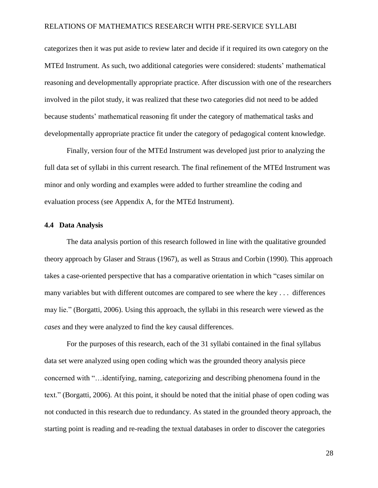categorizes then it was put aside to review later and decide if it required its own category on the MTEd Instrument. As such, two additional categories were considered: students' mathematical reasoning and developmentally appropriate practice. After discussion with one of the researchers involved in the pilot study, it was realized that these two categories did not need to be added because students' mathematical reasoning fit under the category of mathematical tasks and developmentally appropriate practice fit under the category of pedagogical content knowledge.

Finally, version four of the MTEd Instrument was developed just prior to analyzing the full data set of syllabi in this current research. The final refinement of the MTEd Instrument was minor and only wording and examples were added to further streamline the coding and evaluation process (see Appendix A, for the MTEd Instrument).

#### **4.4 Data Analysis**

The data analysis portion of this research followed in line with the qualitative grounded theory approach by Glaser and Straus (1967), as well as Straus and Corbin (1990). This approach takes a case-oriented perspective that has a comparative orientation in which "cases similar on many variables but with different outcomes are compared to see where the key . . . differences may lie." (Borgatti, 2006). Using this approach, the syllabi in this research were viewed as the *cases* and they were analyzed to find the key causal differences.

For the purposes of this research, each of the 31 syllabi contained in the final syllabus data set were analyzed using open coding which was the grounded theory analysis piece concerned with "…identifying, naming, categorizing and describing phenomena found in the text." (Borgatti, 2006). At this point, it should be noted that the initial phase of open coding was not conducted in this research due to redundancy. As stated in the grounded theory approach, the starting point is reading and re-reading the textual databases in order to discover the categories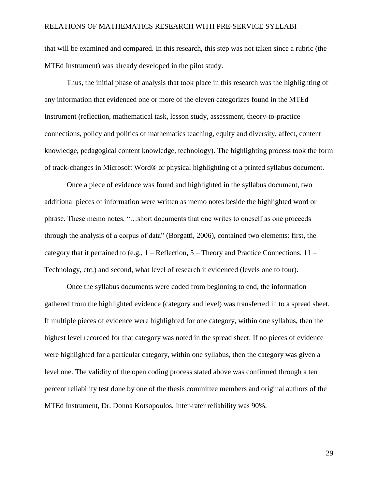that will be examined and compared. In this research, this step was not taken since a rubric (the MTEd Instrument) was already developed in the pilot study.

Thus, the initial phase of analysis that took place in this research was the highlighting of any information that evidenced one or more of the eleven categorizes found in the MTEd Instrument (reflection, mathematical task, lesson study, assessment, theory-to-practice connections, policy and politics of mathematics teaching, equity and diversity, affect, content knowledge, pedagogical content knowledge, technology). The highlighting process took the form of track-changes in Microsoft Word® or physical highlighting of a printed syllabus document.

Once a piece of evidence was found and highlighted in the syllabus document, two additional pieces of information were written as memo notes beside the highlighted word or phrase. These memo notes, "…short documents that one writes to oneself as one proceeds through the analysis of a corpus of data" (Borgatti, 2006), contained two elements: first, the category that it pertained to (e.g.,  $1 -$  Reflection,  $5 -$  Theory and Practice Connections,  $11 -$ Technology, etc.) and second, what level of research it evidenced (levels one to four).

Once the syllabus documents were coded from beginning to end, the information gathered from the highlighted evidence (category and level) was transferred in to a spread sheet. If multiple pieces of evidence were highlighted for one category, within one syllabus, then the highest level recorded for that category was noted in the spread sheet. If no pieces of evidence were highlighted for a particular category, within one syllabus, then the category was given a level one. The validity of the open coding process stated above was confirmed through a ten percent reliability test done by one of the thesis committee members and original authors of the MTEd Instrument, Dr. Donna Kotsopoulos. Inter-rater reliability was 90%.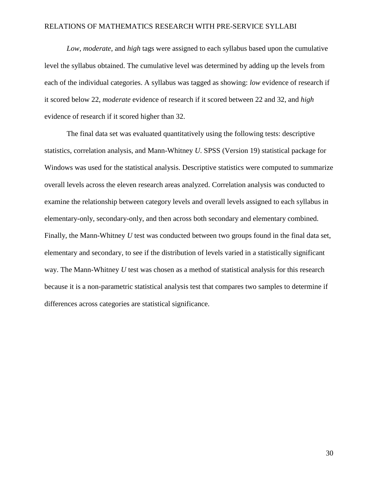*Low*, *moderate*, and *high* tags were assigned to each syllabus based upon the cumulative level the syllabus obtained. The cumulative level was determined by adding up the levels from each of the individual categories. A syllabus was tagged as showing: *low* evidence of research if it scored below 22, *moderate* evidence of research if it scored between 22 and 32, and *high* evidence of research if it scored higher than 32.

The final data set was evaluated quantitatively using the following tests: descriptive statistics, correlation analysis, and Mann-Whitney *U*. SPSS (Version 19) statistical package for Windows was used for the statistical analysis. Descriptive statistics were computed to summarize overall levels across the eleven research areas analyzed. Correlation analysis was conducted to examine the relationship between category levels and overall levels assigned to each syllabus in elementary-only, secondary-only, and then across both secondary and elementary combined. Finally, the Mann-Whitney *U* test was conducted between two groups found in the final data set, elementary and secondary, to see if the distribution of levels varied in a statistically significant way. The Mann-Whitney *U* test was chosen as a method of statistical analysis for this research because it is a non-parametric statistical analysis test that compares two samples to determine if differences across categories are statistical significance.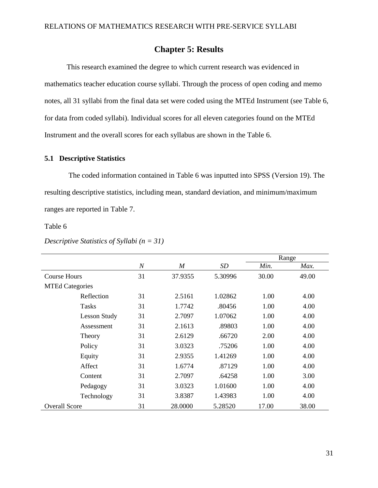# **Chapter 5: Results**

This research examined the degree to which current research was evidenced in mathematics teacher education course syllabi. Through the process of open coding and memo notes, all 31 syllabi from the final data set were coded using the MTEd Instrument (see Table 6, for data from coded syllabi). Individual scores for all eleven categories found on the MTEd Instrument and the overall scores for each syllabus are shown in the Table 6.

### **5.1 Descriptive Statistics**

The coded information contained in Table 6 was inputted into SPSS (Version 19). The resulting descriptive statistics, including mean, standard deviation, and minimum/maximum ranges are reported in Table 7.

Table 6

### *Descriptive Statistics of Syllabi (n = 31)*

|                        |                |         |         |       | Range |
|------------------------|----------------|---------|---------|-------|-------|
|                        | $\overline{N}$ | M       | SD      | Min.  | Max.  |
| Course Hours           | 31             | 37.9355 | 5.30996 | 30.00 | 49.00 |
| <b>MTEd Categories</b> |                |         |         |       |       |
| Reflection             | 31             | 2.5161  | 1.02862 | 1.00  | 4.00  |
| <b>Tasks</b>           | 31             | 1.7742  | .80456  | 1.00  | 4.00  |
| <b>Lesson Study</b>    | 31             | 2.7097  | 1.07062 | 1.00  | 4.00  |
| Assessment             | 31             | 2.1613  | .89803  | 1.00  | 4.00  |
| Theory                 | 31             | 2.6129  | .66720  | 2.00  | 4.00  |
| Policy                 | 31             | 3.0323  | .75206  | 1.00  | 4.00  |
| Equity                 | 31             | 2.9355  | 1.41269 | 1.00  | 4.00  |
| Affect                 | 31             | 1.6774  | .87129  | 1.00  | 4.00  |
| Content                | 31             | 2.7097  | .64258  | 1.00  | 3.00  |
| Pedagogy               | 31             | 3.0323  | 1.01600 | 1.00  | 4.00  |
| Technology             | 31             | 3.8387  | 1.43983 | 1.00  | 4.00  |
| <b>Overall Score</b>   | 31             | 28.0000 | 5.28520 | 17.00 | 38.00 |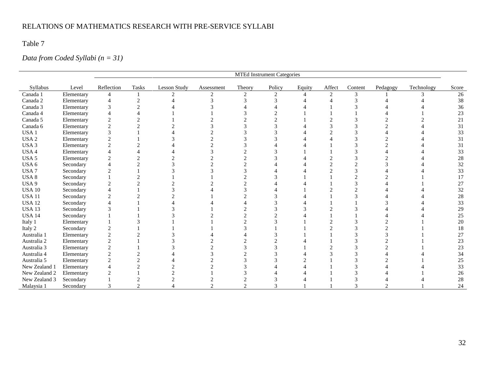Table 7

# *Data from Coded Syllabi (n = 31)*

|                  |            | MTEd Instrument Categories  |                |                     |                |        |        |        |        |         |          |              |        |
|------------------|------------|-----------------------------|----------------|---------------------|----------------|--------|--------|--------|--------|---------|----------|--------------|--------|
| Syllabus         | Level      | Reflection                  | <b>Tasks</b>   | <b>Lesson Study</b> | Assessment     | Theory | Policy | Equity | Affect | Content | Pedagogy | Technology   | Score  |
| Canada 1         | Elementary | 4                           |                | $\mathcal{L}$       | $\mathfrak{D}$ | 2      | 2      | 4      | 2      | 3       |          | $\mathbf{R}$ | 26     |
| Canada 2         | Elementary | 4                           |                |                     |                |        |        |        |        |         |          |              | 38     |
| Canada 3         | Elementary | 3                           | $\mathfrak{D}$ |                     |                |        |        |        |        |         |          |              | 36     |
| Canada 4         | Elementary | Δ                           |                |                     |                |        |        |        |        |         |          |              | 23     |
| Canada 5         | Elementary | $\mathfrak{2}$              |                |                     |                |        |        |        |        |         |          |              | 21     |
| Canada 6         | Elementary | $\mathfrak{2}$              |                |                     |                |        |        |        |        |         |          |              | 31     |
| USA <sub>1</sub> | Elementary | 3                           |                |                     |                |        |        |        |        |         |          |              | 33     |
| USA <sub>2</sub> | Elementary | $\overline{2}$              |                |                     |                |        |        |        |        |         |          |              | 31     |
| USA <sub>3</sub> | Elementary | $\mathbf{2}$                |                |                     |                |        |        |        |        |         |          |              | 31     |
| USA 4            | Elementary | $\overline{4}$              |                |                     |                |        |        |        |        |         |          |              | 33     |
| USA 5            | Elementary | $\overline{c}$              | $\mathcal{D}$  |                     |                |        |        |        |        |         |          |              | 28     |
| USA 6            | Secondary  | $\overline{4}$              |                |                     |                |        |        |        |        |         |          |              | 32     |
| USA <sub>7</sub> | Secondary  | $\mathfrak{D}$              |                |                     |                |        |        |        |        |         |          |              | 33     |
| USA 8            | Secondary  |                             |                |                     |                |        |        |        |        |         |          |              | 17     |
| USA 9            | Secondary  | $\overline{c}$              |                |                     |                |        |        |        |        |         |          |              | 27     |
| <b>USA 10</b>    | Secondary  |                             |                |                     |                |        |        |        |        |         |          |              | 32     |
| <b>USA 11</b>    | Secondary  | $\overline{c}$              |                |                     |                |        |        |        |        |         |          |              | 28     |
| <b>USA 12</b>    | Secondary  | Δ                           |                |                     |                |        |        |        |        |         |          |              | 33     |
| <b>USA 13</b>    | Secondary  | 3                           |                |                     |                |        |        |        |        |         |          |              | 29     |
| <b>USA 14</b>    | Secondary  |                             |                |                     |                |        |        |        |        |         |          |              | 25     |
| Italy 1          | Elementary |                             |                |                     |                |        |        |        |        |         |          |              | 20     |
| Italy 2          | Secondary  | $\mathfrak{D}$              |                |                     |                |        |        |        |        |         |          |              | 18     |
| Australia 1      | Elementary | $\overline{2}$              |                |                     |                |        |        |        |        |         |          |              | $27\,$ |
| Australia 2      | Elementary | $\overline{2}$              |                |                     |                |        |        |        |        |         |          |              | 23     |
| Australia 3      | Elementary | $\overline{2}$              |                |                     |                |        |        |        |        |         |          |              | 23     |
| Australia 4      | Elementary | $\overline{2}$              |                |                     |                |        |        |        |        |         |          |              | 34     |
| Australia 5      | Elementary | $\mathfrak{2}$              |                |                     |                |        |        |        |        |         |          |              | $25\,$ |
| New Zealand 1    | Elementary | 4                           |                |                     |                |        |        |        |        |         |          |              | 33     |
| New Zealand 2    | Elementary | $\mathcal{D}_{\mathcal{L}}$ |                |                     |                |        |        |        |        |         |          |              | 26     |
| New Zealand 3    | Secondary  |                             |                |                     |                |        |        |        |        |         |          |              | 28     |
| Malaysia 1       | Secondary  | 3                           | $\overline{c}$ |                     | $\overline{2}$ | ◠      |        |        |        |         |          |              | 24     |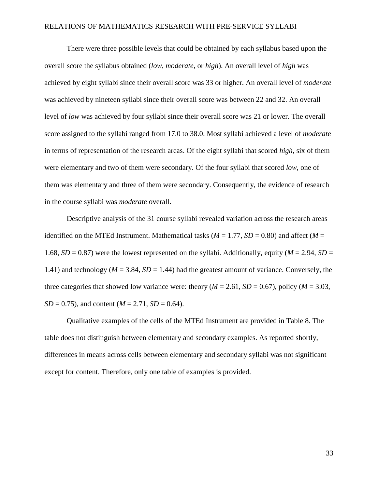There were three possible levels that could be obtained by each syllabus based upon the overall score the syllabus obtained (*low*, *moderate*, or *high*). An overall level of *high* was achieved by eight syllabi since their overall score was 33 or higher. An overall level of *moderate* was achieved by nineteen syllabi since their overall score was between 22 and 32. An overall level of *low* was achieved by four syllabi since their overall score was 21 or lower. The overall score assigned to the syllabi ranged from 17.0 to 38.0. Most syllabi achieved a level of *moderate* in terms of representation of the research areas. Of the eight syllabi that scored *high*, six of them were elementary and two of them were secondary. Of the four syllabi that scored *low*, one of them was elementary and three of them were secondary. Consequently, the evidence of research in the course syllabi was *moderate* overall.

Descriptive analysis of the 31 course syllabi revealed variation across the research areas identified on the MTEd Instrument. Mathematical tasks ( $M = 1.77$ ,  $SD = 0.80$ ) and affect ( $M =$ 1.68,  $SD = 0.87$ ) were the lowest represented on the syllabi. Additionally, equity ( $M = 2.94$ ,  $SD =$ 1.41) and technology ( $M = 3.84$ ,  $SD = 1.44$ ) had the greatest amount of variance. Conversely, the three categories that showed low variance were: theory ( $M = 2.61$ ,  $SD = 0.67$ ), policy ( $M = 3.03$ ,  $SD = 0.75$ , and content ( $M = 2.71$ ,  $SD = 0.64$ ).

Qualitative examples of the cells of the MTEd Instrument are provided in Table 8. The table does not distinguish between elementary and secondary examples. As reported shortly, differences in means across cells between elementary and secondary syllabi was not significant except for content. Therefore, only one table of examples is provided.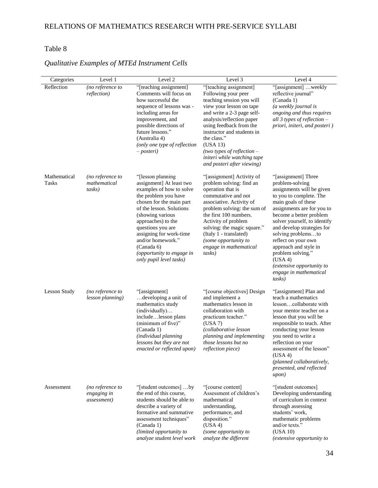# Table 8

| Categories                   | Level 1                                        | Level 2                                                                                                                                                                                                                                                                                                                                          | Level 3                                                                                                                                                                                                                                                                                                                                            | Level 4                                                                                                                                                                                                                                                                                                                                                                                                             |
|------------------------------|------------------------------------------------|--------------------------------------------------------------------------------------------------------------------------------------------------------------------------------------------------------------------------------------------------------------------------------------------------------------------------------------------------|----------------------------------------------------------------------------------------------------------------------------------------------------------------------------------------------------------------------------------------------------------------------------------------------------------------------------------------------------|---------------------------------------------------------------------------------------------------------------------------------------------------------------------------------------------------------------------------------------------------------------------------------------------------------------------------------------------------------------------------------------------------------------------|
| Reflection                   | (no reference to<br>reflection)                | "[teaching assignment]<br>Comments will focus on<br>how successful the<br>sequence of lessons was -<br>including areas for<br>improvement, and<br>possible directions of<br>future lessons."<br>(Australia 4)<br>(only one type of reflection<br><i>– posteri</i> )                                                                              | "[teaching assignment]<br>Following your peer<br>teaching session you will<br>view your lesson on tape<br>and write a 2-3 page self-<br>analysis/reflection paper<br>using feedback from the<br>instructor and students in<br>the class."<br>(USA 13)<br>(two types of reflection $-$<br>initeri while watching tape<br>and posteri after viewing) | "[assignment] weekly<br>reflective journal"<br>(Canada 1)<br>(a weekly journal is<br>ongoing and thus requires<br>all 3 types of reflection -<br>priori, initeri, and posteri)                                                                                                                                                                                                                                      |
| Mathematical<br><b>Tasks</b> | (no reference to<br>mathematical<br>tasks)     | "[lesson planning]"<br>assignment] At least two<br>examples of how to solve<br>the problem you have<br>chosen for the main part<br>of the lesson. Solutions<br>(showing various<br>approaches) to the<br>questions you are<br>assigning for work-time<br>and/or homework."<br>(Canada 6)<br>(opportunity to engage in<br>only pupil level tasks) | "[assignment] Activity of<br>problem solving: find an<br>operation that is<br>commutative and not<br>associative. Activity of<br>problem solving: the sum of<br>the first 100 numbers.<br>Activity of problem<br>solving: the magic square."<br>(Italy 1 - translated)<br>(some opportunity to<br>engage in mathematical<br>tasks)                 | "[assignment] Three<br>problem-solving<br>assignments will be given<br>to you to complete. The<br>main goals of these<br>assignments are for you to<br>become a better problem<br>solver yourself, to identify<br>and develop strategies for<br>solving problemsto<br>reflect on your own<br>approach and style in<br>problem solving."<br>(USA 4)<br>(extensive opportunity to<br>engage in mathematical<br>tasks) |
| <b>Lesson Study</b>          | (no reference to<br>lesson planning)           | "[assignment]"<br>developing a unit of<br>mathematics study<br>(individually)<br>includelesson plans<br>(minimum of five)"<br>(Canada 1)<br>(individual planning<br>lessons but they are not<br>enacted or reflected upon)                                                                                                                       | "[course objectives] Design<br>and implement a<br>mathematics lesson in<br>collaboration with<br>practicum teacher."<br>(USA 7)<br>(collaborative lesson<br>planning and implementing<br>those lessons but no<br><i>reflection piece</i> )                                                                                                         | "[assignment] Plan and<br>teach a mathematics<br>lessoncollaborate with<br>your mentor teacher on a<br>lesson that you will be<br>responsible to teach. After<br>conducting your lesson<br>you need to write a<br>reflection on your<br>assessment of the lesson"<br>(USA 4)<br>(planned collaboratively,<br>presented, and reflected<br>upon)                                                                      |
| Assessment                   | (no reference to<br>engaging in<br>assessment) | "[student outcomes] by<br>the end of this course.<br>students should be able to<br>describe a variety of<br>formative and summative<br>assessment techniques"<br>(Canada 1)<br>(limited opportunity to<br>analyze student level work                                                                                                             | "[course content]<br>Assessment of children's<br>mathematical<br>understanding,<br>performance, and<br>disposition."<br>(USA 4)<br>(some opportunity to<br>analyze the different                                                                                                                                                                   | "[student outcomes]<br>Developing understanding<br>of curriculum in context<br>through assessing<br>students' work,<br>mathematic problems<br>and/or texts."<br>(USA 10)<br>(extensive opportunity to                                                                                                                                                                                                               |

# *Qualitative Examples of MTEd Instrument Cells*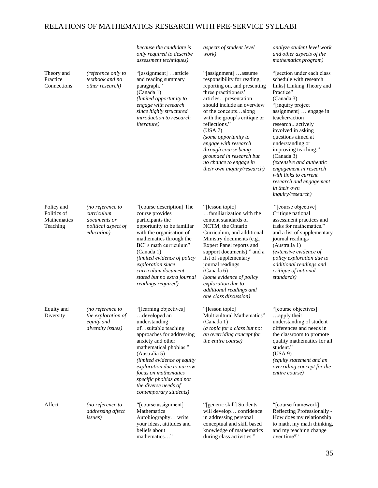|                                                      |                                                                                     | because the candidate is<br>only required to describe<br>assessment techniques)                                                                                                                                                                                                                                                               | aspects of student level<br>work)                                                                                                                                                                                                                                                                                                                                                                                  | analyze student level work<br>and other aspects of the<br>mathematics program)                                                                                                                                                                                                                                                                                                                                                                           |
|------------------------------------------------------|-------------------------------------------------------------------------------------|-----------------------------------------------------------------------------------------------------------------------------------------------------------------------------------------------------------------------------------------------------------------------------------------------------------------------------------------------|--------------------------------------------------------------------------------------------------------------------------------------------------------------------------------------------------------------------------------------------------------------------------------------------------------------------------------------------------------------------------------------------------------------------|----------------------------------------------------------------------------------------------------------------------------------------------------------------------------------------------------------------------------------------------------------------------------------------------------------------------------------------------------------------------------------------------------------------------------------------------------------|
| Theory and<br>Practice<br>Connections                | (reference only to<br>textbook and no<br>other research)                            | "[assignment] article<br>and reading summary<br>paragraph."<br>(Canada 1)<br>(limited opportunity to<br>engage with research<br>since highly structured<br>introduction to research<br>literature)                                                                                                                                            | "[assignment] assume<br>responsibility for reading,<br>reporting on, and presenting<br>three practitioners'<br>articlespresentation<br>should include an overview<br>of the conceptsalong<br>with the group's critique or<br>reflections."<br>(USA 7)<br>(some opportunity to<br>engage with research<br>through course being<br>grounded in research but<br>no chance to engage in<br>their own inquiry/research) | "[section under each class]"<br>schedule with research<br>links] Linking Theory and<br>Practice"<br>(Canada 3)<br>"[inquiry project<br>assignment]  engage in<br>teacher/action<br>researchactively<br>involved in asking<br>questions aimed at<br>understanding or<br>improving teaching."<br>(Canada 3)<br>(extensive and authentic<br>engagement in research<br>with links to current<br>research and engagement<br>in their own<br>inquiry/research) |
| Policy and<br>Politics of<br>Mathematics<br>Teaching | (no reference to<br>curriculum<br>documents or<br>political aspect of<br>education) | "[course description] The<br>course provides<br>participants the<br>opportunity to be familiar<br>with the organisation of<br>mathematics through the<br>BC's math curriculum"<br>(Canada 1)<br>(limited evidence of policy<br>exploration since<br>curriculum document<br>stated but no extra journal<br>readings required)                  | "[lesson topic]"<br>familiarization with the<br>content standards of<br>NCTM, the Ontario<br>Curriculum, and additional<br>Ministry documents (e.g.,<br>Expert Panel reports and<br>support documents)." and a<br>list of supplementary<br>journal readings<br>(Canada 6)<br>(some evidence of policy<br>exploration due to<br>additional readings and<br>one class discussion)                                    | "[course objective]<br>Critique national<br>assessment practices and<br>tasks for mathematics."<br>and a list of supplementary<br>journal readings<br>(Australia 1)<br>(extensive evidence of<br>policy exploration due to<br>additional readings and<br>critique of national<br>standards)                                                                                                                                                              |
| Equity and<br>Diversity                              | (no reference to<br>the exploration of<br>equity and<br><i>diversity issues</i> )   | "[learning objectives]<br>developed an<br>understanding<br>ofsuitable teaching<br>approaches for addressing<br>anxiety and other<br>mathematical phobias."<br>(Australia 5)<br>(limited evidence of equity<br>exploration due to narrow<br>focus on mathematics<br>specific phobias and not<br>the diverse needs of<br>contemporary students) | "[lesson topic]"<br>Multicultural Mathematics"<br>(Canada 1)<br>(a topic for a class but not<br>an overriding concept for<br>the entire course)                                                                                                                                                                                                                                                                    | "[course objectives]<br>apply their<br>understanding of student<br>differences and needs in<br>the classroom to promote<br>quality mathematics for all<br>student."<br>(USA 9)<br>(equity statement and an<br>overriding concept for the<br>entire course)                                                                                                                                                                                               |
| Affect                                               | (no reference to<br>addressing affect<br><i>issues</i> )                            | "[course assignment]<br>Mathematics<br>Autobiography write<br>your ideas, attitudes and<br>beliefs about<br>mathematics"                                                                                                                                                                                                                      | "[generic skill] Students<br>will develop confidence<br>in addressing personal<br>conceptual and skill based<br>knowledge of mathematics<br>during class activities."                                                                                                                                                                                                                                              | "[course framework]<br>Reflecting Professionally -<br>How does my relationship<br>to math, my math thinking,<br>and my teaching change<br>over time?"                                                                                                                                                                                                                                                                                                    |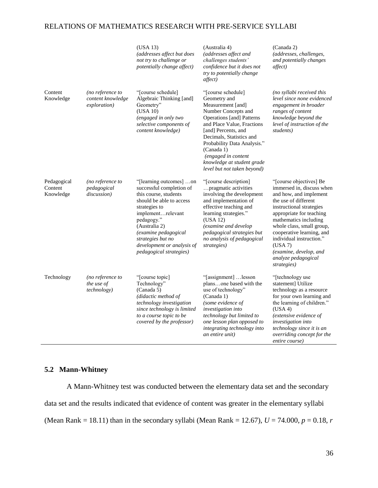|                                     |                                                       | (USA 13)<br>(addresses affect but does<br>not try to challenge or<br>potentially change affect)                                                                                                                                                                                            | (Australia 4)<br>(addresses affect and<br>challenges students'<br>confidence but it does not<br>try to potentially change<br>affect)                                                                                                                                                                                                 | (Canada 2)<br>(addresses, challenges,<br>and potentially changes<br><i>affect</i> )                                                                                                                                                                                                                                                                      |
|-------------------------------------|-------------------------------------------------------|--------------------------------------------------------------------------------------------------------------------------------------------------------------------------------------------------------------------------------------------------------------------------------------------|--------------------------------------------------------------------------------------------------------------------------------------------------------------------------------------------------------------------------------------------------------------------------------------------------------------------------------------|----------------------------------------------------------------------------------------------------------------------------------------------------------------------------------------------------------------------------------------------------------------------------------------------------------------------------------------------------------|
| Content<br>Knowledge                | (no reference to<br>content knowledge<br>exploration) | "[course schedule]<br>Algebraic Thinking [and]<br>Geometry"<br>(USA 10)<br>(engaged in only two<br>selective components of<br>content knowledge)                                                                                                                                           | "[course schedule]<br>Geometry and<br>Measurement [and]<br>Number Concepts and<br><b>Operations</b> [and] Patterns<br>and Place Value, Fractions<br>[and] Percents, and<br>Decimals, Statistics and<br>Probability Data Analysis."<br>(Canada 1)<br>(engaged in content<br>knowledge at student grade<br>level but not taken beyond) | (no syllabi received this<br>level since none evidenced<br>engagement in broader<br>ranges of content<br>knowledge beyond the<br>level of instruction of the<br>students)                                                                                                                                                                                |
| Pedagogical<br>Content<br>Knowledge | (no reference to<br>pedagogical<br>discussion)        | "[learning outcomes] on<br>successful completion of<br>this course, students<br>should be able to access<br>strategies to<br>implementrelevant<br>pedagogy."<br>(Australia 2)<br>(examine pedagogical<br>strategies but no<br>development or analysis of<br><i>pedagogical strategies)</i> | "[course description]<br>pragmatic activities<br>involving the development<br>and implementation of<br>effective teaching and<br>learning strategies."<br>(USA 12)<br>(examine and develop<br>pedagogical strategies but<br>no analysis of pedagogical<br>strategies)                                                                | "[course objectives] Be<br>immersed in, discuss when<br>and how, and implement<br>the use of different<br>instructional strategies<br>appropriate for teaching<br>mathematics including<br>whole class, small group,<br>cooperative learning, and<br>individual instruction."<br>(USA 7)<br>(examine, develop, and<br>analyze pedagogical<br>strategies) |
| Technology                          | (no reference to<br>the use of<br>technology)         | "[course topic]"<br>Technology"<br>(Canada 5)<br>(didactic method of<br>technology investigation<br>since technology is limited<br>to a course topic to be<br>covered by the professor)                                                                                                    | "[assignment] lesson<br>plansone based with the<br>use of technology"<br>(Canada 1)<br>(some evidence of<br>investigation into<br>technology but limited to<br>one lesson plan opposed to<br>integrating technology into<br>an entire unit)                                                                                          | "[technology use<br>statement] Utilize<br>technology as a resource<br>for your own learning and<br>the learning of children."<br>(USA 4)<br>(extensive evidence of<br>investigation into<br>technology since it is an<br>overriding concept for the<br>entire course)                                                                                    |

# **5.2 Mann-Whitney**

A Mann-Whitney test was conducted between the elementary data set and the secondary data set and the results indicated that evidence of content was greater in the elementary syllabi (Mean Rank = 18.11) than in the secondary syllabi (Mean Rank = 12.67),  $U = 74.000$ ,  $p = 0.18$ ,  $r = 0.18$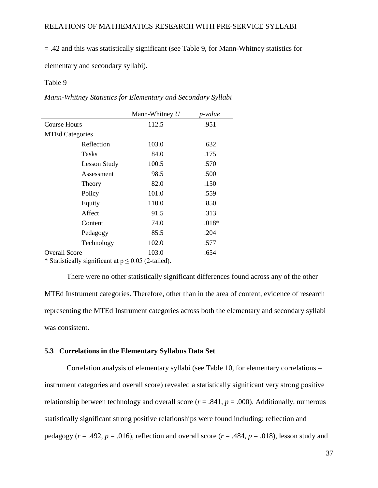= .42 and this was statistically significant (see Table 9, for Mann-Whitney statistics for

elementary and secondary syllabi).

#### Table 9 - Mann-Whitney Statistics for Elementary Syllabia Syllabia Syllabia Syllabia Syllabia Syllabia Syllabia Syllabia Syllabia Syllabia Syllabia Syllabia Syllabia Syllabia Syllabia Syllabia Syllabia Syllabia Syllabia Sy

*Mann-Whitney Statistics for Elementary and Secondary Syllabi*

|                                        | Mann-Whitney $U$                     | p-value |
|----------------------------------------|--------------------------------------|---------|
| <b>Course Hours</b>                    | 112.5                                | .951    |
| <b>MTEd Categories</b>                 |                                      |         |
| Reflection                             | 103.0                                | .632    |
| <b>Tasks</b>                           | 84.0                                 | .175    |
| <b>Lesson Study</b>                    | 100.5                                | .570    |
| Assessment                             | 98.5                                 | .500    |
| Theory                                 | 82.0                                 | .150    |
| Policy                                 | 101.0                                | .559    |
| Equity                                 | 110.0                                | .850    |
| Affect                                 | 91.5                                 | .313    |
| Content                                | 74.0                                 | $.018*$ |
| Pedagogy                               | 85.5                                 | .204    |
| Technology                             | 102.0                                | .577    |
| <b>Overall Score</b><br>$\cdot$ $\sim$ | 103.0<br>$\sim$ $\sim$ $\sim$ $\sim$ | .654    |

\* Statistically significant at  $p \le 0.05$  (2-tailed).

There were no other statistically significant differences found across any of the other MTEd Instrument categories. Therefore, other than in the area of content, evidence of research representing the MTEd Instrument categories across both the elementary and secondary syllabi was consistent.

## **5.3 Correlations in the Elementary Syllabus Data Set**

Correlation analysis of elementary syllabi (see Table 10, for elementary correlations – instrument categories and overall score) revealed a statistically significant very strong positive relationship between technology and overall score  $(r = .841, p = .000)$ . Additionally, numerous statistically significant strong positive relationships were found including: reflection and pedagogy ( $r = .492$ ,  $p = .016$ ), reflection and overall score ( $r = .484$ ,  $p = .018$ ), lesson study and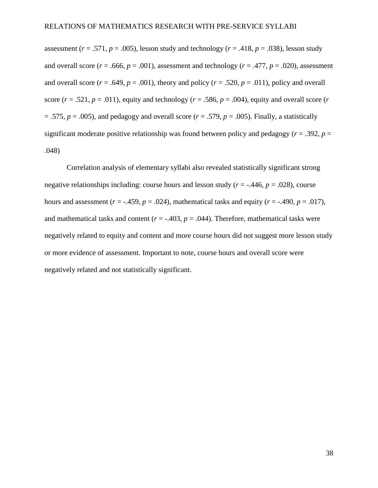assessment ( $r = .571$ ,  $p = .005$ ), lesson study and technology ( $r = .418$ ,  $p = .038$ ), lesson study and overall score ( $r = .666$ ,  $p = .001$ ), assessment and technology ( $r = .477$ ,  $p = .020$ ), assessment and overall score ( $r = .649$ ,  $p = .001$ ), theory and policy ( $r = .520$ ,  $p = .011$ ), policy and overall score ( $r = .521$ ,  $p = .011$ ), equity and technology ( $r = .586$ ,  $p = .004$ ), equity and overall score ( $r = .521$ )  $= .575, p = .005$ ), and pedagogy and overall score ( $r = .579, p = .005$ ). Finally, a statistically significant moderate positive relationship was found between policy and pedagogy ( $r = .392$ ,  $p =$ .048)

Correlation analysis of elementary syllabi also revealed statistically significant strong negative relationships including: course hours and lesson study  $(r = -.446, p = .028)$ , course hours and assessment ( $r = -.459$ ,  $p = .024$ ), mathematical tasks and equity ( $r = -.490$ ,  $p = .017$ ), and mathematical tasks and content ( $r = -0.403$ ,  $p = 0.044$ ). Therefore, mathematical tasks were negatively related to equity and content and more course hours did not suggest more lesson study or more evidence of assessment. Important to note, course hours and overall score were negatively related and not statistically significant.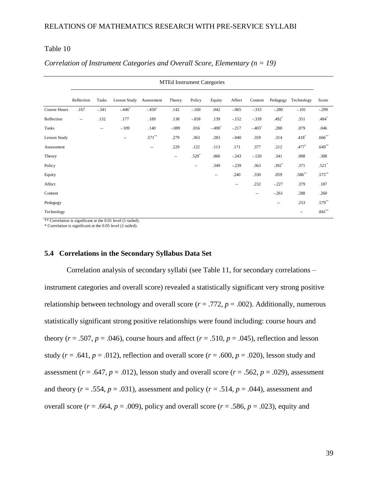### Table  $10$  - Correlation of Instrumentary (n  $\Gamma$

|                     | <b>MTEd Instrument Categories</b> |                          |                          |                          |                          |                          |                     |         |                        |          |               |           |
|---------------------|-----------------------------------|--------------------------|--------------------------|--------------------------|--------------------------|--------------------------|---------------------|---------|------------------------|----------|---------------|-----------|
|                     | Reflection                        | Tasks                    | Lesson Study             | Assessment               | Theory                   | Policy                   | Equity              | Affect  | Content                | Pedagogy | Technology    | Score     |
| <b>Course Hours</b> | .167                              | $-.341$                  | $-.446$                  | $-.459$ <sup>*</sup>     | .142                     | $-.160$                  | .042                | $-.005$ | $-.333$                | $-.280$  | $-.101$       | $-.299$   |
| Reflection          | $\sim$ $\sim$                     | .132                     | .177                     | .189                     | .138                     | $-.058$                  | .139                | $-.152$ | $-.339$                | $.492*$  | .351          | .484*     |
| Tasks               |                                   | $\overline{\phantom{a}}$ | $-.109$                  | .140                     | $-.089$                  | .016                     | $-.490*$            | $-.217$ | $-.403*$               | .288     | .079          | .046      |
| <b>Lesson Study</b> |                                   |                          | $\overline{\phantom{m}}$ | $.571***$                | .279                     | .363                     | .283                | $-.040$ | .359                   | .314     | $.418*$       | $.666$ ** |
| Assessment          |                                   |                          |                          | $\overline{\phantom{a}}$ | .229                     | .122                     | .113                | .171    | .377                   | .212     | .477*         | $.649**$  |
| Theory              |                                   |                          |                          |                          | $\overline{\phantom{a}}$ | $.520*$                  | .066                | $-.243$ | $-.120$                | .341     | .008          | .308      |
| Policy              |                                   |                          |                          |                          |                          | $\overline{\phantom{a}}$ | .349                | $-.239$ | .363                   | $.392*$  | .371          | $.521*$   |
| Equity              |                                   |                          |                          |                          |                          |                          | $\hspace{0.05cm} -$ | .240    | .330                   | .059     | $.586**$      | $.575***$ |
| Affect              |                                   |                          |                          |                          |                          |                          |                     | $-\,$   | .232                   | $-.227$  | .379          | .187      |
| Content             |                                   |                          |                          |                          |                          |                          |                     |         | $\qquad \qquad \cdots$ | $-.261$  | .288          | .260      |
| Pedagogy            |                                   |                          |                          |                          |                          |                          |                     |         |                        | $-$      | .253          | $.579**$  |
| Technology          |                                   |                          |                          |                          |                          |                          |                     |         |                        |          | $\sim$ $\sim$ | $.841***$ |

### *Correlation of Instrument Categories and Overall Score, Elementary (n = 19)*

\*\* Correlation is significant at the 0.01 level (1-tailed).

\* Correlation is significant at the 0.05 level (1-tailed).

#### **5.4 Correlations in the Secondary Syllabus Data Set**

Correlation analysis of secondary syllabi (see Table 11, for secondary correlations – instrument categories and overall score) revealed a statistically significant very strong positive relationship between technology and overall score  $(r = .772, p = .002)$ . Additionally, numerous statistically significant strong positive relationships were found including: course hours and theory ( $r = .507$ ,  $p = .046$ ), course hours and affect ( $r = .510$ ,  $p = .045$ ), reflection and lesson study ( $r = .641$ ,  $p = .012$ ), reflection and overall score ( $r = .600$ ,  $p = .020$ ), lesson study and assessment ( $r = .647$ ,  $p = .012$ ), lesson study and overall score ( $r = .562$ ,  $p = .029$ ), assessment and theory ( $r = .554$ ,  $p = .031$ ), assessment and policy ( $r = .514$ ,  $p = .044$ ), assessment and overall score ( $r = .664$ ,  $p = .009$ ), policy and overall score ( $r = .586$ ,  $p = .023$ ), equity and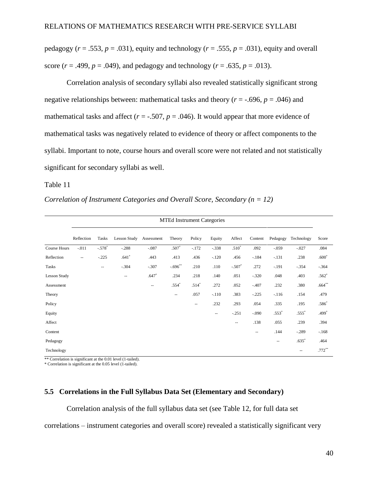pedagogy ( $r = .553$ ,  $p = .031$ ), equity and technology ( $r = .555$ ,  $p = .031$ ), equity and overall score ( $r = .499$ ,  $p = .049$ ), and pedagogy and technology ( $r = .635$ ,  $p = .013$ ).

Correlation analysis of secondary syllabi also revealed statistically significant strong negative relationships between: mathematical tasks and theory ( $r = -0.696$ ,  $p = 0.046$ ) and mathematical tasks and affect  $(r = -.507, p = .046)$ . It would appear that more evidence of mathematical tasks was negatively related to evidence of theory or affect components to the syllabi. Important to note, course hours and overall score were not related and not statistically significant for secondary syllabi as well.

#### Table 11 - Correlation of Instrument Categories and Overall Score, Secondary (n = 12)

*Correlation of Instrument Categories and Overall Score, Secondary (n = 12)*

|                     | Reflection               | Tasks                    | Lesson Study             | Assessment               | Theory     | Policy                                              | Equity                   | Affect   | Content                  | Pedagogy                 | Technology               | Score     |
|---------------------|--------------------------|--------------------------|--------------------------|--------------------------|------------|-----------------------------------------------------|--------------------------|----------|--------------------------|--------------------------|--------------------------|-----------|
| Course Hours        | $-.011$                  | $-.578$ <sup>*</sup>     | $-.288$                  | $-.087$                  | $.507*$    | $-.172$                                             | $-.338$                  | $.510*$  | .092                     | $-.059$                  | $-.027$                  | .084      |
| Reflection          | $\hspace{0.05cm} \ldots$ | $-.225$                  | $.641*$                  | .443                     | .413       | .436                                                | $-.120$                  | .456     | $-184$                   | $-.131$                  | .238                     | $.600*$   |
| Tasks               |                          | $\overline{\phantom{a}}$ | $-.304$                  | $-.307$                  | $-.696$ ** | .210                                                | .110                     | $-.507*$ | .272                     | $-.191$                  | $-.354$                  | $-.364$   |
| <b>Lesson Study</b> |                          |                          | $\overline{\phantom{a}}$ | $.647*$                  | .234       | .218                                                | .140                     | .051     | $-.320$                  | .048                     | .403                     | $.562*$   |
| Assessment          |                          |                          |                          | $\overline{\phantom{a}}$ | $.554*$    | $.514*$                                             | .272                     | .052     | $-.407$                  | .232                     | .380                     | $.664**$  |
| Theory              |                          |                          |                          |                          | --         | .057                                                | $-.110$                  | .383     | $-.225$                  | $-.116$                  | .154                     | .479      |
| Policy              |                          |                          |                          |                          |            | $\hspace{0.05cm} -\hspace{0.05cm} -\hspace{0.05cm}$ | .232                     | .293     | .054                     | .335                     | .195                     | $.586*$   |
| Equity              |                          |                          |                          |                          |            |                                                     | $\overline{\phantom{a}}$ | $-.251$  | $-.090$                  | $.553*$                  | $.555*$                  | .499*     |
| Affect              |                          |                          |                          |                          |            |                                                     |                          | --       | .138                     | .055                     | .239                     | .394      |
| Content             |                          |                          |                          |                          |            |                                                     |                          |          | $\overline{\phantom{m}}$ | .144                     | $-.289$                  | $-.168$   |
| Pedagogy            |                          |                          |                          |                          |            |                                                     |                          |          |                          | $\overline{\phantom{m}}$ | $.635*$                  | .464      |
| Technology          |                          |                          |                          |                          |            |                                                     |                          |          |                          |                          | $\overline{\phantom{a}}$ | $.772***$ |
|                     |                          |                          |                          |                          |            |                                                     |                          |          |                          |                          |                          |           |

MTEd Instrument Categories

\*\* Correlation is significant at the 0.01 level (1-tailed).

\* Correlation is significant at the 0.05 level (1-tailed).

### **5.5 Correlations in the Full Syllabus Data Set (Elementary and Secondary)**

Correlation analysis of the full syllabus data set (see Table 12, for full data set

correlations – instrument categories and overall score) revealed a statistically significant very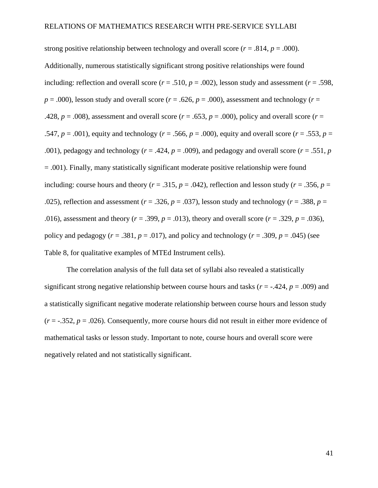strong positive relationship between technology and overall score  $(r = .814, p = .000)$ . Additionally, numerous statistically significant strong positive relationships were found including: reflection and overall score ( $r = .510$ ,  $p = .002$ ), lesson study and assessment ( $r = .598$ ,  $p = .000$ ), lesson study and overall score ( $r = .626$ ,  $p = .000$ ), assessment and technology ( $r =$ .428,  $p = .008$ ), assessment and overall score ( $r = .653$ ,  $p = .000$ ), policy and overall score ( $r = .653$ .547,  $p = .001$ ), equity and technology ( $r = .566$ ,  $p = .000$ ), equity and overall score ( $r = .553$ ,  $p =$ .001), pedagogy and technology ( $r = .424$ ,  $p = .009$ ), and pedagogy and overall score ( $r = .551$ ,  $p = .009$ )  $= .001$ ). Finally, many statistically significant moderate positive relationship were found including: course hours and theory ( $r = .315$ ,  $p = .042$ ), reflection and lesson study ( $r = .356$ ,  $p =$ .025), reflection and assessment ( $r = .326$ ,  $p = .037$ ), lesson study and technology ( $r = .388$ ,  $p =$ .016), assessment and theory ( $r = .399$ ,  $p = .013$ ), theory and overall score ( $r = .329$ ,  $p = .036$ ), policy and pedagogy ( $r = .381$ ,  $p = .017$ ), and policy and technology ( $r = .309$ ,  $p = .045$ ) (see Table 8, for qualitative examples of MTEd Instrument cells).

The correlation analysis of the full data set of syllabi also revealed a statistically significant strong negative relationship between course hours and tasks ( $r = -0.424$ ,  $p = 0.009$ ) and a statistically significant negative moderate relationship between course hours and lesson study  $(r = -.352, p = .026)$ . Consequently, more course hours did not result in either more evidence of mathematical tasks or lesson study. Important to note, course hours and overall score were negatively related and not statistically significant.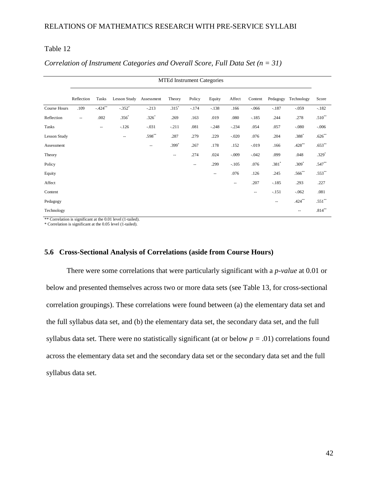### $Table 12$

|                     | <b>MTEd Instrument Categories</b> |            |               |            |                          |                          |         |                          |                          |                          |            |           |
|---------------------|-----------------------------------|------------|---------------|------------|--------------------------|--------------------------|---------|--------------------------|--------------------------|--------------------------|------------|-----------|
|                     | Reflection                        | Tasks      | Lesson Study  | Assessment | Theory                   | Policy                   | Equity  | Affect                   | Content                  | Pedagogy                 | Technology | Score     |
| Course Hours        | .109                              | $-.424***$ | $-.352*$      | $-.213$    | $.315*$                  | $-.174$                  | $-.138$ | .166                     | $-.066$                  | $-.187$                  | $-.059$    | $-.182$   |
| Reflection          | $\hspace{0.05cm} -$               | .002       | $.356*$       | $.326*$    | .269                     | .163                     | .019    | .080                     | $-.185$                  | .244                     | .278       | $.510**$  |
| Tasks               |                                   | --         | $-126$        | $-.031$    | $-.211$                  | .081                     | $-.248$ | $-.234$                  | .054                     | .057                     | $-.080$    | $-.006$   |
| <b>Lesson Study</b> |                                   |            | $\sim$ $\sim$ | $.598***$  | .287                     | .279                     | .229    | $-.020$                  | .076                     | .204                     | $.388*$    | $.626**$  |
| Assessment          |                                   |            |               | $-$        | $.399*$                  | .267                     | .178    | .152                     | $-.019$                  | .166                     | $.428***$  | $.653**$  |
| Theory              |                                   |            |               |            | $\overline{\phantom{m}}$ | .274                     | .024    | $-.009$                  | $-.042$                  | .099                     | .048       | $.329*$   |
| Policy              |                                   |            |               |            |                          | $\overline{\phantom{a}}$ | .299    | $-.105$                  | .076                     | $.381*$                  | $.309*$    | $.547**$  |
| Equity              |                                   |            |               |            |                          |                          | --      | .076                     | .126                     | .245                     | $.566**$   | $.553**$  |
| Affect              |                                   |            |               |            |                          |                          |         | $\overline{\phantom{a}}$ | .207                     | $-.185$                  | .293       | .227      |
| Content             |                                   |            |               |            |                          |                          |         |                          | $\overline{\phantom{a}}$ | $-.151$                  | $-.062$    | .081      |
| Pedagogy            |                                   |            |               |            |                          |                          |         |                          |                          | $\overline{\phantom{a}}$ | $.424***$  | $.551***$ |
| Technology          |                                   |            |               |            |                          |                          |         |                          |                          |                          | $-$        | $.814***$ |

#### *Correlation of Instrument Categories and Overall Score, Full Data Set (n = 31)*

\*\* Correlation is significant at the 0.01 level (1-tailed).

\* Correlation is significant at the 0.05 level (1-tailed).

### **5.6 Cross-Sectional Analysis of Correlations (aside from Course Hours)**

There were some correlations that were particularly significant with a *p-value* at 0.01 or below and presented themselves across two or more data sets (see Table 13, for cross-sectional correlation groupings). These correlations were found between (a) the elementary data set and the full syllabus data set, and (b) the elementary data set, the secondary data set, and the full syllabus data set. There were no statistically significant (at or below  $p = .01$ ) correlations found across the elementary data set and the secondary data set or the secondary data set and the full syllabus data set.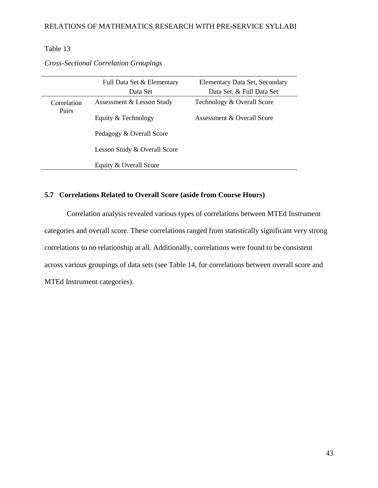# Table 13

|                      | Full Data Set & Elementary   | Elementary Data Set, Secondary |  |  |  |  |
|----------------------|------------------------------|--------------------------------|--|--|--|--|
|                      | Data Set                     | Data Set, & Full Data Set      |  |  |  |  |
| Correlation<br>Pairs | Assessment & Lesson Study    | Technology & Overall Score     |  |  |  |  |
|                      | Equity & Technology          | Assessment & Overall Score     |  |  |  |  |
|                      | Pedagogy & Overall Score     |                                |  |  |  |  |
|                      | Lesson Study & Overall Score |                                |  |  |  |  |
|                      | Equity & Overall Score       |                                |  |  |  |  |

*Cross-Sectional Correlation Groupings*

# **5.7 Correlations Related to Overall Score (aside from Course Hours)**

Correlation analysis revealed various types of correlations between MTEd Instrument categories and overall score. These correlations ranged from statistically significant very strong correlations to no relationship at all. Additionally, correlations were found to be consistent across various groupings of data sets (see Table 14, for correlations between overall score and MTEd Instrument categories).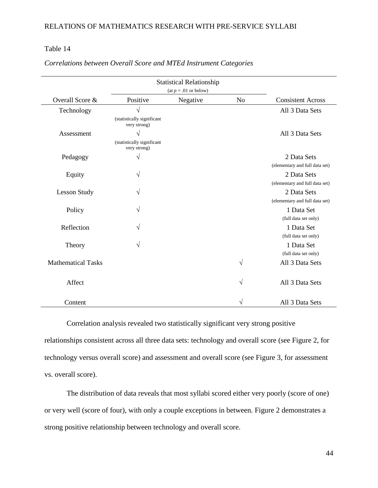### Table 14 - Correlations between Overall Score and MTED Instrument Categories and MTED Instrument Categories and MTE

|                           |                                            | <b>Statistical Relationship</b> |                |                                |
|---------------------------|--------------------------------------------|---------------------------------|----------------|--------------------------------|
|                           |                                            | $(at p = .01 \text{ or below})$ |                |                                |
| Overall Score &           | Positive                                   | Negative                        | N <sub>o</sub> | <b>Consistent Across</b>       |
| Technology                | $\sqrt{}$                                  |                                 |                | All 3 Data Sets                |
|                           | (statistically significant<br>very strong) |                                 |                |                                |
| Assessment                | N                                          |                                 |                | All 3 Data Sets                |
|                           | (statistically significant<br>very strong) |                                 |                |                                |
| Pedagogy                  | $\sqrt{}$                                  |                                 |                | 2 Data Sets                    |
|                           |                                            |                                 |                | (elementary and full data set) |
| Equity                    | $\sqrt{}$                                  |                                 |                | 2 Data Sets                    |
|                           |                                            |                                 |                | (elementary and full data set) |
| <b>Lesson Study</b>       | $\sqrt{}$                                  |                                 |                | 2 Data Sets                    |
|                           |                                            |                                 |                | (elementary and full data set) |
| Policy                    | $\sqrt{}$                                  |                                 |                | 1 Data Set                     |
|                           |                                            |                                 |                | (full data set only)           |
| Reflection                | V                                          |                                 |                | 1 Data Set                     |
|                           |                                            |                                 |                | (full data set only)           |
| Theory                    | $\sqrt{}$                                  |                                 |                | 1 Data Set                     |
|                           |                                            |                                 |                | (full data set only)           |
| <b>Mathematical Tasks</b> |                                            |                                 | $\sqrt{}$      | All 3 Data Sets                |
| Affect                    |                                            |                                 | $\sqrt{}$      | All 3 Data Sets                |
| Content                   |                                            |                                 | V              | All 3 Data Sets                |

*Correlations between Overall Score and MTEd Instrument Categories*

Correlation analysis revealed two statistically significant very strong positive relationships consistent across all three data sets: technology and overall score (see Figure 2, for technology versus overall score) and assessment and overall score (see Figure 3, for assessment vs. overall score).

The distribution of data reveals that most syllabi scored either very poorly (score of one) or very well (score of four), with only a couple exceptions in between. Figure 2 demonstrates a strong positive relationship between technology and overall score.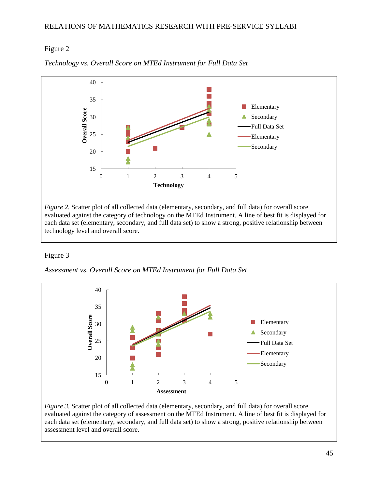# Figure 2



*Technology vs. Overall Score on MTEd Instrument for Full Data Set*

## Figure 3 - Assessment variant variant for  $\sim$  Assessment for Full Data Set Instrument for Full Data Set Instrument for Full Data Set Instrument for Full Data Set Instrument for Full Data Set Instrument for Full Data Set I

*Assessment vs. Overall Score on MTEd Instrument for Full Data Set*



evaluated against the category of assessment on the MTEd Instrument. A line of best fit is displayed for each data set (elementary, secondary, and full data set) to show a strong, positive relationship between assessment level and overall score.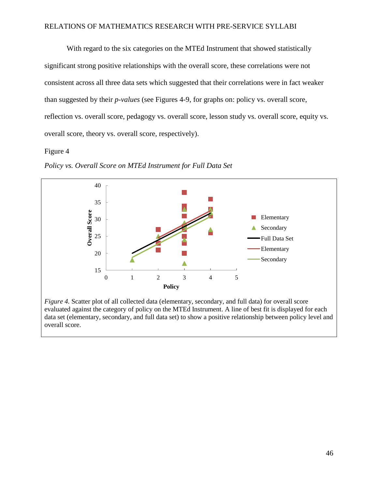With regard to the six categories on the MTEd Instrument that showed statistically significant strong positive relationships with the overall score, these correlations were not consistent across all three data sets which suggested that their correlations were in fact weaker than suggested by their *p-values* (see Figures 4-9, for graphs on: policy vs. overall score, reflection vs. overall score, pedagogy vs. overall score, lesson study vs. overall score, equity vs. overall score, theory vs. overall score, respectively).

## Figure 4



*Policy vs. Overall Score on MTEd Instrument for Full Data Set*

*Figure 4.* Scatter plot of all collected data (elementary, secondary, and full data) for overall score evaluated against the category of policy on the MTEd Instrument. A line of best fit is displayed for each data set (elementary, secondary, and full data set) to show a positive relationship between policy level and overall score.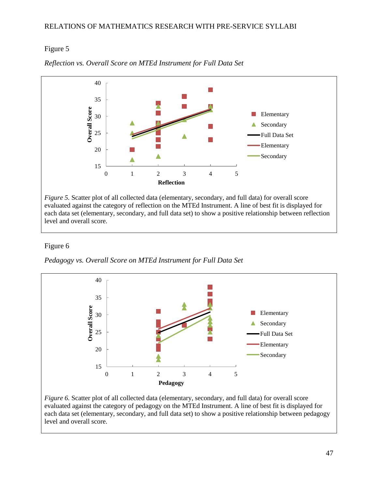# Figure 5



*Reflection vs. Overall Score on MTEd Instrument for Full Data Set*

# Figure 6 - Pedagogy vs. Overall Score on MTED Instrument for Full Data Set Instrument for Full Data Set Instrument for Full Data Set Instrument for Full Data Set Instrument for Full Data Set Instrument for Full Data Set In

*Pedagogy vs. Overall Score on MTEd Instrument for Full Data Set*

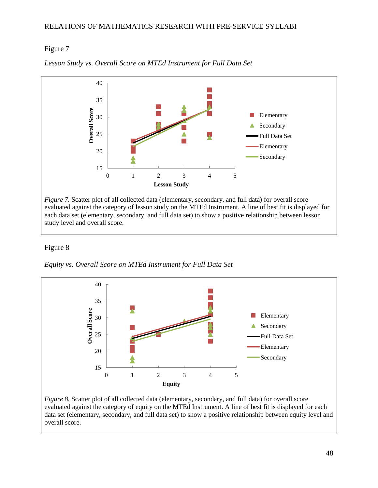# Figure 7  $-$



*Lesson Study vs. Overall Score on MTEd Instrument for Full Data Set*

## Figure 8

*Equity vs. Overall Score on MTEd Instrument for Full Data Set*



evaluated against the category of equity on the MTEd Instrument. A line of best fit is displayed for each data set (elementary, secondary, and full data set) to show a positive relationship between equity level and overall score.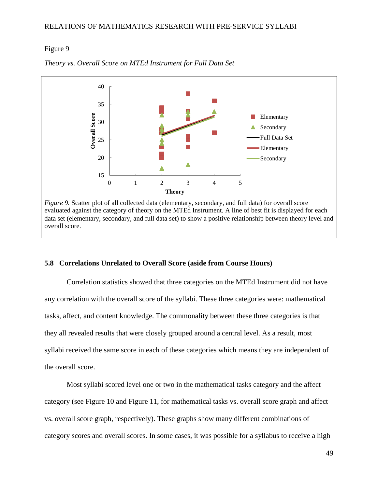### Figure 9



*Theory vs. Overall Score on MTEd Instrument for Full Data Set*

*Figure 9.* Scatter plot of all collected data (elementary, secondary, and full data) for overall score evaluated against the category of theory on the MTEd Instrument. A line of best fit is displayed for each data set (elementary, secondary, and full data set) to show a positive relationship between theory level and overall score.

#### **5.8 Correlations Unrelated to Overall Score (aside from Course Hours)**

Correlation statistics showed that three categories on the MTEd Instrument did not have any correlation with the overall score of the syllabi. These three categories were: mathematical tasks, affect, and content knowledge. The commonality between these three categories is that they all revealed results that were closely grouped around a central level. As a result, most syllabi received the same score in each of these categories which means they are independent of the overall score.

Most syllabi scored level one or two in the mathematical tasks category and the affect category (see Figure 10 and Figure 11, for mathematical tasks vs. overall score graph and affect vs. overall score graph, respectively). These graphs show many different combinations of category scores and overall scores. In some cases, it was possible for a syllabus to receive a high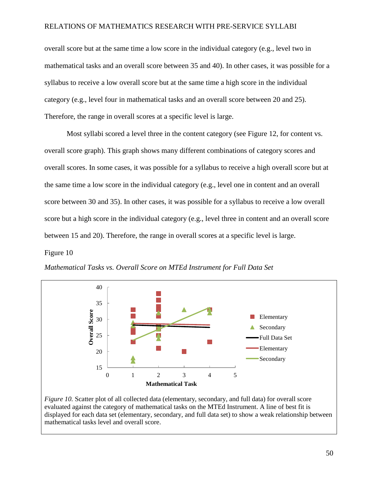overall score but at the same time a low score in the individual category (e.g., level two in mathematical tasks and an overall score between 35 and 40). In other cases, it was possible for a syllabus to receive a low overall score but at the same time a high score in the individual category (e.g., level four in mathematical tasks and an overall score between 20 and 25). Therefore, the range in overall scores at a specific level is large.

Most syllabi scored a level three in the content category (see Figure 12, for content vs. overall score graph). This graph shows many different combinations of category scores and overall scores. In some cases, it was possible for a syllabus to receive a high overall score but at the same time a low score in the individual category (e.g., level one in content and an overall score between 30 and 35). In other cases, it was possible for a syllabus to receive a low overall score but a high score in the individual category (e.g., level three in content and an overall score between 15 and 20). Therefore, the range in overall scores at a specific level is large.

## Figure 10  $\blacksquare$



*Mathematical Tasks vs. Overall Score on MTEd Instrument for Full Data Set*

*Figure 10.* Scatter plot of all collected data (elementary, secondary, and full data) for overall score evaluated against the category of mathematical tasks on the MTEd Instrument. A line of best fit is displayed for each data set (elementary, secondary, and full data set) to show a weak relationship between mathematical tasks level and overall score.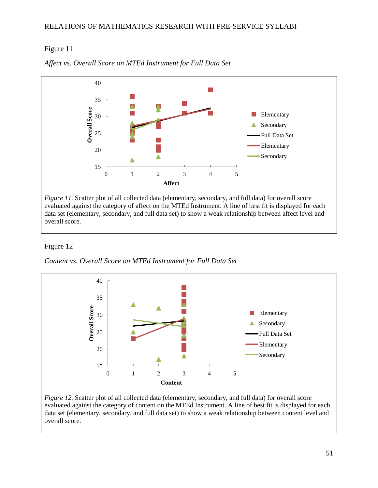# Figure 11

![](_page_59_Figure_2.jpeg)

*Affect vs. Overall Score on MTEd Instrument for Full Data Set*

## Figure 12

*Content vs. Overall Score on MTEd Instrument for Full Data Set*

![](_page_59_Figure_6.jpeg)

*Figure* 12. Scatter plot of all collected data (elementary, secondary, and full data) for overall score evaluated against the category of content on the MTEd Instrument. A line of best fit is displayed for each data set (elementary, secondary, and full data set) to show a weak relationship between content level and overall score.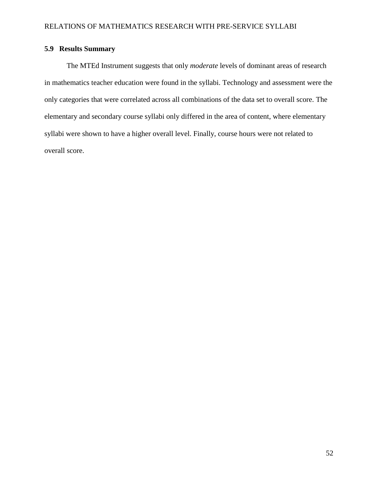# **5.9 Results Summary**

The MTEd Instrument suggests that only *moderate* levels of dominant areas of research in mathematics teacher education were found in the syllabi. Technology and assessment were the only categories that were correlated across all combinations of the data set to overall score. The elementary and secondary course syllabi only differed in the area of content, where elementary syllabi were shown to have a higher overall level. Finally, course hours were not related to overall score.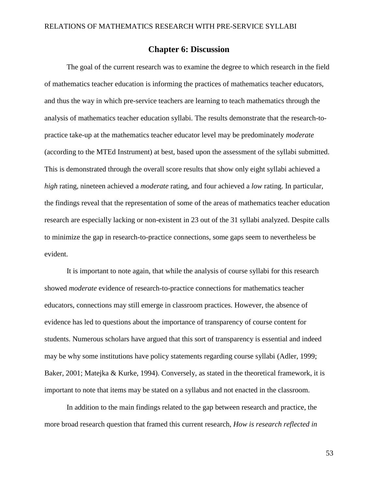# **Chapter 6: Discussion**

The goal of the current research was to examine the degree to which research in the field of mathematics teacher education is informing the practices of mathematics teacher educators, and thus the way in which pre-service teachers are learning to teach mathematics through the analysis of mathematics teacher education syllabi. The results demonstrate that the research-topractice take-up at the mathematics teacher educator level may be predominately *moderate* (according to the MTEd Instrument) at best, based upon the assessment of the syllabi submitted. This is demonstrated through the overall score results that show only eight syllabi achieved a *high* rating, nineteen achieved a *moderate* rating, and four achieved a *low* rating. In particular, the findings reveal that the representation of some of the areas of mathematics teacher education research are especially lacking or non-existent in 23 out of the 31 syllabi analyzed. Despite calls to minimize the gap in research-to-practice connections, some gaps seem to nevertheless be evident.

It is important to note again, that while the analysis of course syllabi for this research showed *moderate* evidence of research-to-practice connections for mathematics teacher educators, connections may still emerge in classroom practices. However, the absence of evidence has led to questions about the importance of transparency of course content for students. Numerous scholars have argued that this sort of transparency is essential and indeed may be why some institutions have policy statements regarding course syllabi (Adler, 1999; Baker, 2001; Matejka & Kurke, 1994). Conversely, as stated in the theoretical framework, it is important to note that items may be stated on a syllabus and not enacted in the classroom.

In addition to the main findings related to the gap between research and practice, the more broad research question that framed this current research, *How is research reflected in*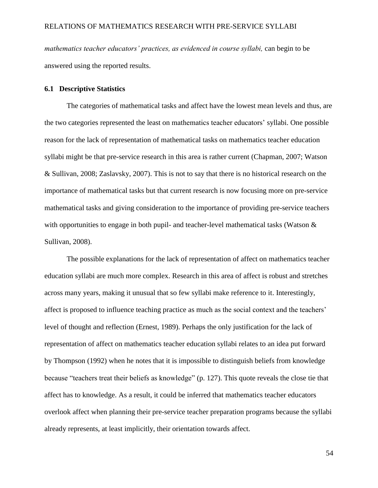*mathematics teacher educators' practices, as evidenced in course syllabi,* can begin to be answered using the reported results.

### **6.1 Descriptive Statistics**

The categories of mathematical tasks and affect have the lowest mean levels and thus, are the two categories represented the least on mathematics teacher educators' syllabi. One possible reason for the lack of representation of mathematical tasks on mathematics teacher education syllabi might be that pre-service research in this area is rather current (Chapman, 2007; Watson & Sullivan, 2008; Zaslavsky, 2007). This is not to say that there is no historical research on the importance of mathematical tasks but that current research is now focusing more on pre-service mathematical tasks and giving consideration to the importance of providing pre-service teachers with opportunities to engage in both pupil- and teacher-level mathematical tasks (Watson  $\&$ Sullivan, 2008).

The possible explanations for the lack of representation of affect on mathematics teacher education syllabi are much more complex. Research in this area of affect is robust and stretches across many years, making it unusual that so few syllabi make reference to it. Interestingly, affect is proposed to influence teaching practice as much as the social context and the teachers' level of thought and reflection (Ernest, 1989). Perhaps the only justification for the lack of representation of affect on mathematics teacher education syllabi relates to an idea put forward by Thompson (1992) when he notes that it is impossible to distinguish beliefs from knowledge because "teachers treat their beliefs as knowledge" (p. 127). This quote reveals the close tie that affect has to knowledge. As a result, it could be inferred that mathematics teacher educators overlook affect when planning their pre-service teacher preparation programs because the syllabi already represents, at least implicitly, their orientation towards affect.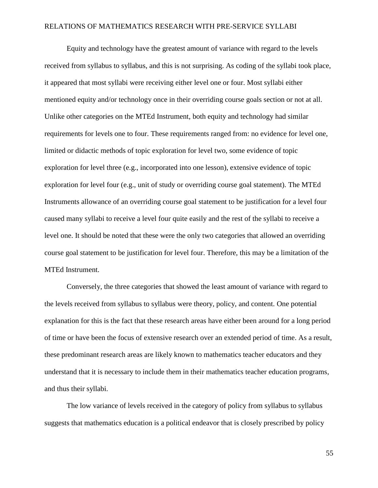Equity and technology have the greatest amount of variance with regard to the levels received from syllabus to syllabus, and this is not surprising. As coding of the syllabi took place, it appeared that most syllabi were receiving either level one or four. Most syllabi either mentioned equity and/or technology once in their overriding course goals section or not at all. Unlike other categories on the MTEd Instrument, both equity and technology had similar requirements for levels one to four. These requirements ranged from: no evidence for level one, limited or didactic methods of topic exploration for level two, some evidence of topic exploration for level three (e.g., incorporated into one lesson), extensive evidence of topic exploration for level four (e.g., unit of study or overriding course goal statement). The MTEd Instruments allowance of an overriding course goal statement to be justification for a level four caused many syllabi to receive a level four quite easily and the rest of the syllabi to receive a level one. It should be noted that these were the only two categories that allowed an overriding course goal statement to be justification for level four. Therefore, this may be a limitation of the MTEd Instrument.

Conversely, the three categories that showed the least amount of variance with regard to the levels received from syllabus to syllabus were theory, policy, and content. One potential explanation for this is the fact that these research areas have either been around for a long period of time or have been the focus of extensive research over an extended period of time. As a result, these predominant research areas are likely known to mathematics teacher educators and they understand that it is necessary to include them in their mathematics teacher education programs, and thus their syllabi.

The low variance of levels received in the category of policy from syllabus to syllabus suggests that mathematics education is a political endeavor that is closely prescribed by policy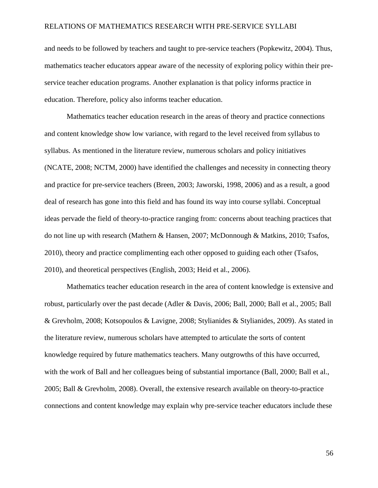and needs to be followed by teachers and taught to pre-service teachers (Popkewitz, 2004). Thus, mathematics teacher educators appear aware of the necessity of exploring policy within their preservice teacher education programs. Another explanation is that policy informs practice in education. Therefore, policy also informs teacher education.

Mathematics teacher education research in the areas of theory and practice connections and content knowledge show low variance, with regard to the level received from syllabus to syllabus. As mentioned in the literature review, numerous scholars and policy initiatives (NCATE, 2008; NCTM, 2000) have identified the challenges and necessity in connecting theory and practice for pre-service teachers (Breen, 2003; Jaworski, 1998, 2006) and as a result, a good deal of research has gone into this field and has found its way into course syllabi. Conceptual ideas pervade the field of theory-to-practice ranging from: concerns about teaching practices that do not line up with research (Mathern & Hansen, 2007; McDonnough & Matkins, 2010; Tsafos, 2010), theory and practice complimenting each other opposed to guiding each other (Tsafos, 2010), and theoretical perspectives (English, 2003; Heid et al., 2006).

Mathematics teacher education research in the area of content knowledge is extensive and robust, particularly over the past decade (Adler & Davis, 2006; Ball, 2000; Ball et al., 2005; Ball & Grevholm, 2008; Kotsopoulos & Lavigne, 2008; Stylianides & Stylianides, 2009). As stated in the literature review, numerous scholars have attempted to articulate the sorts of content knowledge required by future mathematics teachers. Many outgrowths of this have occurred, with the work of Ball and her colleagues being of substantial importance (Ball, 2000; Ball et al., 2005; Ball & Grevholm, 2008). Overall, the extensive research available on theory-to-practice connections and content knowledge may explain why pre-service teacher educators include these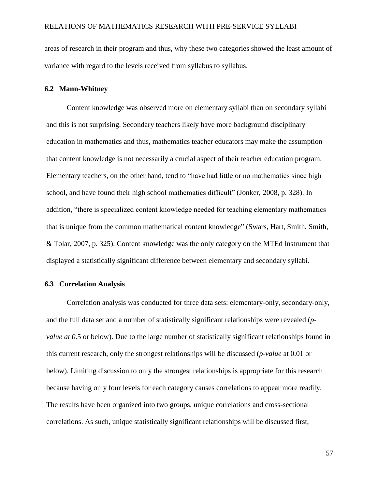areas of research in their program and thus, why these two categories showed the least amount of variance with regard to the levels received from syllabus to syllabus.

### **6.2 Mann-Whitney**

Content knowledge was observed more on elementary syllabi than on secondary syllabi and this is not surprising. Secondary teachers likely have more background disciplinary education in mathematics and thus, mathematics teacher educators may make the assumption that content knowledge is not necessarily a crucial aspect of their teacher education program. Elementary teachers, on the other hand, tend to "have had little or no mathematics since high school, and have found their high school mathematics difficult" (Jonker, 2008, p. 328). In addition, "there is specialized content knowledge needed for teaching elementary mathematics that is unique from the common mathematical content knowledge" (Swars, Hart, Smith, Smith, & Tolar, 2007, p. 325). Content knowledge was the only category on the MTEd Instrument that displayed a statistically significant difference between elementary and secondary syllabi.

#### **6.3 Correlation Analysis**

Correlation analysis was conducted for three data sets: elementary-only, secondary-only, and the full data set and a number of statistically significant relationships were revealed (*pvalue at 0*.5 or below). Due to the large number of statistically significant relationships found in this current research, only the strongest relationships will be discussed (*p-value* at 0.01 or below). Limiting discussion to only the strongest relationships is appropriate for this research because having only four levels for each category causes correlations to appear more readily. The results have been organized into two groups, unique correlations and cross-sectional correlations. As such, unique statistically significant relationships will be discussed first,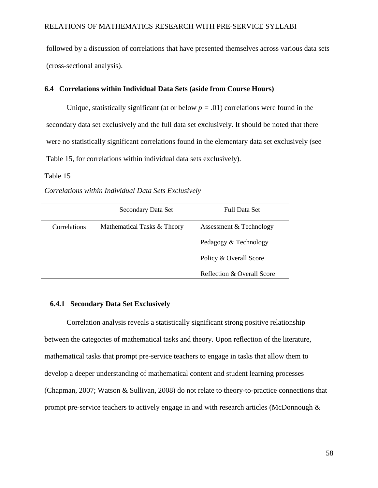followed by a discussion of correlations that have presented themselves across various data sets (cross-sectional analysis).

### **6.4 Correlations within Individual Data Sets (aside from Course Hours)**

Unique, statistically significant (at or below  $p = .01$ ) correlations were found in the secondary data set exclusively and the full data set exclusively. It should be noted that there were no statistically significant correlations found in the elementary data set exclusively (see Table 15, for correlations within individual data sets exclusively).

### Table 15

#### *Correlations within Individual Data Sets Exclusively*

|              | Secondary Data Set          | Full Data Set              |
|--------------|-----------------------------|----------------------------|
| Correlations | Mathematical Tasks & Theory | Assessment & Technology    |
|              |                             | Pedagogy & Technology      |
|              |                             | Policy & Overall Score     |
|              |                             | Reflection & Overall Score |

# **6.4.1 Secondary Data Set Exclusively**

Correlation analysis reveals a statistically significant strong positive relationship between the categories of mathematical tasks and theory. Upon reflection of the literature, mathematical tasks that prompt pre-service teachers to engage in tasks that allow them to develop a deeper understanding of mathematical content and student learning processes (Chapman, 2007; Watson & Sullivan, 2008) do not relate to theory-to-practice connections that prompt pre-service teachers to actively engage in and with research articles (McDonnough &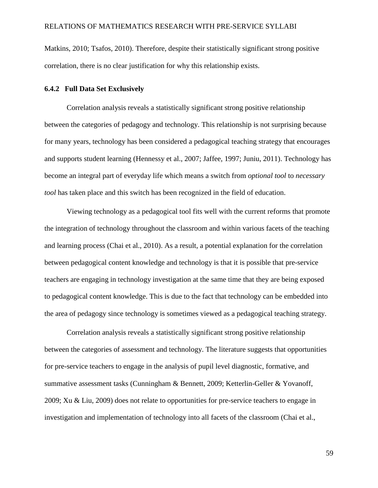Matkins, 2010; Tsafos, 2010). Therefore, despite their statistically significant strong positive correlation, there is no clear justification for why this relationship exists.

### **6.4.2 Full Data Set Exclusively**

Correlation analysis reveals a statistically significant strong positive relationship between the categories of pedagogy and technology. This relationship is not surprising because for many years, technology has been considered a pedagogical teaching strategy that encourages and supports student learning (Hennessy et al., 2007; Jaffee, 1997; Juniu, 2011). Technology has become an integral part of everyday life which means a switch from *optional tool* to *necessary tool* has taken place and this switch has been recognized in the field of education.

Viewing technology as a pedagogical tool fits well with the current reforms that promote the integration of technology throughout the classroom and within various facets of the teaching and learning process (Chai et al., 2010). As a result, a potential explanation for the correlation between pedagogical content knowledge and technology is that it is possible that pre-service teachers are engaging in technology investigation at the same time that they are being exposed to pedagogical content knowledge. This is due to the fact that technology can be embedded into the area of pedagogy since technology is sometimes viewed as a pedagogical teaching strategy.

Correlation analysis reveals a statistically significant strong positive relationship between the categories of assessment and technology. The literature suggests that opportunities for pre-service teachers to engage in the analysis of pupil level diagnostic, formative, and summative assessment tasks (Cunningham & Bennett, 2009; Ketterlin-Geller & Yovanoff, 2009; Xu & Liu, 2009) does not relate to opportunities for pre-service teachers to engage in investigation and implementation of technology into all facets of the classroom (Chai et al.,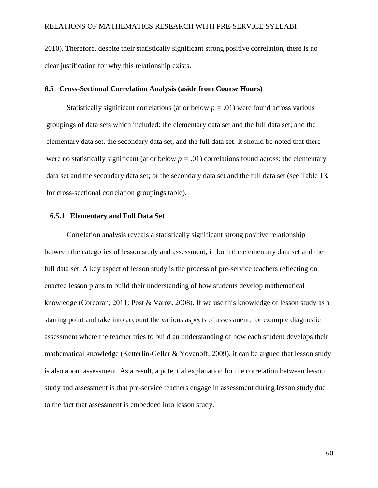2010). Therefore, despite their statistically significant strong positive correlation, there is no clear justification for why this relationship exists.

### **6.5 Cross-Sectional Correlation Analysis (aside from Course Hours)**

Statistically significant correlations (at or below  $p = .01$ ) were found across various groupings of data sets which included: the elementary data set and the full data set; and the elementary data set, the secondary data set, and the full data set. It should be noted that there were no statistically significant (at or below  $p = .01$ ) correlations found across: the elementary data set and the secondary data set; or the secondary data set and the full data set (see Table 13, for cross-sectional correlation groupings table).

#### **6.5.1 Elementary and Full Data Set**

Correlation analysis reveals a statistically significant strong positive relationship between the categories of lesson study and assessment, in both the elementary data set and the full data set. A key aspect of lesson study is the process of pre-service teachers reflecting on enacted lesson plans to build their understanding of how students develop mathematical knowledge (Corcoran, 2011; Post & Varoz, 2008). If we use this knowledge of lesson study as a starting point and take into account the various aspects of assessment, for example diagnostic assessment where the teacher tries to build an understanding of how each student develops their mathematical knowledge (Ketterlin-Geller & Yovanoff, 2009), it can be argued that lesson study is also about assessment. As a result, a potential explanation for the correlation between lesson study and assessment is that pre-service teachers engage in assessment during lesson study due to the fact that assessment is embedded into lesson study.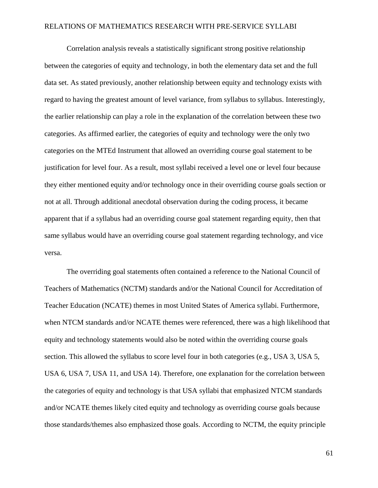Correlation analysis reveals a statistically significant strong positive relationship between the categories of equity and technology, in both the elementary data set and the full data set. As stated previously, another relationship between equity and technology exists with regard to having the greatest amount of level variance, from syllabus to syllabus. Interestingly, the earlier relationship can play a role in the explanation of the correlation between these two categories. As affirmed earlier, the categories of equity and technology were the only two categories on the MTEd Instrument that allowed an overriding course goal statement to be justification for level four. As a result, most syllabi received a level one or level four because they either mentioned equity and/or technology once in their overriding course goals section or not at all. Through additional anecdotal observation during the coding process, it became apparent that if a syllabus had an overriding course goal statement regarding equity, then that same syllabus would have an overriding course goal statement regarding technology, and vice versa.

The overriding goal statements often contained a reference to the National Council of Teachers of Mathematics (NCTM) standards and/or the National Council for Accreditation of Teacher Education (NCATE) themes in most United States of America syllabi. Furthermore, when NTCM standards and/or NCATE themes were referenced, there was a high likelihood that equity and technology statements would also be noted within the overriding course goals section. This allowed the syllabus to score level four in both categories (e.g., USA 3, USA 5, USA 6, USA 7, USA 11, and USA 14). Therefore, one explanation for the correlation between the categories of equity and technology is that USA syllabi that emphasized NTCM standards and/or NCATE themes likely cited equity and technology as overriding course goals because those standards/themes also emphasized those goals. According to NCTM, the equity principle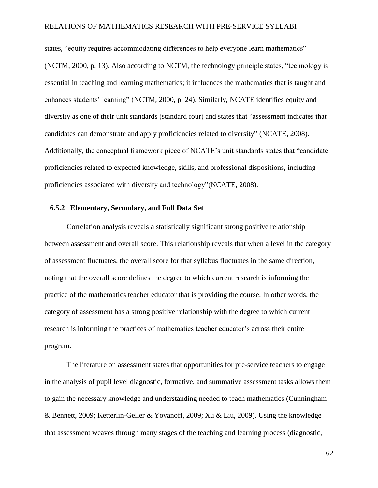states, "equity requires accommodating differences to help everyone learn mathematics" (NCTM, 2000, p. 13). Also according to NCTM, the technology principle states, "technology is essential in teaching and learning mathematics; it influences the mathematics that is taught and enhances students' learning" (NCTM, 2000, p. 24). Similarly, NCATE identifies equity and diversity as one of their unit standards (standard four) and states that "assessment indicates that candidates can demonstrate and apply proficiencies related to diversity" (NCATE, 2008). Additionally, the conceptual framework piece of NCATE's unit standards states that "candidate proficiencies related to expected knowledge, skills, and professional dispositions, including proficiencies associated with diversity and technology"(NCATE, 2008).

### **6.5.2 Elementary, Secondary, and Full Data Set**

Correlation analysis reveals a statistically significant strong positive relationship between assessment and overall score. This relationship reveals that when a level in the category of assessment fluctuates, the overall score for that syllabus fluctuates in the same direction, noting that the overall score defines the degree to which current research is informing the practice of the mathematics teacher educator that is providing the course. In other words, the category of assessment has a strong positive relationship with the degree to which current research is informing the practices of mathematics teacher educator's across their entire program.

The literature on assessment states that opportunities for pre-service teachers to engage in the analysis of pupil level diagnostic, formative, and summative assessment tasks allows them to gain the necessary knowledge and understanding needed to teach mathematics (Cunningham & Bennett, 2009; Ketterlin-Geller & Yovanoff, 2009; Xu & Liu, 2009). Using the knowledge that assessment weaves through many stages of the teaching and learning process (diagnostic,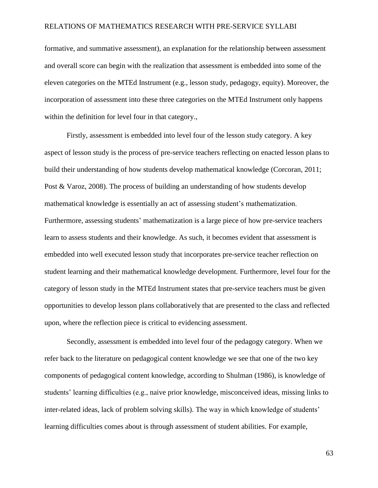formative, and summative assessment), an explanation for the relationship between assessment and overall score can begin with the realization that assessment is embedded into some of the eleven categories on the MTEd Instrument (e.g., lesson study, pedagogy, equity). Moreover, the incorporation of assessment into these three categories on the MTEd Instrument only happens within the definition for level four in that category.,

Firstly, assessment is embedded into level four of the lesson study category. A key aspect of lesson study is the process of pre-service teachers reflecting on enacted lesson plans to build their understanding of how students develop mathematical knowledge (Corcoran, 2011; Post & Varoz, 2008). The process of building an understanding of how students develop mathematical knowledge is essentially an act of assessing student's mathematization. Furthermore, assessing students' mathematization is a large piece of how pre-service teachers learn to assess students and their knowledge. As such, it becomes evident that assessment is embedded into well executed lesson study that incorporates pre-service teacher reflection on student learning and their mathematical knowledge development. Furthermore, level four for the category of lesson study in the MTEd Instrument states that pre-service teachers must be given opportunities to develop lesson plans collaboratively that are presented to the class and reflected upon, where the reflection piece is critical to evidencing assessment.

Secondly, assessment is embedded into level four of the pedagogy category. When we refer back to the literature on pedagogical content knowledge we see that one of the two key components of pedagogical content knowledge, according to Shulman (1986), is knowledge of students' learning difficulties (e.g., naive prior knowledge, misconceived ideas, missing links to inter-related ideas, lack of problem solving skills). The way in which knowledge of students' learning difficulties comes about is through assessment of student abilities. For example,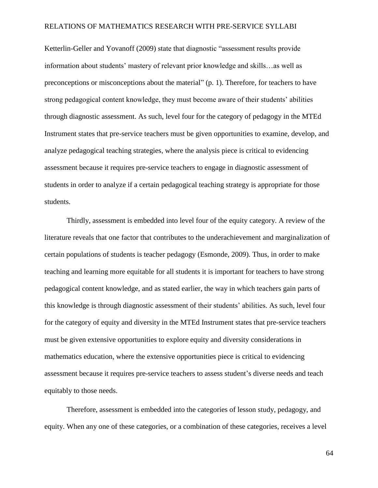Ketterlin-Geller and Yovanoff (2009) state that diagnostic "assessment results provide information about students' mastery of relevant prior knowledge and skills…as well as preconceptions or misconceptions about the material" (p. 1). Therefore, for teachers to have strong pedagogical content knowledge, they must become aware of their students' abilities through diagnostic assessment. As such, level four for the category of pedagogy in the MTEd Instrument states that pre-service teachers must be given opportunities to examine, develop, and analyze pedagogical teaching strategies, where the analysis piece is critical to evidencing assessment because it requires pre-service teachers to engage in diagnostic assessment of students in order to analyze if a certain pedagogical teaching strategy is appropriate for those students.

Thirdly, assessment is embedded into level four of the equity category. A review of the literature reveals that one factor that contributes to the underachievement and marginalization of certain populations of students is teacher pedagogy (Esmonde, 2009). Thus, in order to make teaching and learning more equitable for all students it is important for teachers to have strong pedagogical content knowledge, and as stated earlier, the way in which teachers gain parts of this knowledge is through diagnostic assessment of their students' abilities. As such, level four for the category of equity and diversity in the MTEd Instrument states that pre-service teachers must be given extensive opportunities to explore equity and diversity considerations in mathematics education, where the extensive opportunities piece is critical to evidencing assessment because it requires pre-service teachers to assess student's diverse needs and teach equitably to those needs.

Therefore, assessment is embedded into the categories of lesson study, pedagogy, and equity. When any one of these categories, or a combination of these categories, receives a level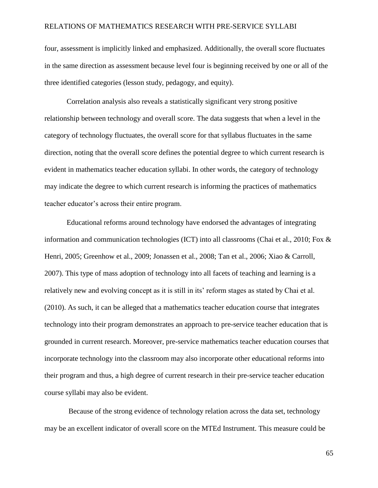four, assessment is implicitly linked and emphasized. Additionally, the overall score fluctuates in the same direction as assessment because level four is beginning received by one or all of the three identified categories (lesson study, pedagogy, and equity).

Correlation analysis also reveals a statistically significant very strong positive relationship between technology and overall score. The data suggests that when a level in the category of technology fluctuates, the overall score for that syllabus fluctuates in the same direction, noting that the overall score defines the potential degree to which current research is evident in mathematics teacher education syllabi. In other words, the category of technology may indicate the degree to which current research is informing the practices of mathematics teacher educator's across their entire program.

Educational reforms around technology have endorsed the advantages of integrating information and communication technologies (ICT) into all classrooms (Chai et al., 2010; Fox  $\&$ Henri, 2005; Greenhow et al., 2009; Jonassen et al., 2008; Tan et al., 2006; Xiao & Carroll, 2007). This type of mass adoption of technology into all facets of teaching and learning is a relatively new and evolving concept as it is still in its' reform stages as stated by Chai et al. (2010). As such, it can be alleged that a mathematics teacher education course that integrates technology into their program demonstrates an approach to pre-service teacher education that is grounded in current research. Moreover, pre-service mathematics teacher education courses that incorporate technology into the classroom may also incorporate other educational reforms into their program and thus, a high degree of current research in their pre-service teacher education course syllabi may also be evident.

Because of the strong evidence of technology relation across the data set, technology may be an excellent indicator of overall score on the MTEd Instrument. This measure could be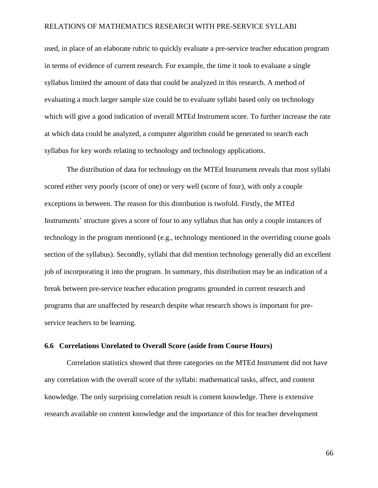used, in place of an elaborate rubric to quickly evaluate a pre-service teacher education program in terms of evidence of current research. For example, the time it took to evaluate a single syllabus limited the amount of data that could be analyzed in this research. A method of evaluating a much larger sample size could be to evaluate syllabi based only on technology which will give a good indication of overall MTEd Instrument score. To further increase the rate at which data could be analyzed, a computer algorithm could be generated to search each syllabus for key words relating to technology and technology applications.

The distribution of data for technology on the MTEd Instrument reveals that most syllabi scored either very poorly (score of one) or very well (score of four), with only a couple exceptions in between. The reason for this distribution is twofold. Firstly, the MTEd Instruments' structure gives a score of four to any syllabus that has only a couple instances of technology in the program mentioned (e.g., technology mentioned in the overriding course goals section of the syllabus). Secondly, syllabi that did mention technology generally did an excellent job of incorporating it into the program. In summary, this distribution may be an indication of a break between pre-service teacher education programs grounded in current research and programs that are unaffected by research despite what research shows is important for preservice teachers to be learning.

### **6.6 Correlations Unrelated to Overall Score (aside from Course Hours)**

Correlation statistics showed that three categories on the MTEd Instrument did not have any correlation with the overall score of the syllabi: mathematical tasks, affect, and content knowledge. The only surprising correlation result is content knowledge. There is extensive research available on content knowledge and the importance of this for teacher development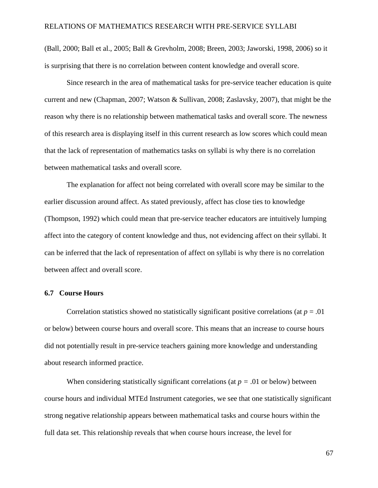(Ball, 2000; Ball et al., 2005; Ball & Grevholm, 2008; Breen, 2003; Jaworski, 1998, 2006) so it is surprising that there is no correlation between content knowledge and overall score.

Since research in the area of mathematical tasks for pre-service teacher education is quite current and new (Chapman, 2007; Watson & Sullivan, 2008; Zaslavsky, 2007), that might be the reason why there is no relationship between mathematical tasks and overall score. The newness of this research area is displaying itself in this current research as low scores which could mean that the lack of representation of mathematics tasks on syllabi is why there is no correlation between mathematical tasks and overall score.

The explanation for affect not being correlated with overall score may be similar to the earlier discussion around affect. As stated previously, affect has close ties to knowledge (Thompson, 1992) which could mean that pre-service teacher educators are intuitively lumping affect into the category of content knowledge and thus, not evidencing affect on their syllabi. It can be inferred that the lack of representation of affect on syllabi is why there is no correlation between affect and overall score.

### **6.7 Course Hours**

Correlation statistics showed no statistically significant positive correlations (at  $p = .01$ ) or below) between course hours and overall score. This means that an increase to course hours did not potentially result in pre-service teachers gaining more knowledge and understanding about research informed practice.

When considering statistically significant correlations (at  $p = .01$  or below) between course hours and individual MTEd Instrument categories, we see that one statistically significant strong negative relationship appears between mathematical tasks and course hours within the full data set. This relationship reveals that when course hours increase, the level for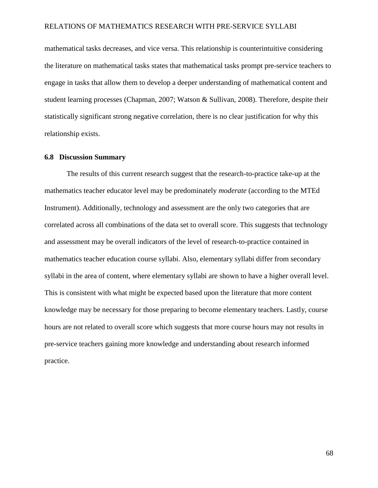mathematical tasks decreases, and vice versa. This relationship is counterintuitive considering the literature on mathematical tasks states that mathematical tasks prompt pre-service teachers to engage in tasks that allow them to develop a deeper understanding of mathematical content and student learning processes (Chapman, 2007; Watson & Sullivan, 2008). Therefore, despite their statistically significant strong negative correlation, there is no clear justification for why this relationship exists.

### **6.8 Discussion Summary**

The results of this current research suggest that the research-to-practice take-up at the mathematics teacher educator level may be predominately *moderate* (according to the MTEd Instrument). Additionally, technology and assessment are the only two categories that are correlated across all combinations of the data set to overall score. This suggests that technology and assessment may be overall indicators of the level of research-to-practice contained in mathematics teacher education course syllabi. Also, elementary syllabi differ from secondary syllabi in the area of content, where elementary syllabi are shown to have a higher overall level. This is consistent with what might be expected based upon the literature that more content knowledge may be necessary for those preparing to become elementary teachers. Lastly, course hours are not related to overall score which suggests that more course hours may not results in pre-service teachers gaining more knowledge and understanding about research informed practice.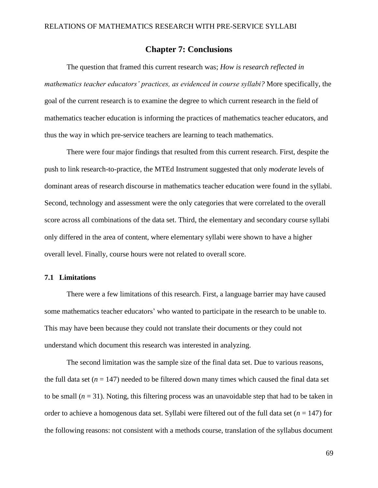## **Chapter 7: Conclusions**

The question that framed this current research was; *How is research reflected in mathematics teacher educators' practices, as evidenced in course syllabi?* More specifically, the goal of the current research is to examine the degree to which current research in the field of mathematics teacher education is informing the practices of mathematics teacher educators, and thus the way in which pre-service teachers are learning to teach mathematics.

There were four major findings that resulted from this current research. First, despite the push to link research-to-practice, the MTEd Instrument suggested that only *moderate* levels of dominant areas of research discourse in mathematics teacher education were found in the syllabi. Second, technology and assessment were the only categories that were correlated to the overall score across all combinations of the data set. Third, the elementary and secondary course syllabi only differed in the area of content, where elementary syllabi were shown to have a higher overall level. Finally, course hours were not related to overall score.

### **7.1 Limitations**

There were a few limitations of this research. First, a language barrier may have caused some mathematics teacher educators' who wanted to participate in the research to be unable to. This may have been because they could not translate their documents or they could not understand which document this research was interested in analyzing.

The second limitation was the sample size of the final data set. Due to various reasons, the full data set  $(n = 147)$  needed to be filtered down many times which caused the final data set to be small  $(n = 31)$ . Noting, this filtering process was an unavoidable step that had to be taken in order to achieve a homogenous data set. Syllabi were filtered out of the full data set (*n* = 147) for the following reasons: not consistent with a methods course, translation of the syllabus document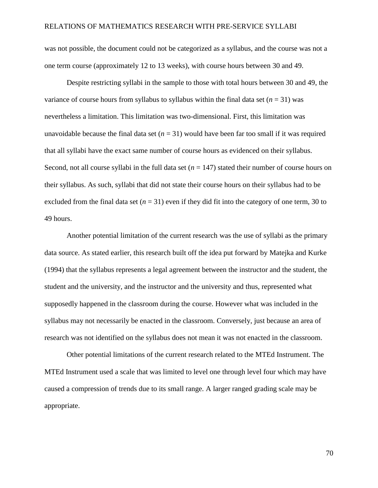was not possible, the document could not be categorized as a syllabus, and the course was not a one term course (approximately 12 to 13 weeks), with course hours between 30 and 49.

Despite restricting syllabi in the sample to those with total hours between 30 and 49, the variance of course hours from syllabus to syllabus within the final data set  $(n = 31)$  was nevertheless a limitation. This limitation was two-dimensional. First, this limitation was unavoidable because the final data set  $(n = 31)$  would have been far too small if it was required that all syllabi have the exact same number of course hours as evidenced on their syllabus. Second, not all course syllabi in the full data set  $(n = 147)$  stated their number of course hours on their syllabus. As such, syllabi that did not state their course hours on their syllabus had to be excluded from the final data set  $(n = 31)$  even if they did fit into the category of one term, 30 to 49 hours.

Another potential limitation of the current research was the use of syllabi as the primary data source. As stated earlier, this research built off the idea put forward by Matejka and Kurke (1994) that the syllabus represents a legal agreement between the instructor and the student, the student and the university, and the instructor and the university and thus, represented what supposedly happened in the classroom during the course. However what was included in the syllabus may not necessarily be enacted in the classroom. Conversely, just because an area of research was not identified on the syllabus does not mean it was not enacted in the classroom.

Other potential limitations of the current research related to the MTEd Instrument. The MTEd Instrument used a scale that was limited to level one through level four which may have caused a compression of trends due to its small range. A larger ranged grading scale may be appropriate.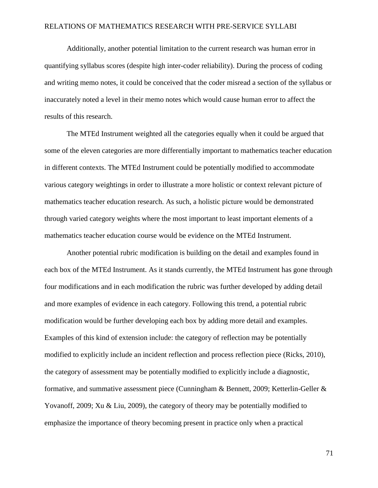Additionally, another potential limitation to the current research was human error in quantifying syllabus scores (despite high inter-coder reliability). During the process of coding and writing memo notes, it could be conceived that the coder misread a section of the syllabus or inaccurately noted a level in their memo notes which would cause human error to affect the results of this research.

The MTEd Instrument weighted all the categories equally when it could be argued that some of the eleven categories are more differentially important to mathematics teacher education in different contexts. The MTEd Instrument could be potentially modified to accommodate various category weightings in order to illustrate a more holistic or context relevant picture of mathematics teacher education research. As such, a holistic picture would be demonstrated through varied category weights where the most important to least important elements of a mathematics teacher education course would be evidence on the MTEd Instrument.

Another potential rubric modification is building on the detail and examples found in each box of the MTEd Instrument. As it stands currently, the MTEd Instrument has gone through four modifications and in each modification the rubric was further developed by adding detail and more examples of evidence in each category. Following this trend, a potential rubric modification would be further developing each box by adding more detail and examples. Examples of this kind of extension include: the category of reflection may be potentially modified to explicitly include an incident reflection and process reflection piece (Ricks, 2010), the category of assessment may be potentially modified to explicitly include a diagnostic, formative, and summative assessment piece (Cunningham & Bennett, 2009; Ketterlin-Geller & Yovanoff, 2009; Xu & Liu, 2009), the category of theory may be potentially modified to emphasize the importance of theory becoming present in practice only when a practical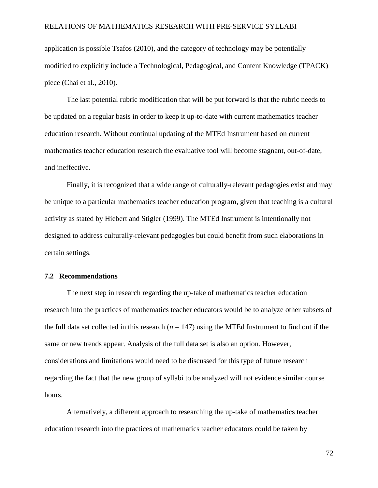application is possible Tsafos (2010), and the category of technology may be potentially modified to explicitly include a Technological, Pedagogical, and Content Knowledge (TPACK) piece (Chai et al., 2010).

The last potential rubric modification that will be put forward is that the rubric needs to be updated on a regular basis in order to keep it up-to-date with current mathematics teacher education research. Without continual updating of the MTEd Instrument based on current mathematics teacher education research the evaluative tool will become stagnant, out-of-date, and ineffective.

Finally, it is recognized that a wide range of culturally-relevant pedagogies exist and may be unique to a particular mathematics teacher education program, given that teaching is a cultural activity as stated by Hiebert and Stigler (1999). The MTEd Instrument is intentionally not designed to address culturally-relevant pedagogies but could benefit from such elaborations in certain settings.

### **7.2 Recommendations**

The next step in research regarding the up-take of mathematics teacher education research into the practices of mathematics teacher educators would be to analyze other subsets of the full data set collected in this research  $(n = 147)$  using the MTEd Instrument to find out if the same or new trends appear. Analysis of the full data set is also an option. However, considerations and limitations would need to be discussed for this type of future research regarding the fact that the new group of syllabi to be analyzed will not evidence similar course hours.

Alternatively, a different approach to researching the up-take of mathematics teacher education research into the practices of mathematics teacher educators could be taken by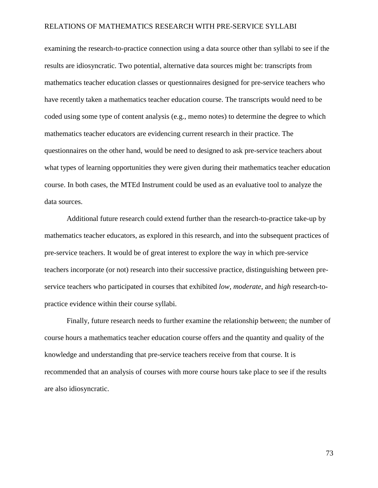examining the research-to-practice connection using a data source other than syllabi to see if the results are idiosyncratic. Two potential, alternative data sources might be: transcripts from mathematics teacher education classes or questionnaires designed for pre-service teachers who have recently taken a mathematics teacher education course. The transcripts would need to be coded using some type of content analysis (e.g., memo notes) to determine the degree to which mathematics teacher educators are evidencing current research in their practice. The questionnaires on the other hand, would be need to designed to ask pre-service teachers about what types of learning opportunities they were given during their mathematics teacher education course. In both cases, the MTEd Instrument could be used as an evaluative tool to analyze the data sources.

Additional future research could extend further than the research-to-practice take-up by mathematics teacher educators, as explored in this research, and into the subsequent practices of pre-service teachers. It would be of great interest to explore the way in which pre-service teachers incorporate (or not) research into their successive practice, distinguishing between preservice teachers who participated in courses that exhibited *low*, *moderate*, and *high* research-topractice evidence within their course syllabi.

Finally, future research needs to further examine the relationship between; the number of course hours a mathematics teacher education course offers and the quantity and quality of the knowledge and understanding that pre-service teachers receive from that course. It is recommended that an analysis of courses with more course hours take place to see if the results are also idiosyncratic.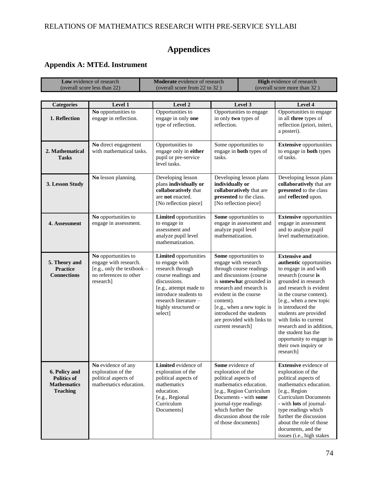# **Appendices**

## **Appendix A: MTEd. Instrument**

| Low evidence of research<br>(overall score less than 22)                     |                                                                                                                     | <b>Moderate</b> evidence of research<br>(overall score from 22 to 32)                                                                                                                                                    |                                                                                                                                                                                                                                                  | <b>High</b> evidence of research<br>(overall score more than 32)                                                                                                                                 |                                                                                                                                                                                                                                                                                                                                                                                                      |
|------------------------------------------------------------------------------|---------------------------------------------------------------------------------------------------------------------|--------------------------------------------------------------------------------------------------------------------------------------------------------------------------------------------------------------------------|--------------------------------------------------------------------------------------------------------------------------------------------------------------------------------------------------------------------------------------------------|--------------------------------------------------------------------------------------------------------------------------------------------------------------------------------------------------|------------------------------------------------------------------------------------------------------------------------------------------------------------------------------------------------------------------------------------------------------------------------------------------------------------------------------------------------------------------------------------------------------|
|                                                                              |                                                                                                                     |                                                                                                                                                                                                                          |                                                                                                                                                                                                                                                  |                                                                                                                                                                                                  |                                                                                                                                                                                                                                                                                                                                                                                                      |
| <b>Categories</b><br>1. Reflection                                           | Level 1<br>No opportunities to<br>engage in reflection.                                                             | Level 2<br>Opportunities to<br>engage in only one<br>type of reflection.                                                                                                                                                 | Level 3<br>Opportunities to engage<br>in only two types of<br>reflection.                                                                                                                                                                        |                                                                                                                                                                                                  | Level 4<br>Opportunities to engage<br>in all three types of<br>reflection (priori, initeri,<br>a posteri).                                                                                                                                                                                                                                                                                           |
| 2. Mathematical<br><b>Tasks</b>                                              | No direct engagement<br>with mathematical tasks.                                                                    | Opportunities to<br>engage only in either<br>pupil or pre-service<br>level tasks.                                                                                                                                        | Some opportunities to<br>engage in both types of<br>tasks.                                                                                                                                                                                       |                                                                                                                                                                                                  | <b>Extensive opportunities</b><br>to engage in <b>both</b> types<br>of tasks.                                                                                                                                                                                                                                                                                                                        |
| 3. Lesson Study                                                              | No lesson planning.                                                                                                 | Developing lesson<br>plans individually or<br>collaboratively that<br>are not enacted.<br>[No reflection piece]                                                                                                          | Developing lesson plans<br>individually or<br>collaboratively that are<br>presented to the class.<br>[No reflection piece]                                                                                                                       |                                                                                                                                                                                                  | Developing lesson plans<br>collaboratively that are<br>presented to the class<br>and reflected upon.                                                                                                                                                                                                                                                                                                 |
| 4. Assessment                                                                | No opportunities to<br>engage in assessment.                                                                        | <b>Limited</b> opportunities<br>to engage in<br>assessment and<br>analyze pupil level<br>mathematization.                                                                                                                | Some opportunities to<br>analyze pupil level<br>mathematization.                                                                                                                                                                                 | engage in assessment and                                                                                                                                                                         | <b>Extensive opportunities</b><br>engage in assessment<br>and to analyze pupil<br>level mathematization.                                                                                                                                                                                                                                                                                             |
| 5. Theory and<br><b>Practice</b><br><b>Connections</b>                       | No opportunities to<br>engage with research.<br>[e.g., only the textbook $-$<br>no references to other<br>research] | <b>Limited</b> opportunities<br>to engage with<br>research through<br>course readings and<br>discussions.<br>[e.g., attempt made to<br>introduce students to<br>research literature -<br>highly structured or<br>select] | Some opportunities to<br>engage with research<br>evident in the course<br>content).<br>current research]                                                                                                                                         | through course readings<br>and discussions (course<br>is somewhat grounded in<br>research and research is<br>[e.g., when a new topic is<br>introduced the students<br>are provided with links to | <b>Extensive and</b><br>authentic opportunities<br>to engage in and with<br>research (course is<br>grounded in research<br>and research is evident<br>in the course content).<br>[e.g., when a new topic<br>is introduced the<br>students are provided<br>with links to current<br>research and in addition,<br>the student has the<br>opportunity to engage in<br>their own inquiry or<br>research] |
| 6. Policy and<br><b>Politics of</b><br><b>Mathematics</b><br><b>Teaching</b> | No evidence of any<br>exploration of the<br>political aspects of<br>mathematics education.                          | Limited evidence of<br>exploration of the<br>political aspects of<br>mathematics<br>education.<br>[e.g., Regional<br>Curriculum<br>Documents]                                                                            | Some evidence of<br>exploration of the<br>political aspects of<br>mathematics education.<br>[e.g., Region Curriculum]<br>Documents - with some<br>journal-type readings<br>which further the<br>discussion about the role<br>of those documents] |                                                                                                                                                                                                  | <b>Extensive</b> evidence of<br>exploration of the<br>political aspects of<br>mathematics education.<br>[e.g., Region]<br><b>Curriculum Documents</b><br>- with lots of journal-<br>type readings which<br>further the discussion<br>about the role of those<br>documents, and the<br>issues (i.e., high stakes                                                                                      |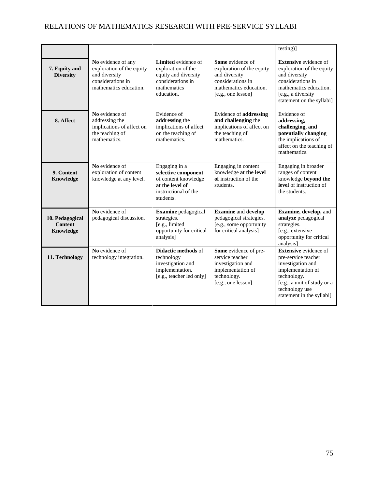|                                                |                                                                                                                 |                                                                                                                      |                                                                                                                                     | testing)]                                                                                                                                                                                  |
|------------------------------------------------|-----------------------------------------------------------------------------------------------------------------|----------------------------------------------------------------------------------------------------------------------|-------------------------------------------------------------------------------------------------------------------------------------|--------------------------------------------------------------------------------------------------------------------------------------------------------------------------------------------|
| 7. Equity and<br><b>Diversity</b>              | No evidence of any<br>exploration of the equity<br>and diversity<br>considerations in<br>mathematics education. | Limited evidence of<br>exploration of the<br>equity and diversity<br>considerations in<br>mathematics<br>education.  | Some evidence of<br>exploration of the equity<br>and diversity<br>considerations in<br>mathematics education.<br>[e.g., one lesson] | <b>Extensive</b> evidence of<br>exploration of the equity<br>and diversity<br>considerations in<br>mathematics education.<br>[e.g., a diversity<br>statement on the syllabi]               |
| 8. Affect                                      | No evidence of<br>addressing the<br>implications of affect on<br>the teaching of<br>mathematics.                | Evidence of<br>addressing the<br>implications of affect<br>on the teaching of<br>mathematics.                        | Evidence of addressing<br>and challenging the<br>implications of affect on<br>the teaching of<br>mathematics.                       | Evidence of<br>addressing,<br>challenging, and<br>potentially changing<br>the implications of<br>affect on the teaching of<br>mathematics.                                                 |
| 9. Content<br>Knowledge                        | No evidence of<br>exploration of content<br>knowledge at any level.                                             | Engaging in a<br>selective component<br>of content knowledge<br>at the level of<br>instructional of the<br>students. | Engaging in content<br>knowledge at the level<br>of instruction of the<br>students.                                                 | Engaging in broader<br>ranges of content<br>knowledge beyond the<br>level of instruction of<br>the students.                                                                               |
| 10. Pedagogical<br><b>Content</b><br>Knowledge | No evidence of<br>pedagogical discussion.                                                                       | Examine pedagogical<br>strategies.<br>[e.g., limited<br>opportunity for critical<br>analysis]                        | <b>Examine</b> and develop<br>pedagogical strategies.<br>[e.g., some opportunity<br>for critical analysis]                          | Examine, develop, and<br>analyze pedagogical<br>strategies.<br>[e.g., extensive<br>opportunity for critical<br>analysis]                                                                   |
| 11. Technology                                 | No evidence of<br>technology integration.                                                                       | <b>Didactic methods of</b><br>technology<br>investigation and<br>implementation.<br>[e.g., teacher led only]         | Some evidence of pre-<br>service teacher<br>investigation and<br>implementation of<br>technology.<br>[e.g., one lesson]             | <b>Extensive</b> evidence of<br>pre-service teacher<br>investigation and<br>implementation of<br>technology.<br>[e.g., a unit of study or a<br>technology use<br>statement in the syllabi] |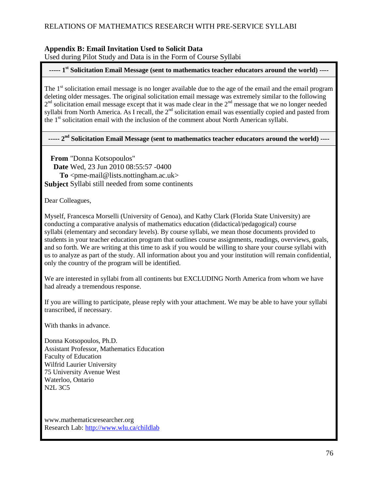### **Appendix B: Email Invitation Used to Solicit Data**

Used during Pilot Study and Data is in the Form of Course Syllabi

### **----- 1 st Solicitation Email Message (sent to mathematics teacher educators around the world) ----**

The 1<sup>st</sup> solicitation email message is no longer available due to the age of the email and the email program deleting older messages. The original solicitation email message was extremely similar to the following  $2<sup>nd</sup>$  solicitation email message except that it was made clear in the  $2<sup>nd</sup>$  message that we no longer needed syllabi from North America. As I recall, the  $2<sup>nd</sup>$  solicitation email was essentially copied and pasted from the 1<sup>st</sup> solicitation email with the inclusion of the comment about North American syllabi.

### **----- 2 nd Solicitation Email Message (sent to mathematics teacher educators around the world) ----**

**From** "Donna Kotsopoulos" **Date** Wed, 23 Jun 2010 08:55:57 -0400 **To**  $\langle$ pme-mail@lists.nottingham.ac.uk> **Subject** Syllabi still needed from some continents

Dear Colleagues,

Myself, Francesca Morselli (University of Genoa), and Kathy Clark (Florida State University) are conducting a comparative analysis of mathematics education (didactical/pedagogical) course syllabi (elementary and secondary levels). By course syllabi, we mean those documents provided to students in your teacher education program that outlines course assignments, readings, overviews, goals, and so forth. We are writing at this time to ask if you would be willing to share your course syllabi with us to analyze as part of the study. All information about you and your institution will remain confidential, only the country of the program will be identified.

We are interested in syllabi from all continents but EXCLUDING North America from whom we have had already a tremendous response.

If you are willing to participate, please reply with your attachment. We may be able to have your syllabi transcribed, if necessary.

With thanks in advance.

Donna Kotsopoulos, Ph.D. Assistant Professor, Mathematics Education Faculty of Education Wilfrid Laurier University 75 University Avenue West Waterloo, Ontario N2L 3C5

www.mathematicsresearcher.org Research Lab:<http://www.wlu.ca/childlab>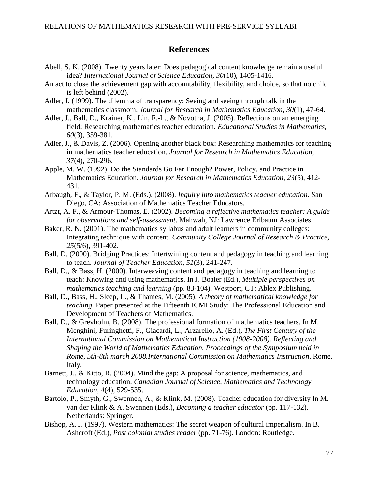## **References**

- Abell, S. K. (2008). Twenty years later: Does pedagogical content knowledge remain a useful idea? *International Journal of Science Education, 30*(10), 1405-1416.
- An act to close the achievement gap with accountability, flexibility, and choice, so that no child is left behind (2002).
- Adler, J. (1999). The dilemma of transparency: Seeing and seeing through talk in the mathematics classroom. *Journal for Research in Mathematics Education, 30*(1), 47-64.
- Adler, J., Ball, D., Krainer, K., Lin, F.-L., & Novotna, J. (2005). Reflections on an emerging field: Researching mathematics teacher education. *Educational Studies in Mathematics, 60*(3), 359-381.
- Adler, J., & Davis, Z. (2006). Opening another black box: Researching mathematics for teaching in mathematics teacher education. *Journal for Research in Mathematics Education, 37*(4), 270-296.
- Apple, M. W. (1992). Do the Standards Go Far Enough? Power, Policy, and Practice in Mathematics Education. *Journal for Research in Mathematics Education, 23*(5), 412- 431.
- Arbaugh, F., & Taylor, P. M. (Eds.). (2008). *Inquiry into mathematics teacher education*. San Diego, CA: Association of Mathematics Teacher Educators.
- Artzt, A. F., & Armour-Thomas, E. (2002). *Becoming a reflective mathematics teacher: A guide for observations and self-assessment*. Mahwah, NJ: Lawrence Erlbaum Associates.
- Baker, R. N. (2001). The mathematics syllabus and adult learners in community colleges: Integrating technique with content. *Community College Journal of Research & Practice, 25*(5/6), 391-402.
- Ball, D. (2000). Bridging Practices: Intertwining content and pedagogy in teaching and learning to teach. *Journal of Teacher Education, 51*(3), 241-247.
- Ball, D., & Bass, H. (2000). Interweaving content and pedagogy in teaching and learning to teach: Knowing and using mathematics. In J. Boaler (Ed.), *Multiple perspectives on mathematics teaching and learning* (pp. 83-104). Westport, CT: Ablex Publishing.
- Ball, D., Bass, H., Sleep, L., & Thames, M. (2005). *A theory of mathematical knowledge for teaching.* Paper presented at the Fifteenth ICMI Study: The Professional Education and Development of Teachers of Mathematics.
- Ball, D., & Grevholm, B. (2008). The professional formation of mathematics teachers. In M. Menghini, Furinghetti, F., Giacardi, L., Arzarello, A. (Ed.), *The First Century of the International Commission on Mathematical Instruction (1908-2008). Reflecting and Shaping the World of Mathematics Education. Proceedings of the Symposium held in Rome, 5th-8th march 2008.International Commission on Mathematics Instruction*. Rome, Italy.
- Barnett, J., & Kitto, R. (2004). Mind the gap: A proposal for science, mathematics, and technology education. *Canadian Journal of Science, Mathematics and Technology Education, 4*(4), 529-535.
- Bartolo, P., Smyth, G., Swennen, A., & Klink, M. (2008). Teacher education for diversity In M. van der Klink & A. Swennen (Eds.), *Becoming a teacher educator* (pp. 117-132). Netherlands: Springer.
- Bishop, A. J. (1997). Western mathematics: The secret weapon of cultural imperialism. In B. Ashcroft (Ed.), *Post colonial studies reader* (pp. 71-76). London: Routledge.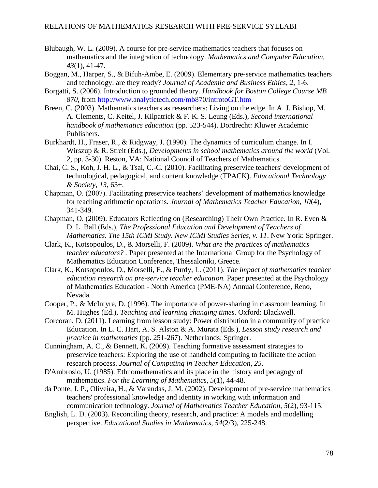- Blubaugh, W. L. (2009). A course for pre-service mathematics teachers that focuses on mathematics and the integration of technology. *Mathematics and Computer Education, 43*(1), 41-47.
- Boggan, M., Harper, S., & Bifuh-Ambe, E. (2009). Elementary pre-service mathematics teachers and technology: are they ready? *Journal of Academic and Business Ethics, 2*, 1-6.
- Borgatti, S. (2006). Introduction to grounded theory. *Handbook for Boston College Course MB 870*, from<http://www.analytictech.com/mb870/introtoGT.htm>
- Breen, C. (2003). Mathematics teachers as researchers: Living on the edge. In A. J. Bishop, M. A. Clements, C. Keitel, J. Kilpatrick & F. K. S. Leung (Eds.), *Second international handbook of mathematics education* (pp. 523-544). Dordrecht: Kluwer Academic Publishers.
- Burkhardt, H., Fraser, R., & Ridgway, J. (1990). The dynamics of curriculum change. In I. Wirszup & R. Streit (Eds.), *Developments in school mathematics around the world* (Vol. 2, pp. 3-30). Reston, VA: National Council of Teachers of Mathematics.
- Chai, C. S., Koh, J. H. L., & Tsai, C.-C. (2010). Facilitating preservice teachers' development of technological, pedagogical, and content knowledge (TPACK). *Educational Technology & Society, 13*, 63+.
- Chapman, O. (2007). Facilitating preservice teachers' development of mathematics knowledge for teaching arithmetic operations. *Journal of Mathematics Teacher Education, 10*(4), 341-349.
- Chapman, O. (2009). Educators Reflecting on (Researching) Their Own Practice. In R. Even & D. L. Ball (Eds.), *The Professional Education and Development of Teachers of Mathematics. The 15th ICMI Study. New ICMI Studies Series, v. 11*. New York: Springer.
- Clark, K., Kotsopoulos, D., & Morselli, F. (2009). *What are the practices of mathematics teacher educators? .* Paper presented at the International Group for the Psychology of Mathematics Education Conference, Thessaloniki, Greece.
- Clark, K., Kotsopoulos, D., Morselli, F., & Purdy, L. (2011). *The impact of mathematics teacher education research on pre-service teacher education.* Paper presented at the Psychology of Mathematics Education - North America (PME-NA) Annual Conference, Reno, Nevada.
- Cooper, P., & McIntyre, D. (1996). The importance of power-sharing in classroom learning. In M. Hughes (Ed.), *Teaching and learning changing times*. Oxford: Blackwell.
- Corcoran, D. (2011). Learning from lesson study: Power distribution in a community of practice Education. In L. C. Hart, A. S. Alston & A. Murata (Eds.), *Lesson study research and practice in mathematics* (pp. 251-267). Netherlands: Springer.
- Cunningham, A. C., & Bennett, K. (2009). Teaching formative assessment strategies to preservice teachers: Exploring the use of handheld computing to facilitate the action research process. *Journal of Computing in Teacher Education, 25*.
- D'Ambrosio, U. (1985). Ethnomethematics and its place in the history and pedagogy of mathematics. *For the Learning of Mathematics, 5*(1), 44-48.
- da Ponte, J. P., Oliveira, H., & Varandas, J. M. (2002). Development of pre-service mathematics teachers' professional knowledge and identity in working with information and communication technology. *Journal of Mathematics Teacher Education, 5*(2), 93-115.
- English, L. D. (2003). Reconciling theory, research, and practice: A models and modelling perspective. *Educational Studies in Mathematics, 54*(2/3), 225-248.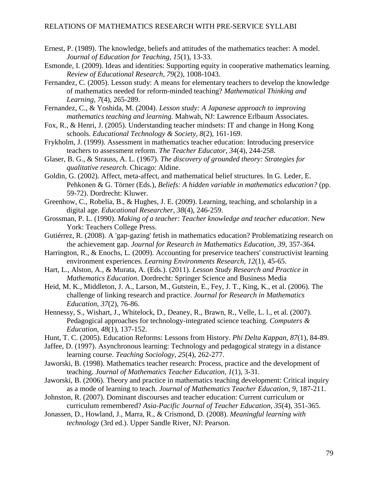- Ernest, P. (1989). The knowledge, beliefs and attitudes of the mathematics teacher: A model. *Journal of Education for Teaching, 15*(1), 13-33.
- Esmonde, I. (2009). Ideas and identities: Supporting equity in cooperative mathematics learning. *Review of Educational Research, 79*(2), 1008-1043.
- Fernandez, C. (2005). Lesson study: A means for elementary teachers to develop the knowledge of mathematics needed for reform-minded teaching? *Mathematical Thinking and Learning, 7*(4), 265-289.
- Fernandez, C., & Yoshida, M. (2004). *Lesson study: A Japanese approach to improving mathematics teaching and learning.* Mahwah, NJ: Lawrence Erlbaum Associates.
- Fox, R., & Henri, J. (2005). Understanding teacher mindsets: IT and change in Hong Kong schools. *Educational Technology & Society, 8*(2), 161-169.
- Frykholm, J. (1999). Assessment in mathematics teacher education: Introducing preservice teachers to assessment reform. *The Teacher Educator, 34*(4), 244-258.
- Glaser, B. G., & Strauss, A. L. (1967). *The discovery of grounded theory: Strategies for qualitative research*. Chicago: Aldine.
- Goldin, G. (2002). Affect, meta-affect, and mathematical belief structures. In G. Leder, E. Pehkonen & G. Törner (Eds.), *Beliefs: A hidden variable in mathematics education?* (pp. 59-72). Dordrecht: Kluwer.
- Greenhow, C., Robelia, B., & Hughes, J. E. (2009). Learning, teaching, and scholarship in a digital age. *Educational Researcher, 38*(4), 246-259.
- Grossman, P. L. (1990). *Making of a teacher: Teacher knowledge and teacher education*. New York: Teachers College Press.
- Gutiérrez, R. (2008). A 'gap-gazing' fetish in mathematics education? Problematizing research on the achievement gap. *Journal for Research in Mathematics Education, 39*, 357-364.
- Harrington, R., & Enochs, L. (2009). Accounting for preservice teachers' constructivist learning environment experiences. *Learning Environments Research, 12*(1), 45-65.
- Hart, L., Alston, A., & Murata, A. (Eds.). (2011). *Lesson Study Research and Practice in Mathematics Education*. Dordrecht: Springer Science and Business Media
- Heid, M. K., Middleton, J. A., Larson, M., Gutstein, E., Fey, J. T., King, K., et al. (2006). The challenge of linking research and practice. *Journal for Research in Mathematics Education, 37*(2), 76-86.
- Hennessy, S., Wishart, J., Whitelock, D., Deaney, R., Brawn, R., Velle, L. l., et al. (2007). Pedagogical approaches for technology-integrated science teaching. *Computers & Education, 48*(1), 137-152.
- Hunt, T. C. (2005). Education Reforms: Lessons from History. *Phi Delta Kappan, 87*(1), 84-89.
- Jaffee, D. (1997). Asynchronous learning: Technology and pedagogical strategy in a distance learning course. *Teaching Sociology, 25*(4), 262-277.
- Jaworski, B. (1998). Mathematics teacher research: Process, practice and the development of teaching. *Journal of Mathematics Teacher Education, 1*(1), 3-31.
- Jaworski, B. (2006). Theory and practice in mathematics teaching development: Critical inquiry as a mode of learning to teach. *Journal of Mathematics Teacher Education, 9*, 187-211.
- Johnston, R. (2007). Dominant discourses and teacher education: Current curriculum or curriculum remembered? *Asia-Pacific Journal of Teacher Education, 35*(4), 351-365.
- Jonassen, D., Howland, J., Marra, R., & Crismond, D. (2008). *Meaningful learning with technology* (3rd ed.). Upper Sandle River, NJ: Pearson.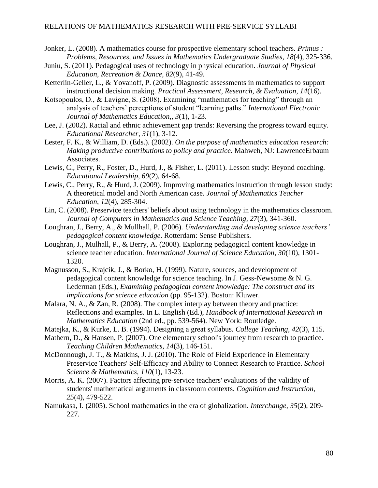- Jonker, L. (2008). A mathematics course for prospective elementary school teachers. *Primus : Problems, Resources, and Issues in Mathematics Undergraduate Studies, 18*(4), 325-336.
- Juniu, S. (2011). Pedagogical uses of technology in physical education. *Journal of Physical Education, Recreation & Dance, 82*(9), 41-49.
- Ketterlin-Geller, L., & Yovanoff, P. (2009). Diagnostic assessments in mathematics to support instructional decision making. *Practical Assessment, Research, & Evaluation, 14*(16).
- Kotsopoulos, D., & Lavigne, S. (2008). Examining "mathematics for teaching" through an analysis of teachers' perceptions of student "learning paths." *International Electronic Journal of Mathematics Education,, 3*(1), 1-23.
- Lee, J. (2002). Racial and ethnic achievement gap trends: Reversing the progress toward equity. *Educational Researcher, 31*(1), 3-12.
- Lester, F. K., & William, D. (Eds.). (2002). *On the purpose of mathematics education research: Making productive contributions to policy and practice.* Mahweh, NJ: LawrenceErbaum Associates.
- Lewis, C., Perry, R., Foster, D., Hurd, J., & Fisher, L. (2011). Lesson study: Beyond coaching. *Educational Leadership, 69*(2), 64-68.
- Lewis, C., Perry, R., & Hurd, J. (2009). Improving mathematics instruction through lesson study: A theoretical model and North American case. *Journal of Mathematics Teacher Education, 12*(4), 285-304.
- Lin, C. (2008). Preservice teachers' beliefs about using technology in the mathematics classroom. *Journal of Computers in Mathematics and Science Teaching, 27*(3), 341-360.
- Loughran, J., Berry, A., & Mullhall, P. (2006). *Understanding and developing science teachers' pedagogical content knowledge*. Rotterdam: Sense Publishers.
- Loughran, J., Mulhall, P., & Berry, A. (2008). Exploring pedagogical content knowledge in science teacher education. *International Journal of Science Education, 30*(10), 1301- 1320.
- Magnusson, S., Krajcik, J., & Borko, H. (1999). Nature, sources, and development of pedagogical content knowledge for science teaching. In J. Gess-Newsome & N. G. Lederman (Eds.), *Examining pedagogical content knowledge: The construct and its implications for science education* (pp. 95-132). Boston: Kluwer.
- Malara, N. A., & Zan, R. (2008). The complex interplay between theory and practice: Reflections and examples. In L. English (Ed.), *Handbook of International Research in Mathematics Education* (2nd ed., pp. 539-564). New York: Routledge.
- Matejka, K., & Kurke, L. B. (1994). Designing a great syllabus. *College Teaching, 42*(3), 115.
- Mathern, D., & Hansen, P. (2007). One elementary school's journey from research to practice. *Teaching Children Mathematics, 14*(3), 146-151.
- McDonnough, J. T., & Matkins, J. J. (2010). The Role of Field Experience in Elementary Preservice Teachers' Self-Efficacy and Ability to Connect Research to Practice. *School Science & Mathematics, 110*(1), 13-23.
- Morris, A. K. (2007). Factors affecting pre-service teachers' evaluations of the validity of students' mathematical arguments in classroom contexts. *Cognition and Instruction, 25*(4), 479-522.
- Namukasa, I. (2005). School mathematics in the era of globalization. *Interchange, 35*(2), 209- 227.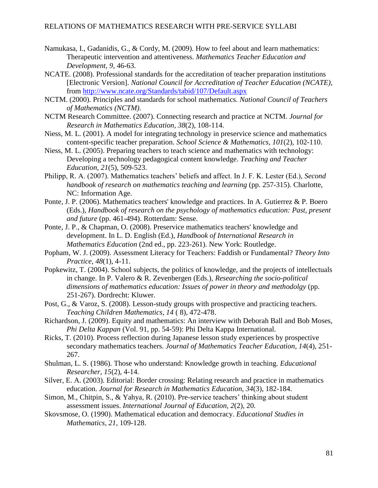- Namukasa, I., Gadanidis, G., & Cordy, M. (2009). How to feel about and learn mathematics: Therapeutic intervention and attentiveness. *Mathematics Teacher Education and Development, 9*, 46-63.
- NCATE. (2008). Professional standards for the accreditation of teacher preparation institutions [Electronic Version]. *National Council for Accreditation of Teacher Education (NCATE)*, from<http://www.ncate.org/Standards/tabid/107/Default.aspx>
- NCTM. (2000). Principles and standards for school mathematics. *National Council of Teachers of Mathematics (NCTM)*.
- NCTM Research Committee. (2007). Connecting research and practice at NCTM. *Journal for Research in Mathematics Education, 38*(2), 108-114.
- Niess, M. L. (2001). A model for integrating technology in preservice science and mathematics content-specific teacher preparation. *School Science & Mathematics, 101*(2), 102-110.
- Niess, M. L. (2005). Preparing teachers to teach science and mathematics with technology: Developing a technology pedagogical content knowledge. *Teaching and Teacher Education, 21*(5), 509-523.
- Philipp, R. A. (2007). Mathematics teachers' beliefs and affect. In J. F. K. Lester (Ed.), *Second handbook of research on mathematics teaching and learning (pp. 257-315). Charlotte,* NC: Information Age.
- Ponte, J. P. (2006). Mathematics teachers' knowledge and practices. In A. Gutierrez & P. Boero (Eds.), *Handbook of research on the psychology of mathematics education: Past, present and future* (pp. 461-494). Rotterdam: Sense.
- Ponte, J. P., & Chapman, O. (2008). Preservice mathematics teachers' knowledge and development. In L. D. English (Ed.), *Handbook of International Research in Mathematics Education* (2nd ed., pp. 223-261). New York: Routledge.
- Popham, W. J. (2009). Assessment Literacy for Teachers: Faddish or Fundamental? *Theory Into Practice, 48*(1), 4-11.
- Popkewitz, T. (2004). School subjects, the politics of knowledge, and the projects of intellectuals in change. In P. Valero & R. Zevenbergen (Eds.), *Researching the socio-political dimensions of mathematics education: Issues of power in theory and methodolgy* (pp. 251-267). Dordrecht: Kluwer.
- Post, G., & Varoz, S. (2008). Lesson-study groups with prospective and practicing teachers. *Teaching Children Mathematics, 14* ( 8), 472-478.
- Richardson, J. (2009). Equity and mathematics: An interview with Deborah Ball and Bob Moses, *Phi Delta Kappan* (Vol. 91, pp. 54-59): Phi Delta Kappa International.
- Ricks, T. (2010). Process reflection during Japanese lesson study experiences by prospective secondary mathematics teachers. *Journal of Mathematics Teacher Education, 14*(4), 251- 267.
- Shulman, L. S. (1986). Those who understand: Knowledge growth in teaching. *Educational Researcher, 15*(2), 4-14.
- Silver, E. A. (2003). Editorial: Border crossing: Relating research and practice in mathematics education. *Journal for Research in Mathematics Education, 34*(3), 182-184.
- Simon, M., Chitpin, S., & Yahya, R. (2010). Pre-service teachers' thinking about student assessment issues. *International Journal of Education, 2*(2), 20.
- Skovsmose, O. (1990). Mathematical education and democracy. *Educational Studies in Mathematics, 21*, 109-128.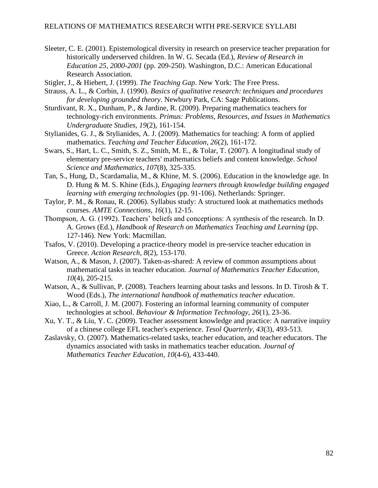- Sleeter, C. E. (2001). Epistemological diversity in research on preservice teacher preparation for historically underserved children. In W. G. Secada (Ed.), *Review of Research in Education 25, 2000-2001* (pp. 209-250). Washington, D.C.: American Educational Research Association.
- Stigler, J., & Hiebert, J. (1999). *The Teaching Gap*. New York: The Free Press.
- Strauss, A. L., & Corbin, J. (1990). *Basics of qualitative research: techniques and procedures for developing grounded theory*. Newbury Park, CA: Sage Publications.
- Sturdivant, R. X., Dunham, P., & Jardine, R. (2009). Preparing mathematics teachers for technology-rich environments. *Primus: Problems, Resources, and Issues in Mathematics Undergraduate Studies, 19*(2), 161-154.
- Stylianides, G. J., & Stylianides, A. J. (2009). Mathematics for teaching: A form of applied mathematics. *Teaching and Teacher Education, 26*(2), 161-172.
- Swars, S., Hart, L. C., Smith, S. Z., Smith, M. E., & Tolar, T. (2007). A longitudinal study of elementary pre-service teachers' mathematics beliefs and content knowledge. *School Science and Mathematics, 107*(8), 325-335.
- Tan, S., Hung, D., Scardamalia, M., & Khine, M. S. (2006). Education in the knowledge age. In D. Hung & M. S. Khine (Eds.), *Engaging learners through knowledge building engaged learning with emerging technologies* (pp. 91-106). Netherlands: Springer.
- Taylor, P. M., & Ronau, R. (2006). Syllabus study: A structured look at mathematics methods courses. *AMTE Connections, 16*(1), 12-15.
- Thompson, A. G. (1992). Teachers' beliefs and conceptions: A synthesis of the research. In D. A. Grows (Ed.), *Handbook of Research on Mathematics Teaching and Learning* (pp. 127-146). New York: Macmillan.
- Tsafos, V. (2010). Developing a practice-theory model in pre-service teacher education in Greece. *Action Research, 8*(2), 153-170.
- Watson, A., & Mason, J. (2007). Taken-as-shared: A review of common assumptions about mathematical tasks in teacher education. *Journal of Mathematics Teacher Education, 10*(4), 205-215.
- Watson, A., & Sullivan, P. (2008). Teachers learning about tasks and lessons. In D. Tirosh & T. Wood (Eds.), *The international handbook of mathematics teacher education*.
- Xiao, L., & Carroll, J. M. (2007). Fostering an informal learning community of computer technologies at school. *Behaviour & Information Technology, 26*(1), 23-36.
- Xu, Y. T., & Liu, Y. C. (2009). Teacher assessment knowledge and practice: A narrative inquiry of a chinese college EFL teacher's experience. *Tesol Quarterly, 43*(3), 493-513.
- Zaslavsky, O. (2007). Mathematics-related tasks, teacher education, and teacher educators. The dynamics associated with tasks in mathematics teacher education. *Journal of Mathematics Teacher Education, 10*(4-6), 433-440.